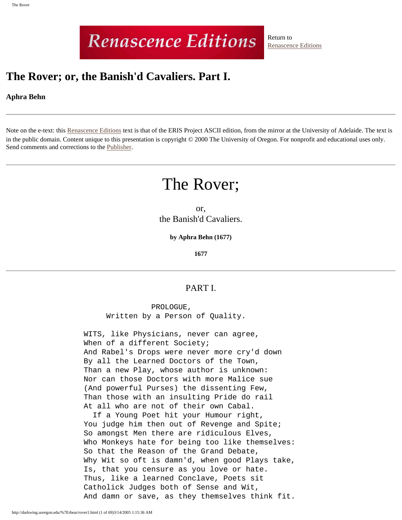# **Renascence Editions**

Return to [Renascence Editions](http://darkwing.uoregon.edu/~rbear/ren.htm)

# **The Rover; or, the Banish'd Cavaliers. Part I.**

### **Aphra Behn**

Note on the e-text: this [Renascence Editions](http://darkwing.uoregon.edu/~rbear/ren.htm) text is that of the ERIS Project ASCII edition, from the mirror at the University of Adelaide. The text is in the public domain. Content unique to this presentation is copyright © 2000 The University of Oregon. For nonprofit and educational uses only. Send comments and corrections to the [Publisher](mailto:rbear@uoregon.edu).

# The Rover;

or, the Banish'd Cavaliers.

**by Aphra Behn (1677)**

**1677**

## PART I.

 PROLOGUE, Written by a Person of Quality.

 WITS, like Physicians, never can agree, When of a different Society; And Rabel's Drops were never more cry'd down By all the Learned Doctors of the Town, Than a new Play, whose author is unknown: Nor can those Doctors with more Malice sue (And powerful Purses) the dissenting Few, Than those with an insulting Pride do rail At all who are not of their own Cabal.

 If a Young Poet hit your Humour right, You judge him then out of Revenge and Spite; So amongst Men there are ridiculous Elves, Who Monkeys hate for being too like themselves: So that the Reason of the Grand Debate, Why Wit so oft is damn'd, when good Plays take, Is, that you censure as you love or hate. Thus, like a learned Conclave, Poets sit Catholick Judges both of Sense and Wit, And damn or save, as they themselves think fit.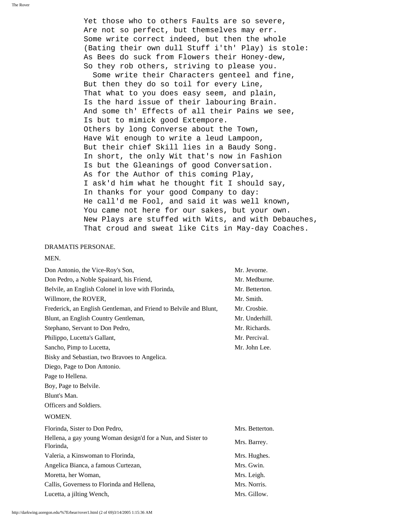Yet those who to others Faults are so severe, Are not so perfect, but themselves may err. Some write correct indeed, but then the whole (Bating their own dull Stuff i'th' Play) is stole: As Bees do suck from Flowers their Honey-dew, So they rob others, striving to please you.

 Some write their Characters genteel and fine, But then they do so toil for every Line, That what to you does easy seem, and plain, Is the hard issue of their labouring Brain. And some th' Effects of all their Pains we see, Is but to mimick good Extempore. Others by long Converse about the Town, Have Wit enough to write a leud Lampoon, But their chief Skill lies in a Baudy Song. In short, the only Wit that's now in Fashion Is but the Gleanings of good Conversation. As for the Author of this coming Play, I ask'd him what he thought fit I should say, In thanks for your good Company to day: He call'd me Fool, and said it was well known, You came not here for our sakes, but your own. New Plays are stuffed with Wits, and with Debauches, That croud and sweat like Cits in May-day Coaches.

#### DRAMATIS PERSONAE.

#### MEN.

| Don Antonio, the Vice-Roy's Son,                                          | Mr. Jevorne.    |
|---------------------------------------------------------------------------|-----------------|
| Don Pedro, a Noble Spainard, his Friend,                                  | Mr. Medburne.   |
| Belvile, an English Colonel in love with Florinda,                        | Mr. Betterton.  |
| Willmore, the ROVER,                                                      | Mr. Smith.      |
| Frederick, an English Gentleman, and Friend to Belvile and Blunt,         | Mr. Crosbie.    |
| Blunt, an English Country Gentleman,                                      | Mr. Underhill.  |
| Stephano, Servant to Don Pedro,                                           | Mr. Richards.   |
| Philippo, Lucetta's Gallant,                                              | Mr. Percival.   |
| Sancho, Pimp to Lucetta,                                                  | Mr. John Lee.   |
| Bisky and Sebastian, two Bravoes to Angelica.                             |                 |
| Diego, Page to Don Antonio.                                               |                 |
| Page to Hellena.                                                          |                 |
| Boy, Page to Belvile.                                                     |                 |
| Blunt's Man.                                                              |                 |
| Officers and Soldiers.                                                    |                 |
| WOMEN.                                                                    |                 |
| Florinda, Sister to Don Pedro,                                            | Mrs. Betterton. |
| Hellena, a gay young Woman design'd for a Nun, and Sister to<br>Florinda, | Mrs. Barrey.    |
| Valeria, a Kinswoman to Florinda,                                         | Mrs. Hughes.    |
| Angelica Bianca, a famous Curtezan,                                       | Mrs. Gwin.      |
| Moretta, her Woman,                                                       | Mrs. Leigh.     |
| Callis, Governess to Florinda and Hellena,                                | Mrs. Norris.    |
| Lucetta, a jilting Wench,                                                 | Mrs. Gillow.    |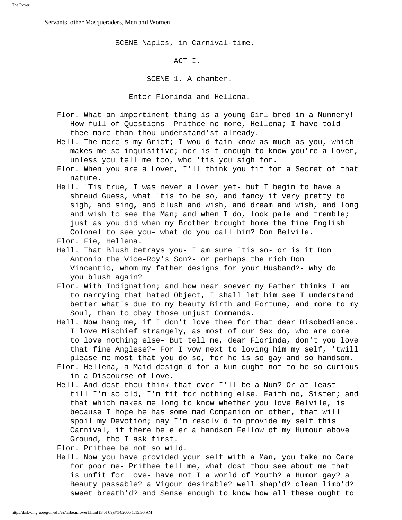Servants, other Masqueraders, Men and Women.

SCENE Naples, in Carnival-time.

ACT I.

SCENE 1. A chamber.

Enter Florinda and Hellena.

- Flor. What an impertinent thing is a young Girl bred in a Nunnery! How full of Questions! Prithee no more, Hellena; I have told thee more than thou understand'st already.
- Hell. The more's my Grief; I wou'd fain know as much as you, which makes me so inquisitive; nor is't enough to know you're a Lover, unless you tell me too, who 'tis you sigh for.
- Flor. When you are a Lover, I'll think you fit for a Secret of that nature.
- Hell. 'Tis true, I was never a Lover yet- but I begin to have a shreud Guess, what 'tis to be so, and fancy it very pretty to sigh, and sing, and blush and wish, and dream and wish, and long and wish to see the Man; and when I do, look pale and tremble; just as you did when my Brother brought home the fine English Colonel to see you- what do you call him? Don Belvile.
- Flor. Fie, Hellena.
- Hell. That Blush betrays you- I am sure 'tis so- or is it Don Antonio the Vice-Roy's Son?- or perhaps the rich Don Vincentio, whom my father designs for your Husband?- Why do you blush again?
- Flor. With Indignation; and how near soever my Father thinks I am to marrying that hated Object, I shall let him see I understand better what's due to my beauty Birth and Fortune, and more to my Soul, than to obey those unjust Commands.
- Hell. Now hang me, if I don't love thee for that dear Disobedience. I love Mischief strangely, as most of our Sex do, who are come to love nothing else- But tell me, dear Florinda, don't you love that fine Anglese?- For I vow next to loving him my self, 'twill please me most that you do so, for he is so gay and so handsom.
- Flor. Hellena, a Maid design'd for a Nun ought not to be so curious in a Discourse of Love.
- Hell. And dost thou think that ever I'll be a Nun? Or at least till I'm so old, I'm fit for nothing else. Faith no, Sister; and that which makes me long to know whether you love Belvile, is because I hope he has some mad Companion or other, that will spoil my Devotion; nay I'm resolv'd to provide my self this Carnival, if there be e'er a handsom Fellow of my Humour above Ground, tho I ask first.

Flor. Prithee be not so wild.

 Hell. Now you have provided your self with a Man, you take no Care for poor me- Prithee tell me, what dost thou see about me that is unfit for Love- have not I a world of Youth? a Humor gay? a Beauty passable? a Vigour desirable? well shap'd? clean limb'd? sweet breath'd? and Sense enough to know how all these ought to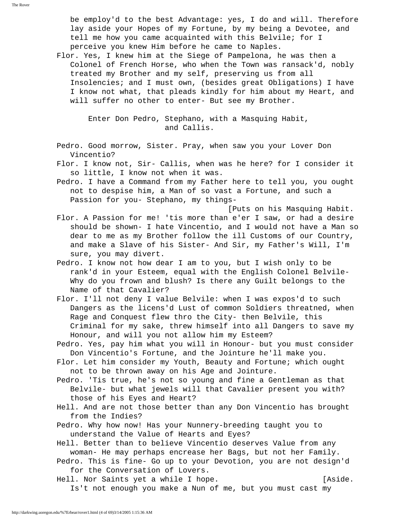be employ'd to the best Advantage: yes, I do and will. Therefore lay aside your Hopes of my Fortune, by my being a Devotee, and tell me how you came acquainted with this Belvile; for I perceive you knew Him before he came to Naples.

 Flor. Yes, I knew him at the Siege of Pampelona, he was then a Colonel of French Horse, who when the Town was ransack'd, nobly treated my Brother and my self, preserving us from all Insolencies; and I must own, (besides great Obligations) I have I know not what, that pleads kindly for him about my Heart, and will suffer no other to enter- But see my Brother.

> Enter Don Pedro, Stephano, with a Masquing Habit, and Callis.

- Pedro. Good morrow, Sister. Pray, when saw you your Lover Don Vincentio?
- Flor. I know not, Sir- Callis, when was he here? for I consider it so little, I know not when it was.
- Pedro. I have a Command from my Father here to tell you, you ought not to despise him, a Man of so vast a Fortune, and such a Passion for you- Stephano, my things-
- [Puts on his Masquing Habit. Flor. A Passion for me! 'tis more than e'er I saw, or had a desire should be shown- I hate Vincentio, and I would not have a Man so dear to me as my Brother follow the ill Customs of our Country, and make a Slave of his Sister- And Sir, my Father's Will, I'm sure, you may divert.
- Pedro. I know not how dear I am to you, but I wish only to be rank'd in your Esteem, equal with the English Colonel Belvile- Why do you frown and blush? Is there any Guilt belongs to the Name of that Cavalier?
- Flor. I'll not deny I value Belvile: when I was expos'd to such Dangers as the licens'd Lust of common Soldiers threatned, when Rage and Conquest flew thro the City- then Belvile, this Criminal for my sake, threw himself into all Dangers to save my Honour, and will you not allow him my Esteem?
- Pedro. Yes, pay him what you will in Honour- but you must consider Don Vincentio's Fortune, and the Jointure he'll make you.
- Flor. Let him consider my Youth, Beauty and Fortune; which ought not to be thrown away on his Age and Jointure.
- Pedro. 'Tis true, he's not so young and fine a Gentleman as that Belvile- but what jewels will that Cavalier present you with? those of his Eyes and Heart?
- Hell. And are not those better than any Don Vincentio has brought from the Indies?
- Pedro. Why how now! Has your Nunnery-breeding taught you to understand the Value of Hearts and Eyes?
- Hell. Better than to believe Vincentio deserves Value from any woman- He may perhaps encrease her Bags, but not her Family.
- Pedro. This is fine- Go up to your Devotion, you are not design'd for the Conversation of Lovers.
- Hell. Nor Saints yet a while I hope. [Aside. Is't not enough you make a Nun of me, but you must cast my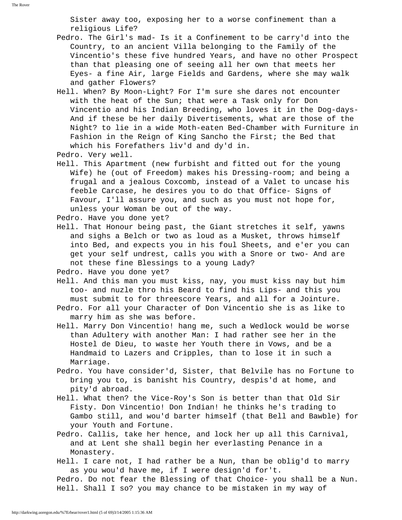Sister away too, exposing her to a worse confinement than a religious Life?

- Pedro. The Girl's mad- Is it a Confinement to be carry'd into the Country, to an ancient Villa belonging to the Family of the Vincentio's these five hundred Years, and have no other Prospect than that pleasing one of seeing all her own that meets her Eyes- a fine Air, large Fields and Gardens, where she may walk and gather Flowers?
- Hell. When? By Moon-Light? For I'm sure she dares not encounter with the heat of the Sun; that were a Task only for Don Vincentio and his Indian Breeding, who loves it in the Dog-days- And if these be her daily Divertisements, what are those of the Night? to lie in a wide Moth-eaten Bed-Chamber with Furniture in Fashion in the Reign of King Sancho the First; the Bed that which his Forefathers liv'd and dy'd in.

- Hell. This Apartment (new furbisht and fitted out for the young Wife) he (out of Freedom) makes his Dressing-room; and being a frugal and a jealous Coxcomb, instead of a Valet to uncase his feeble Carcase, he desires you to do that Office- Signs of Favour, I'll assure you, and such as you must not hope for, unless your Woman be out of the way.
- Pedro. Have you done yet?
- Hell. That Honour being past, the Giant stretches it self, yawns and sighs a Belch or two as loud as a Musket, throws himself into Bed, and expects you in his foul Sheets, and e'er you can get your self undrest, calls you with a Snore or two- And are not these fine Blessings to a young Lady?

Pedro. Have you done yet?

- Hell. And this man you must kiss, nay, you must kiss nay but him too- and nuzle thro his Beard to find his Lips- and this you must submit to for threescore Years, and all for a Jointure.
- Pedro. For all your Character of Don Vincentio she is as like to marry him as she was before.
- Hell. Marry Don Vincentio! hang me, such a Wedlock would be worse than Adultery with another Man: I had rather see her in the Hostel de Dieu, to waste her Youth there in Vows, and be a Handmaid to Lazers and Cripples, than to lose it in such a Marriage.
- Pedro. You have consider'd, Sister, that Belvile has no Fortune to bring you to, is banisht his Country, despis'd at home, and pity'd abroad.
- Hell. What then? the Vice-Roy's Son is better than that Old Sir Fisty. Don Vincentio! Don Indian! he thinks he's trading to Gambo still, and wou'd barter himself (that Bell and Bawble) for your Youth and Fortune.
- Pedro. Callis, take her hence, and lock her up all this Carnival, and at Lent she shall begin her everlasting Penance in a Monastery.
- Hell. I care not, I had rather be a Nun, than be oblig'd to marry as you wou'd have me, if I were design'd for't.

 Pedro. Do not fear the Blessing of that Choice- you shall be a Nun. Hell. Shall I so? you may chance to be mistaken in my way of

Pedro. Very well.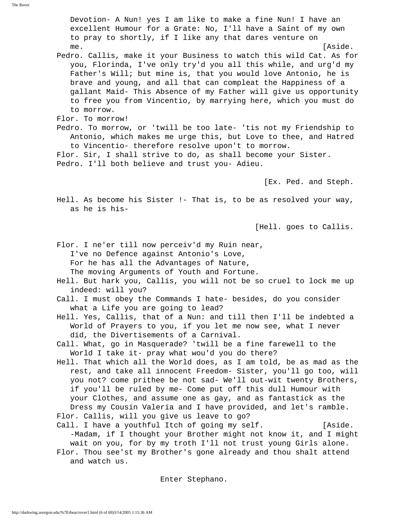Devotion- A Nun! yes I am like to make a fine Nun! I have an excellent Humour for a Grate: No, I'll have a Saint of my own to pray to shortly, if I like any that dares venture on me.  $[Aside.$  Pedro. Callis, make it your Business to watch this wild Cat. As for you, Florinda, I've only try'd you all this while, and urg'd my Father's Will; but mine is, that you would love Antonio, he is brave and young, and all that can compleat the Happiness of a gallant Maid- This Absence of my Father will give us opportunity to free you from Vincentio, by marrying here, which you must do to morrow. Flor. To morrow! Pedro. To morrow, or 'twill be too late- 'tis not my Friendship to Antonio, which makes me urge this, but Love to thee, and Hatred to Vincentio- therefore resolve upon't to morrow. Flor. Sir, I shall strive to do, as shall become your Sister. Pedro. I'll both believe and trust you- Adieu. [Ex. Ped. and Steph. Hell. As become his Sister !- That is, to be as resolved your way, as he is his- [Hell. goes to Callis. Flor. I ne'er till now perceiv'd my Ruin near, I've no Defence against Antonio's Love, For he has all the Advantages of Nature, The moving Arguments of Youth and Fortune. Hell. But hark you, Callis, you will not be so cruel to lock me up indeed: will you? Call. I must obey the Commands I hate- besides, do you consider what a Life you are going to lead? Hell. Yes, Callis, that of a Nun: and till then I'll be indebted a World of Prayers to you, if you let me now see, what I never did, the Divertisements of a Carnival. Call. What, go in Masquerade? 'twill be a fine farewell to the World I take it- pray what wou'd you do there? Hell. That which all the World does, as I am told, be as mad as the rest, and take all innocent Freedom- Sister, you'll go too, will you not? come prithee be not sad- We'll out-wit twenty Brothers, if you'll be ruled by me- Come put off this dull Humour with your Clothes, and assume one as gay, and as fantastick as the Dress my Cousin Valeria and I have provided, and let's ramble. Flor. Callis, will you give us leave to go? Call. I have a youthful Itch of going my self. [Aside. -Madam, if I thought your Brother might not know it, and I might wait on you, for by my troth I'll not trust young Girls alone. Flor. Thou see'st my Brother's gone already and thou shalt attend and watch us.

Enter Stephano.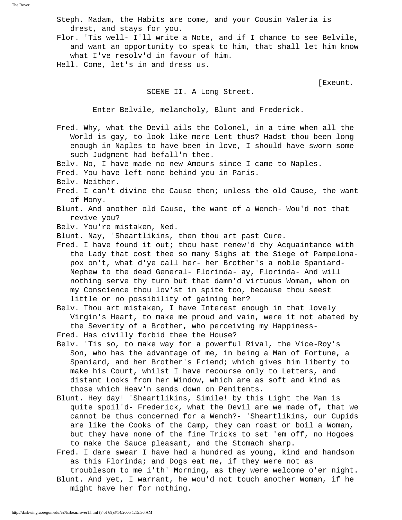Steph. Madam, the Habits are come, and your Cousin Valeria is drest, and stays for you.

 Flor. 'Tis well- I'll write a Note, and if I chance to see Belvile, and want an opportunity to speak to him, that shall let him know what I've resolv'd in favour of him.

Hell. Come, let's in and dress us.

[Exeunt.

#### SCENE II. A Long Street.

Enter Belvile, melancholy, Blunt and Frederick.

- Fred. Why, what the Devil ails the Colonel, in a time when all the World is gay, to look like mere Lent thus? Hadst thou been long enough in Naples to have been in love, I should have sworn some such Judgment had befall'n thee.
- Belv. No, I have made no new Amours since I came to Naples.
- Fred. You have left none behind you in Paris.
- Belv. Neither.
- Fred. I can't divine the Cause then; unless the old Cause, the want of Mony.
- Blunt. And another old Cause, the want of a Wench- Wou'd not that revive you?
- Belv. You're mistaken, Ned.

Blunt. Nay, 'Sheartlikins, then thou art past Cure.

- Fred. I have found it out; thou hast renew'd thy Acquaintance with the Lady that cost thee so many Sighs at the Siege of Pampelona pox on't, what d'ye call her- her Brother's a noble Spaniard- Nephew to the dead General- Florinda- ay, Florinda- And will nothing serve thy turn but that damn'd virtuous Woman, whom on my Conscience thou lov'st in spite too, because thou seest little or no possibility of gaining her?
- Belv. Thou art mistaken, I have Interest enough in that lovely Virgin's Heart, to make me proud and vain, were it not abated by the Severity of a Brother, who perceiving my Happiness-
- Fred. Has civilly forbid thee the House?
- Belv. 'Tis so, to make way for a powerful Rival, the Vice-Roy's Son, who has the advantage of me, in being a Man of Fortune, a Spaniard, and her Brother's Friend; which gives him liberty to make his Court, whilst I have recourse only to Letters, and distant Looks from her Window, which are as soft and kind as those which Heav'n sends down on Penitents.
- Blunt. Hey day! 'Sheartlikins, Simile! by this Light the Man is quite spoil'd- Frederick, what the Devil are we made of, that we cannot be thus concerned for a Wench?- 'Sheartlikins, our Cupids are like the Cooks of the Camp, they can roast or boil a Woman, but they have none of the fine Tricks to set 'em off, no Hogoes to make the Sauce pleasant, and the Stomach sharp.
- Fred. I dare swear I have had a hundred as young, kind and handsom as this Florinda; and Dogs eat me, if they were not as troublesom to me i'th' Morning, as they were welcome o'er night. Blunt. And yet, I warrant, he wou'd not touch another Woman, if he might have her for nothing.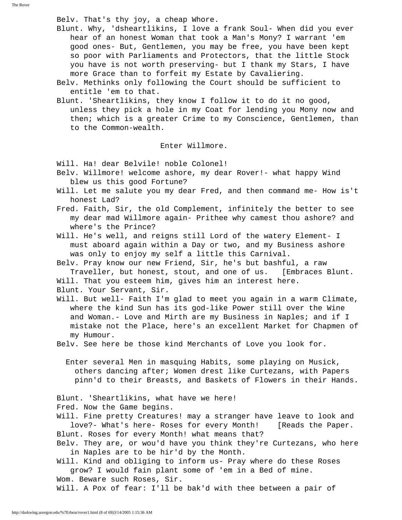Belv. That's thy joy, a cheap Whore.

 Blunt. Why, 'dsheartlikins, I love a frank Soul- When did you ever hear of an honest Woman that took a Man's Mony? I warrant 'em good ones- But, Gentlemen, you may be free, you have been kept so poor with Parliaments and Protectors, that the little Stock you have is not worth preserving- but I thank my Stars, I have more Grace than to forfeit my Estate by Cavaliering.

 Belv. Methinks only following the Court should be sufficient to entitle 'em to that.

 Blunt. 'Sheartlikins, they know I follow it to do it no good, unless they pick a hole in my Coat for lending you Mony now and then; which is a greater Crime to my Conscience, Gentlemen, than to the Common-wealth.

Enter Willmore.

Will. Ha! dear Belvile! noble Colonel!

- Belv. Willmore! welcome ashore, my dear Rover!- what happy Wind blew us this good Fortune?
- Will. Let me salute you my dear Fred, and then command me- How is't honest Lad?
- Fred. Faith, Sir, the old Complement, infinitely the better to see my dear mad Willmore again- Prithee why camest thou ashore? and where's the Prince?
- Will. He's well, and reigns still Lord of the watery Element- I must aboard again within a Day or two, and my Business ashore was only to enjoy my self a little this Carnival.

 Belv. Pray know our new Friend, Sir, he's but bashful, a raw Traveller, but honest, stout, and one of us. [Embraces Blunt.

Will. That you esteem him, gives him an interest here.

Blunt. Your Servant, Sir.

 Will. But well- Faith I'm glad to meet you again in a warm Climate, where the kind Sun has its god-like Power still over the Wine and Woman.- Love and Mirth are my Business in Naples; and if I mistake not the Place, here's an excellent Market for Chapmen of my Humour.

Belv. See here be those kind Merchants of Love you look for.

 Enter several Men in masquing Habits, some playing on Musick, others dancing after; Women drest like Curtezans, with Papers pinn'd to their Breasts, and Baskets of Flowers in their Hands.

 Blunt. 'Sheartlikins, what have we here! Fred. Now the Game begins.

 Will. Fine pretty Creatures! may a stranger have leave to look and love?- What's here- Roses for every Month! [Reads the Paper. Blunt. Roses for every Month! what means that?

 Belv. They are, or wou'd have you think they're Curtezans, who here in Naples are to be hir'd by the Month.

 Will. Kind and obliging to inform us- Pray where do these Roses grow? I would fain plant some of 'em in a Bed of mine.

Wom. Beware such Roses, Sir.

Will. A Pox of fear: I'll be bak'd with thee between a pair of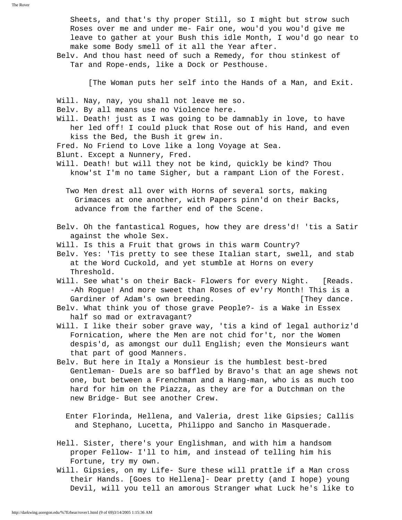Sheets, and that's thy proper Still, so I might but strow such Roses over me and under me- Fair one, wou'd you wou'd give me leave to gather at your Bush this idle Month, I wou'd go near to make some Body smell of it all the Year after.

 Belv. And thou hast need of such a Remedy, for thou stinkest of Tar and Rope-ends, like a Dock or Pesthouse.

[The Woman puts her self into the Hands of a Man, and Exit.

Will. Nay, nay, you shall not leave me so.

Belv. By all means use no Violence here.

- Will. Death! just as I was going to be damnably in love, to have her led off! I could pluck that Rose out of his Hand, and even kiss the Bed, the Bush it grew in.
- Fred. No Friend to Love like a long Voyage at Sea.
- Blunt. Except a Nunnery, Fred.
- Will. Death! but will they not be kind, quickly be kind? Thou know'st I'm no tame Sigher, but a rampant Lion of the Forest.

 Two Men drest all over with Horns of several sorts, making Grimaces at one another, with Papers pinn'd on their Backs, advance from the farther end of the Scene.

- Belv. Oh the fantastical Rogues, how they are dress'd! 'tis a Satir against the whole Sex.
- Will. Is this a Fruit that grows in this warm Country?
- Belv. Yes: 'Tis pretty to see these Italian start, swell, and stab at the Word Cuckold, and yet stumble at Horns on every Threshold.
- Will. See what's on their Back- Flowers for every Night. [Reads. -Ah Rogue! And more sweet than Roses of ev'ry Month! This is a Gardiner of Adam's own breeding. They dance.
- Belv. What think you of those grave People?- is a Wake in Essex half so mad or extravagant?
- Will. I like their sober grave way, 'tis a kind of legal authoriz'd Fornication, where the Men are not chid for't, nor the Women despis'd, as amongst our dull English; even the Monsieurs want that part of good Manners.
- Belv. But here in Italy a Monsieur is the humblest best-bred Gentleman- Duels are so baffled by Bravo's that an age shews not one, but between a Frenchman and a Hang-man, who is as much too hard for him on the Piazza, as they are for a Dutchman on the new Bridge- But see another Crew.
	- Enter Florinda, Hellena, and Valeria, drest like Gipsies; Callis and Stephano, Lucetta, Philippo and Sancho in Masquerade.
- Hell. Sister, there's your Englishman, and with him a handsom proper Fellow- I'll to him, and instead of telling him his Fortune, try my own.
- Will. Gipsies, on my Life- Sure these will prattle if a Man cross their Hands. [Goes to Hellena]- Dear pretty (and I hope) young Devil, will you tell an amorous Stranger what Luck he's like to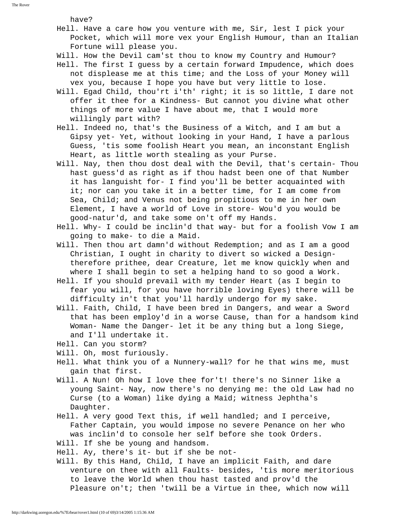The Rover

have?

- Hell. Have a care how you venture with me, Sir, lest I pick your Pocket, which will more vex your English Humour, than an Italian Fortune will please you.
- Will. How the Devil cam'st thou to know my Country and Humour?
- Hell. The first I guess by a certain forward Impudence, which does not displease me at this time; and the Loss of your Money will vex you, because I hope you have but very little to lose.
- Will. Egad Child, thou'rt i'th' right; it is so little, I dare not offer it thee for a Kindness- But cannot you divine what other things of more value I have about me, that I would more willingly part with?
- Hell. Indeed no, that's the Business of a Witch, and I am but a Gipsy yet- Yet, without looking in your Hand, I have a parlous Guess, 'tis some foolish Heart you mean, an inconstant English Heart, as little worth stealing as your Purse.
- Will. Nay, then thou dost deal with the Devil, that's certain- Thou hast guess'd as right as if thou hadst been one of that Number it has languisht for- I find you'll be better acquainted with it; nor can you take it in a better time, for I am come from Sea, Child; and Venus not being propitious to me in her own Element, I have a world of Love in store- Wou'd you would be good-natur'd, and take some on't off my Hands.
- Hell. Why- I could be inclin'd that way- but for a foolish Vow I am going to make- to die a Maid.
- Will. Then thou art damn'd without Redemption; and as I am a good Christian, I ought in charity to divert so wicked a Design therefore prithee, dear Creature, let me know quickly when and where I shall begin to set a helping hand to so good a Work.
- Hell. If you should prevail with my tender Heart (as I begin to fear you will, for you have horrible loving Eyes) there will be difficulty in't that you'll hardly undergo for my sake.
- Will. Faith, Child, I have been bred in Dangers, and wear a Sword that has been employ'd in a worse Cause, than for a handsom kind Woman- Name the Danger- let it be any thing but a long Siege, and I'll undertake it.
- Hell. Can you storm?
- Will. Oh, most furiously.
- Hell. What think you of a Nunnery-wall? for he that wins me, must gain that first.
- Will. A Nun! Oh how I love thee for't! there's no Sinner like a young Saint- Nay, now there's no denying me: the old Law had no Curse (to a Woman) like dying a Maid; witness Jephtha's Daughter.
- Hell. A very good Text this, if well handled; and I perceive, Father Captain, you would impose no severe Penance on her who was inclin'd to console her self before she took Orders.

Will. If she be young and handsom.

- Hell. Ay, there's it- but if she be not-
- Will. By this Hand, Child, I have an implicit Faith, and dare venture on thee with all Faults- besides, 'tis more meritorious to leave the World when thou hast tasted and prov'd the Pleasure on't; then 'twill be a Virtue in thee, which now will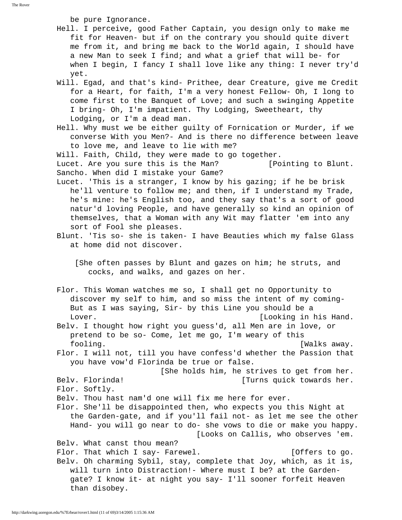be pure Ignorance.

- Hell. I perceive, good Father Captain, you design only to make me fit for Heaven- but if on the contrary you should quite divert me from it, and bring me back to the World again, I should have a new Man to seek I find; and what a grief that will be- for when I begin, I fancy I shall love like any thing: I never try'd yet.
- Will. Egad, and that's kind- Prithee, dear Creature, give me Credit for a Heart, for faith, I'm a very honest Fellow- Oh, I long to come first to the Banquet of Love; and such a swinging Appetite I bring- Oh, I'm impatient. Thy Lodging, Sweetheart, thy Lodging, or I'm a dead man.
- Hell. Why must we be either guilty of Fornication or Murder, if we converse With you Men?- And is there no difference between leave to love me, and leave to lie with me?
- Will. Faith, Child, they were made to go together.

 Lucet. Are you sure this is the Man? [Pointing to Blunt. Sancho. When did I mistake your Game?

- Lucet. 'This is a stranger, I know by his gazing; if he be brisk he'll venture to follow me; and then, if I understand my Trade, he's mine: he's English too, and they say that's a sort of good natur'd loving People, and have generally so kind an opinion of themselves, that a Woman with any Wit may flatter 'em into any sort of Fool she pleases.
- Blunt. 'Tis so- she is taken- I have Beauties which my false Glass at home did not discover.

 [She often passes by Blunt and gazes on him; he struts, and cocks, and walks, and gazes on her.

- Flor. This Woman watches me so, I shall get no Opportunity to discover my self to him, and so miss the intent of my coming- But as I was saying, Sir- by this Line you should be a Lover.  $[Looking in his Hand.$
- Belv. I thought how right you guess'd, all Men are in love, or pretend to be so- Come, let me go, I'm weary of this fooling. [Walks away.
- Flor. I will not, till you have confess'd whether the Passion that you have vow'd Florinda be true or false.

[She holds him, he strives to get from her.

Belv. Florinda! [Turns quick towards her.

- Flor. Softly.
- Belv. Thou hast nam'd one will fix me here for ever.
- Flor. She'll be disappointed then, who expects you this Night at the Garden-gate, and if you'll fail not- as let me see the other Hand- you will go near to do- she vows to die or make you happy. [Looks on Callis, who observes 'em.

Belv. What canst thou mean?

Flor. That which I say- Farewel. The same section of the set of  $[0$ ffers to go. Belv. Oh charming Sybil, stay, complete that Joy, which, as it is, will turn into Distraction!- Where must I be? at the Garden gate? I know it- at night you say- I'll sooner forfeit Heaven than disobey.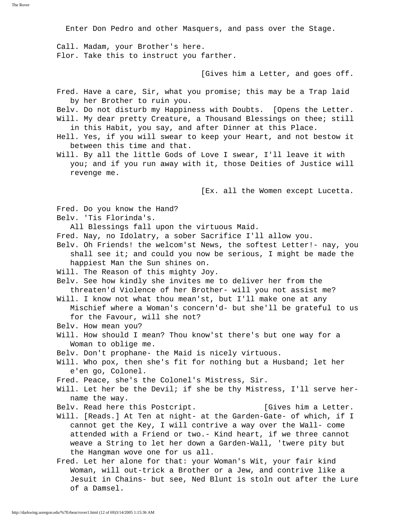Enter Don Pedro and other Masquers, and pass over the Stage.

 Call. Madam, your Brother's here. Flor. Take this to instruct you farther.

[Gives him a Letter, and goes off.

- Fred. Have a care, Sir, what you promise; this may be a Trap laid by her Brother to ruin you.
- Belv. Do not disturb my Happiness with Doubts. [Opens the Letter.
- Will. My dear pretty Creature, a Thousand Blessings on thee; still in this Habit, you say, and after Dinner at this Place.
- Hell. Yes, if you will swear to keep your Heart, and not bestow it between this time and that.
- Will. By all the little Gods of Love I swear, I'll leave it with you; and if you run away with it, those Deities of Justice will revenge me.

[Ex. all the Women except Lucetta.

- Fred. Do you know the Hand?
- Belv. 'Tis Florinda's.

All Blessings fall upon the virtuous Maid.

- Fred. Nay, no Idolatry, a sober Sacrifice I'll allow you.
- Belv. Oh Friends! the welcom'st News, the softest Letter!- nay, you shall see it; and could you now be serious, I might be made the happiest Man the Sun shines on.
- Will. The Reason of this mighty Joy.
- Belv. See how kindly she invites me to deliver her from the threaten'd Violence of her Brother- will you not assist me?
- Will. I know not what thou mean'st, but I'll make one at any Mischief where a Woman's concern'd- but she'll be grateful to us for the Favour, will she not?
- Belv. How mean you?
- Will. How should I mean? Thou know'st there's but one way for a Woman to oblige me.
- Belv. Don't prophane- the Maid is nicely virtuous.
- Will. Who pox, then she's fit for nothing but a Husband; let her e'en go, Colonel.
- Fred. Peace, she's the Colonel's Mistress, Sir.
- Will. Let her be the Devil; if she be thy Mistress, I'll serve her name the way.
- Belv. Read here this Postcript. [Gives him a Letter.
- Will. [Reads.] At Ten at night- at the Garden-Gate- of which, if I cannot get the Key, I will contrive a way over the Wall- come attended with a Friend or two.- Kind heart, if we three cannot weave a String to let her down a Garden-Wall, 'twere pity but the Hangman wove one for us all.
- Fred. Let her alone for that: your Woman's Wit, your fair kind Woman, will out-trick a Brother or a Jew, and contrive like a Jesuit in Chains- but see, Ned Blunt is stoln out after the Lure of a Damsel.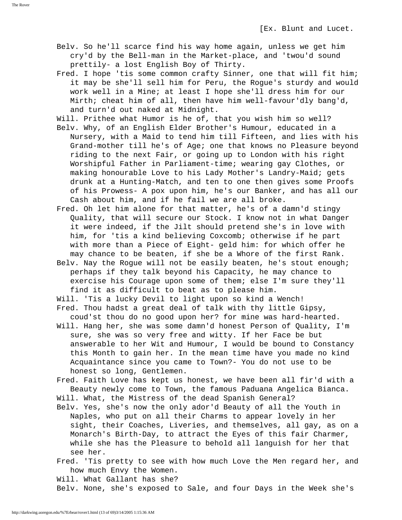- Belv. So he'll scarce find his way home again, unless we get him cry'd by the Bell-man in the Market-place, and 'twou'd sound prettily- a lost English Boy of Thirty.
- Fred. I hope 'tis some common crafty Sinner, one that will fit him; it may be she'll sell him for Peru, the Rogue's sturdy and would work well in a Mine; at least I hope she'll dress him for our Mirth; cheat him of all, then have him well-favour'dly bang'd, and turn'd out naked at Midnight.
- Will. Prithee what Humor is he of, that you wish him so well?
- Belv. Why, of an English Elder Brother's Humour, educated in a Nursery, with a Maid to tend him till Fifteen, and lies with his Grand-mother till he's of Age; one that knows no Pleasure beyond riding to the next Fair, or going up to London with his right Worshipful Father in Parliament-time; wearing gay Clothes, or making honourable Love to his Lady Mother's Landry-Maid; gets drunk at a Hunting-Match, and ten to one then gives some Proofs of his Prowess- A pox upon him, he's our Banker, and has all our Cash about him, and if he fail we are all broke.
- Fred. Oh let him alone for that matter, he's of a damn'd stingy Quality, that will secure our Stock. I know not in what Danger it were indeed, if the Jilt should pretend she's in love with him, for 'tis a kind believing Coxcomb; otherwise if he part with more than a Piece of Eight- geld him: for which offer he may chance to be beaten, if she be a Whore of the first Rank.
- Belv. Nay the Rogue will not be easily beaten, he's stout enough; perhaps if they talk beyond his Capacity, he may chance to exercise his Courage upon some of them; else I'm sure they'll find it as difficult to beat as to please him.
- Will. 'Tis a lucky Devil to light upon so kind a Wench!
- Fred. Thou hadst a great deal of talk with thy little Gipsy, coud'st thou do no good upon her? for mine was hard-hearted.
- Will. Hang her, she was some damn'd honest Person of Quality, I'm sure, she was so very free and witty. If her Face be but answerable to her Wit and Humour, I would be bound to Constancy this Month to gain her. In the mean time have you made no kind Acquaintance since you came to Town?- You do not use to be honest so long, Gentlemen.
- Fred. Faith Love has kept us honest, we have been all fir'd with a Beauty newly come to Town, the famous Paduana Angelica Bianca. Will. What, the Mistress of the dead Spanish General?
- Belv. Yes, she's now the only ador'd Beauty of all the Youth in Naples, who put on all their Charms to appear lovely in her sight, their Coaches, Liveries, and themselves, all gay, as on a Monarch's Birth-Day, to attract the Eyes of this fair Charmer, while she has the Pleasure to behold all languish for her that see her.
- Fred. 'Tis pretty to see with how much Love the Men regard her, and how much Envy the Women.

Will. What Gallant has she?

Belv. None, she's exposed to Sale, and four Days in the Week she's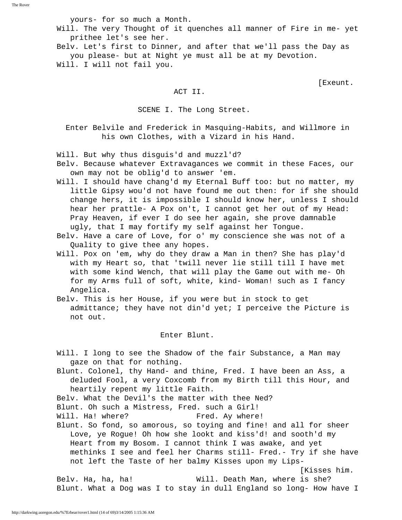yours- for so much a Month.

 Will. The very Thought of it quenches all manner of Fire in me- yet prithee let's see her.

 Belv. Let's first to Dinner, and after that we'll pass the Day as you please- but at Night ye must all be at my Devotion. Will. I will not fail you.

[Exeunt.

#### ACT II.

SCENE I. The Long Street.

 Enter Belvile and Frederick in Masquing-Habits, and Willmore in his own Clothes, with a Vizard in his Hand.

Will. But why thus disguis'd and muzzl'd?

- Belv. Because whatever Extravagances we commit in these Faces, our own may not be oblig'd to answer 'em.
- Will. I should have chang'd my Eternal Buff too: but no matter, my little Gipsy wou'd not have found me out then: for if she should change hers, it is impossible I should know her, unless I should hear her prattle- A Pox on't, I cannot get her out of my Head: Pray Heaven, if ever I do see her again, she prove damnable ugly, that I may fortify my self against her Tongue.
- Belv. Have a care of Love, for o' my conscience she was not of a Quality to give thee any hopes.
- Will. Pox on 'em, why do they draw a Man in then? She has play'd with my Heart so, that 'twill never lie still till I have met with some kind Wench, that will play the Game out with me- Oh for my Arms full of soft, white, kind- Woman! such as I fancy Angelica.
- Belv. This is her House, if you were but in stock to get admittance; they have not din'd yet; I perceive the Picture is not out.

Enter Blunt.

 Will. I long to see the Shadow of the fair Substance, a Man may gaze on that for nothing. Blunt. Colonel, thy Hand- and thine, Fred. I have been an Ass, a deluded Fool, a very Coxcomb from my Birth till this Hour, and heartily repent my little Faith. Belv. What the Devil's the matter with thee Ned? Blunt. Oh such a Mistress, Fred. such a Girl! Will. Ha! where? Fred. Ay where! Blunt. So fond, so amorous, so toying and fine! and all for sheer Love, ye Rogue! Oh how she lookt and kiss'd! and sooth'd my Heart from my Bosom. I cannot think I was awake, and yet methinks I see and feel her Charms still- Fred.- Try if she have not left the Taste of her balmy Kisses upon my Lips- [Kisses him. Belv. Ha, ha, ha! Will. Death Man, where is she? Blunt. What a Dog was I to stay in dull England so long- How have I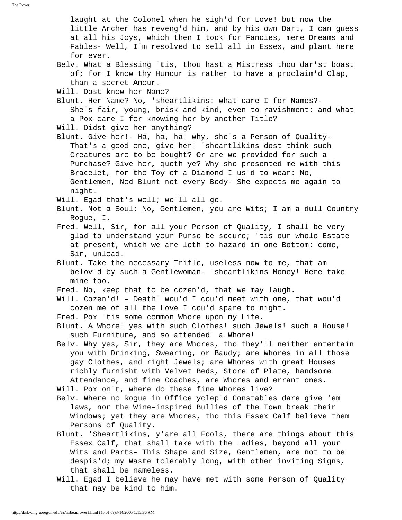laught at the Colonel when he sigh'd for Love! but now the little Archer has reveng'd him, and by his own Dart, I can guess at all his Joys, which then I took for Fancies, mere Dreams and Fables- Well, I'm resolved to sell all in Essex, and plant here for ever. Belv. What a Blessing 'tis, thou hast a Mistress thou dar'st boast of; for I know thy Humour is rather to have a proclaim'd Clap, than a secret Amour. Will. Dost know her Name? Blunt. Her Name? No, 'sheartlikins: what care I for Names?- She's fair, young, brisk and kind, even to ravishment: and what a Pox care I for knowing her by another Title? Will. Didst give her anything? Blunt. Give her!- Ha, ha, ha! why, she's a Person of Quality- That's a good one, give her! 'sheartlikins dost think such Creatures are to be bought? Or are we provided for such a Purchase? Give her, quoth ye? Why she presented me with this Bracelet, for the Toy of a Diamond I us'd to wear: No, Gentlemen, Ned Blunt not every Body- She expects me again to night. Will. Egad that's well; we'll all go. Blunt. Not a Soul: No, Gentlemen, you are Wits; I am a dull Country Rogue, I. Fred. Well, Sir, for all your Person of Quality, I shall be very glad to understand your Purse be secure; 'tis our whole Estate at present, which we are loth to hazard in one Bottom: come, Sir, unload. Blunt. Take the necessary Trifle, useless now to me, that am belov'd by such a Gentlewoman- 'sheartlikins Money! Here take mine too. Fred. No, keep that to be cozen'd, that we may laugh. Will. Cozen'd! - Death! wou'd I cou'd meet with one, that wou'd cozen me of all the Love I cou'd spare to night. Fred. Pox 'tis some common Whore upon my Life. Blunt. A Whore! yes with such Clothes! such Jewels! such a House! such Furniture, and so attended! a Whore! Belv. Why yes, Sir, they are Whores, tho they'll neither entertain you with Drinking, Swearing, or Baudy; are Whores in all those gay Clothes, and right Jewels; are Whores with great Houses richly furnisht with Velvet Beds, Store of Plate, handsome Attendance, and fine Coaches, are Whores and errant ones. Will. Pox on't, where do these fine Whores live? Belv. Where no Rogue in Office yclep'd Constables dare give 'em laws, nor the Wine-inspired Bullies of the Town break their Windows; yet they are Whores, tho this Essex Calf believe them Persons of Quality. Blunt. 'Sheartlikins, y'are all Fools, there are things about this Essex Calf, that shall take with the Ladies, beyond all your Wits and Parts- This Shape and Size, Gentlemen, are not to be despis'd; my Waste tolerably long, with other inviting Signs, that shall be nameless. Will. Egad I believe he may have met with some Person of Quality that may be kind to him.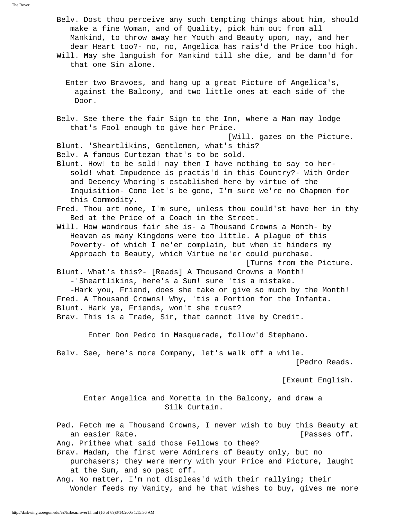The Rover

- Belv. Dost thou perceive any such tempting things about him, should make a fine Woman, and of Quality, pick him out from all Mankind, to throw away her Youth and Beauty upon, nay, and her dear Heart too?- no, no, Angelica has rais'd the Price too high.
- Will. May she languish for Mankind till she die, and be damn'd for that one Sin alone.
	- Enter two Bravoes, and hang up a great Picture of Angelica's, against the Balcony, and two little ones at each side of the Door.
- Belv. See there the fair Sign to the Inn, where a Man may lodge that's Fool enough to give her Price.

[Will. gazes on the Picture.

- Blunt. 'Sheartlikins, Gentlemen, what's this? Belv. A famous Curtezan that's to be sold.
- Blunt. How! to be sold! nay then I have nothing to say to her sold! what Impudence is practis'd in this Country?- With Order and Decency Whoring's established here by virtue of the Inquisition- Come let's be gone, I'm sure we're no Chapmen for this Commodity.
- Fred. Thou art none, I'm sure, unless thou could'st have her in thy Bed at the Price of a Coach in the Street.
- Will. How wondrous fair she is- a Thousand Crowns a Month- by Heaven as many Kingdoms were too little. A plague of this Poverty- of which I ne'er complain, but when it hinders my Approach to Beauty, which Virtue ne'er could purchase.

 [Turns from the Picture. Blunt. What's this?- [Reads] A Thousand Crowns a Month!

-'Sheartlikins, here's a Sum! sure 'tis a mistake.

 -Hark you, Friend, does she take or give so much by the Month! Fred. A Thousand Crowns! Why, 'tis a Portion for the Infanta. Blunt. Hark ye, Friends, won't she trust? Brav. This is a Trade, Sir, that cannot live by Credit.

Enter Don Pedro in Masquerade, follow'd Stephano.

 Belv. See, here's more Company, let's walk off a while. [Pedro Reads.

[Exeunt English.

 Enter Angelica and Moretta in the Balcony, and draw a Silk Curtain.

 Ped. Fetch me a Thousand Crowns, I never wish to buy this Beauty at an easier Rate. **Example 20** and easier Rate.

Ang. Prithee what said those Fellows to thee?

 Brav. Madam, the first were Admirers of Beauty only, but no purchasers; they were merry with your Price and Picture, laught at the Sum, and so past off.

 Ang. No matter, I'm not displeas'd with their rallying; their Wonder feeds my Vanity, and he that wishes to buy, gives me more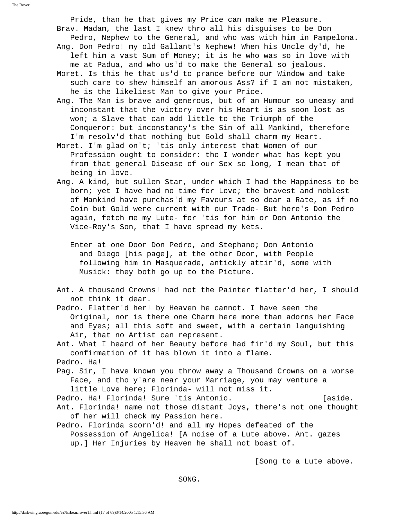Pride, than he that gives my Price can make me Pleasure. Brav. Madam, the last I knew thro all his disguises to be Don Pedro, Nephew to the General, and who was with him in Pampelona. Ang. Don Pedro! my old Gallant's Nephew! When his Uncle dy'd, he left him a vast Sum of Money; it is he who was so in love with me at Padua, and who us'd to make the General so jealous.

 Moret. Is this he that us'd to prance before our Window and take such care to shew himself an amorous Ass? if I am not mistaken, he is the likeliest Man to give your Price.

 Ang. The Man is brave and generous, but of an Humour so uneasy and inconstant that the victory over his Heart is as soon lost as won; a Slave that can add little to the Triumph of the Conqueror: but inconstancy's the Sin of all Mankind, therefore I'm resolv'd that nothing but Gold shall charm my Heart.

 Moret. I'm glad on't; 'tis only interest that Women of our Profession ought to consider: tho I wonder what has kept you from that general Disease of our Sex so long, I mean that of being in love.

 Ang. A kind, but sullen Star, under which I had the Happiness to be born; yet I have had no time for Love; the bravest and noblest of Mankind have purchas'd my Favours at so dear a Rate, as if no Coin but Gold were current with our Trade- But here's Don Pedro again, fetch me my Lute- for 'tis for him or Don Antonio the Vice-Roy's Son, that I have spread my Nets.

 Enter at one Door Don Pedro, and Stephano; Don Antonio and Diego [his page], at the other Door, with People following him in Masquerade, antickly attir'd, some with Musick: they both go up to the Picture.

 Ant. A thousand Crowns! had not the Painter flatter'd her, I should not think it dear.

 Pedro. Flatter'd her! by Heaven he cannot. I have seen the Original, nor is there one Charm here more than adorns her Face and Eyes; all this soft and sweet, with a certain languishing Air, that no Artist can represent.

 Ant. What I heard of her Beauty before had fir'd my Soul, but this confirmation of it has blown it into a flame. Pedro. Ha!

 Pag. Sir, I have known you throw away a Thousand Crowns on a worse Face, and tho y'are near your Marriage, you may venture a little Love here; Florinda- will not miss it.

Pedro. Ha! Florinda! Sure 'tis Antonio. [aside.

 Ant. Florinda! name not those distant Joys, there's not one thought of her will check my Passion here.

 Pedro. Florinda scorn'd! and all my Hopes defeated of the Possession of Angelica! [A noise of a Lute above. Ant. gazes up.] Her Injuries by Heaven he shall not boast of.

[Song to a Lute above.

SONG.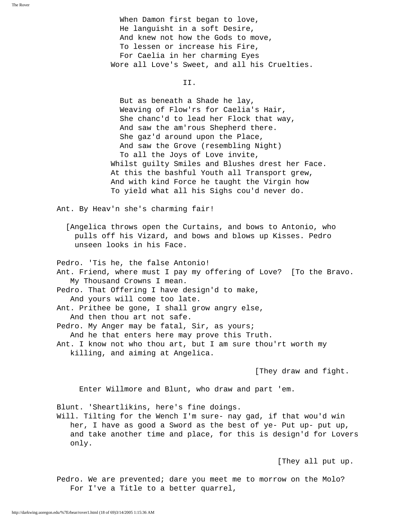When Damon first began to love, He languisht in a soft Desire, And knew not how the Gods to move, To lessen or increase his Fire, For Caelia in her charming Eyes Wore all Love's Sweet, and all his Cruelties.

II.

 But as beneath a Shade he lay, Weaving of Flow'rs for Caelia's Hair, She chanc'd to lead her Flock that way, And saw the am'rous Shepherd there. She gaz'd around upon the Place, And saw the Grove (resembling Night) To all the Joys of Love invite, Whilst guilty Smiles and Blushes drest her Face. At this the bashful Youth all Transport grew, And with kind Force he taught the Virgin how To yield what all his Sighs cou'd never do.

Ant. By Heav'n she's charming fair!

 [Angelica throws open the Curtains, and bows to Antonio, who pulls off his Vizard, and bows and blows up Kisses. Pedro unseen looks in his Face.

Pedro. 'Tis he, the false Antonio!

 Ant. Friend, where must I pay my offering of Love? [To the Bravo. My Thousand Crowns I mean.

 Pedro. That Offering I have design'd to make, And yours will come too late.

Ant. Prithee be gone, I shall grow angry else,

And then thou art not safe.

Pedro. My Anger may be fatal, Sir, as yours; And he that enters here may prove this Truth.

 Ant. I know not who thou art, but I am sure thou'rt worth my killing, and aiming at Angelica.

[They draw and fight.

Enter Willmore and Blunt, who draw and part 'em.

Blunt. 'Sheartlikins, here's fine doings.

 Will. Tilting for the Wench I'm sure- nay gad, if that wou'd win her, I have as good a Sword as the best of ye- Put up- put up, and take another time and place, for this is design'd for Lovers only.

[They all put up.

 Pedro. We are prevented; dare you meet me to morrow on the Molo? For I've a Title to a better quarrel,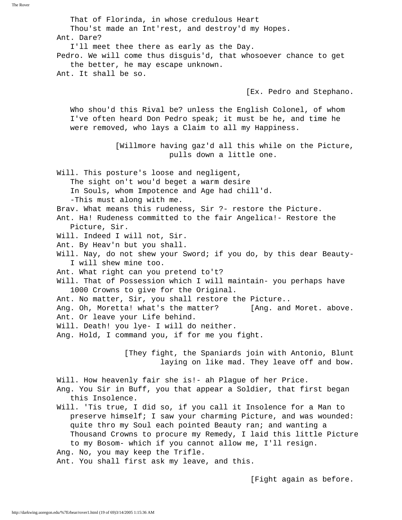The Rover

 That of Florinda, in whose credulous Heart Thou'st made an Int'rest, and destroy'd my Hopes. Ant. Dare? I'll meet thee there as early as the Day. Pedro. We will come thus disguis'd, that whosoever chance to get the better, he may escape unknown. Ant. It shall be so. [Ex. Pedro and Stephano. Who shou'd this Rival be? unless the English Colonel, of whom I've often heard Don Pedro speak; it must be he, and time he were removed, who lays a Claim to all my Happiness. [Willmore having gaz'd all this while on the Picture, pulls down a little one. Will. This posture's loose and negligent, The sight on't wou'd beget a warm desire In Souls, whom Impotence and Age had chill'd. -This must along with me. Brav. What means this rudeness, Sir ?- restore the Picture. Ant. Ha! Rudeness committed to the fair Angelica!- Restore the Picture, Sir. Will. Indeed I will not, Sir. Ant. By Heav'n but you shall. Will. Nay, do not shew your Sword; if you do, by this dear Beauty- I will shew mine too. Ant. What right can you pretend to't? Will. That of Possession which I will maintain- you perhaps have 1000 Crowns to give for the Original. Ant. No matter, Sir, you shall restore the Picture.. Ang. Oh, Moretta! what's the matter? [Ang. and Moret. above. Ant. Or leave your Life behind. Will. Death! you lye- I will do neither. Ang. Hold, I command you, if for me you fight. [They fight, the Spaniards join with Antonio, Blunt laying on like mad. They leave off and bow. Will. How heavenly fair she is!- ah Plague of her Price. Ang. You Sir in Buff, you that appear a Soldier, that first began this Insolence. Will. 'Tis true, I did so, if you call it Insolence for a Man to preserve himself; I saw your charming Picture, and was wounded: quite thro my Soul each pointed Beauty ran; and wanting a Thousand Crowns to procure my Remedy, I laid this little Picture to my Bosom- which if you cannot allow me, I'll resign. Ang. No, you may keep the Trifle. Ant. You shall first ask my leave, and this. [Fight again as before.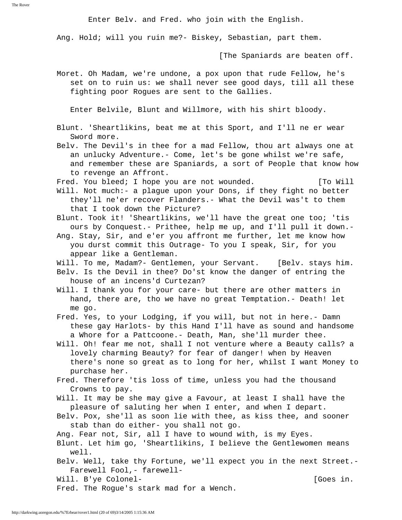The Rover

Enter Belv. and Fred. who join with the English.

Ang. Hold; will you ruin me?- Biskey, Sebastian, part them.

[The Spaniards are beaten off.

 Moret. Oh Madam, we're undone, a pox upon that rude Fellow, he's set on to ruin us: we shall never see good days, till all these fighting poor Rogues are sent to the Gallies.

Enter Belvile, Blunt and Willmore, with his shirt bloody.

- Blunt. 'Sheartlikins, beat me at this Sport, and I'll ne er wear Sword more.
- Belv. The Devil's in thee for a mad Fellow, thou art always one at an unlucky Adventure.- Come, let's be gone whilst we're safe, and remember these are Spaniards, a sort of People that know how to revenge an Affront.
- Fred. You bleed; I hope you are not wounded. [To Will
- Will. Not much:- a plague upon your Dons, if they fight no better they'll ne'er recover Flanders.- What the Devil was't to them that I took down the Picture?
- Blunt. Took it! 'Sheartlikins, we'll have the great one too; 'tis ours by Conquest.- Prithee, help me up, and I'll pull it down.-
- Ang. Stay, Sir, and e'er you affront me further, let me know how you durst commit this Outrage- To you I speak, Sir, for you appear like a Gentleman.
- Will. To me, Madam?- Gentlemen, your Servant. [Belv. stays him.
- Belv. Is the Devil in thee? Do'st know the danger of entring the house of an incens'd Curtezan?
- Will. I thank you for your care- but there are other matters in hand, there are, tho we have no great Temptation.- Death! let me go.
- Fred. Yes, to your Lodging, if you will, but not in here.- Damn these gay Harlots- by this Hand I'll have as sound and handsome a Whore for a Pattcoone.- Death, Man, she'll murder thee.
- Will. Oh! fear me not, shall I not venture where a Beauty calls? a lovely charming Beauty? for fear of danger! when by Heaven there's none so great as to long for her, whilst I want Money to purchase her.
- Fred. Therefore 'tis loss of time, unless you had the thousand Crowns to pay.
- Will. It may be she may give a Favour, at least I shall have the pleasure of saluting her when I enter, and when I depart.
- Belv. Pox, she'll as soon lie with thee, as kiss thee, and sooner stab than do either- you shall not go.
- Ang. Fear not, Sir, all I have to wound with, is my Eyes.
- Blunt. Let him go, 'Sheartlikins, I believe the Gentlewomen means well.
- Belv. Well, take thy Fortune, we'll expect you in the next Street.- Farewell Fool,- farewell-

Will. B'ye Colonel- and the colonel- contract of  $[Goes in.$ 

Fred. The Rogue's stark mad for a Wench.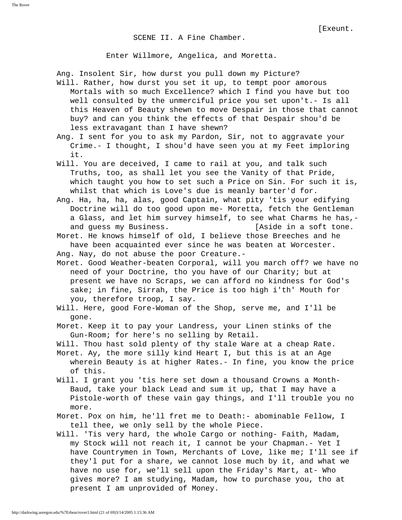SCENE II. A Fine Chamber.

Enter Willmore, Angelica, and Moretta.

 Ang. Insolent Sir, how durst you pull down my Picture? Will. Rather, how durst you set it up, to tempt poor amorous Mortals with so much Excellence? which I find you have but too well consulted by the unmerciful price you set upon't.- Is all this Heaven of Beauty shewn to move Despair in those that cannot buy? and can you think the effects of that Despair shou'd be less extravagant than I have shewn?

 Ang. I sent for you to ask my Pardon, Sir, not to aggravate your Crime.- I thought, I shou'd have seen you at my Feet imploring it.

 Will. You are deceived, I came to rail at you, and talk such Truths, too, as shall let you see the Vanity of that Pride, which taught you how to set such a Price on Sin. For such it is, whilst that which is Love's due is meanly barter'd for.

 Ang. Ha, ha, ha, alas, good Captain, what pity 'tis your edifying Doctrine will do too good upon me- Moretta, fetch the Gentleman a Glass, and let him survey himself, to see what Charms he has, and guess my Business. [Aside in a soft tone.

 Moret. He knows himself of old, I believe those Breeches and he have been acquainted ever since he was beaten at Worcester. Ang. Nay, do not abuse the poor Creature.-

 Moret. Good Weather-beaten Corporal, will you march off? we have no need of your Doctrine, tho you have of our Charity; but at present we have no Scraps, we can afford no kindness for God's sake; in fine, Sirrah, the Price is too high i'th' Mouth for you, therefore troop, I say.

 Will. Here, good Fore-Woman of the Shop, serve me, and I'll be gone.

 Moret. Keep it to pay your Landress, your Linen stinks of the Gun-Room; for here's no selling by Retail.

Will. Thou hast sold plenty of thy stale Ware at a cheap Rate.

- Moret. Ay, the more silly kind Heart I, but this is at an Age wherein Beauty is at higher Rates.- In fine, you know the price of this.
- Will. I grant you 'tis here set down a thousand Crowns a Month- Baud, take your black Lead and sum it up, that I may have a Pistole-worth of these vain gay things, and I'll trouble you no more.
- Moret. Pox on him, he'll fret me to Death:- abominable Fellow, I tell thee, we only sell by the whole Piece.
- Will. 'Tis very hard, the whole Cargo or nothing- Faith, Madam, my Stock will not reach it, I cannot be your Chapman.- Yet I have Countrymen in Town, Merchants of Love, like me; I'll see if they'l put for a share, we cannot lose much by it, and what we have no use for, we'll sell upon the Friday's Mart, at- Who gives more? I am studying, Madam, how to purchase you, tho at present I am unprovided of Money.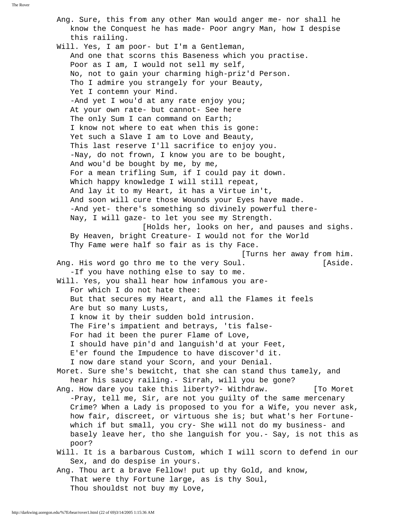The Rover

 Ang. Sure, this from any other Man would anger me- nor shall he know the Conquest he has made- Poor angry Man, how I despise this railing. Will. Yes, I am poor- but I'm a Gentleman, And one that scorns this Baseness which you practise. Poor as I am, I would not sell my self, No, not to gain your charming high-priz'd Person. Tho I admire you strangely for your Beauty, Yet I contemn your Mind. -And yet I wou'd at any rate enjoy you; At your own rate- but cannot- See here The only Sum I can command on Earth; I know not where to eat when this is gone: Yet such a Slave I am to Love and Beauty, This last reserve I'll sacrifice to enjoy you. -Nay, do not frown, I know you are to be bought, And wou'd be bought by me, by me, For a mean trifling Sum, if I could pay it down. Which happy knowledge I will still repeat, And lay it to my Heart, it has a Virtue in't, And soon will cure those Wounds your Eyes have made. -And yet- there's something so divinely powerful there- Nay, I will gaze- to let you see my Strength. [Holds her, looks on her, and pauses and sighs. By Heaven, bright Creature- I would not for the World Thy Fame were half so fair as is thy Face. [Turns her away from him. Ang. His word go thro me to the very Soul. [Aside. -If you have nothing else to say to me. Will. Yes, you shall hear how infamous you are- For which I do not hate thee: But that secures my Heart, and all the Flames it feels Are but so many Lusts, I know it by their sudden bold intrusion. The Fire's impatient and betrays, 'tis false- For had it been the purer Flame of Love, I should have pin'd and languish'd at your Feet, E'er found the Impudence to have discover'd it. I now dare stand your Scorn, and your Denial. Moret. Sure she's bewitcht, that she can stand thus tamely, and hear his saucy railing.- Sirrah, will you be gone? Ang. How dare you take this liberty?- Withdraw. [To Moret -Pray, tell me, Sir, are not you guilty of the same mercenary Crime? When a Lady is proposed to you for a Wife, you never ask, how fair, discreet, or virtuous she is; but what's her Fortune which if but small, you cry- She will not do my business- and basely leave her, tho she languish for you.- Say, is not this as poor? Will. It is a barbarous Custom, which I will scorn to defend in our Sex, and do despise in yours. Ang. Thou art a brave Fellow! put up thy Gold, and know, That were thy Fortune large, as is thy Soul, Thou shouldst not buy my Love,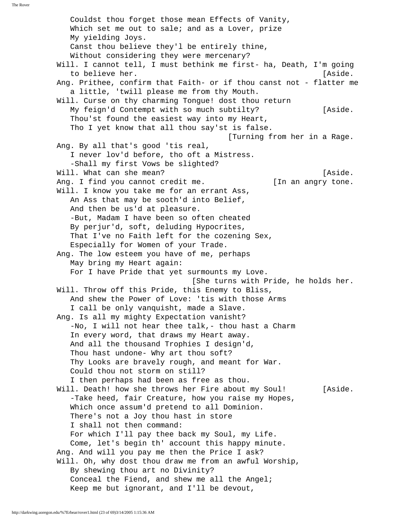Couldst thou forget those mean Effects of Vanity, Which set me out to sale; and as a Lover, prize My yielding Joys. Canst thou believe they'l be entirely thine, Without considering they were mercenary? Will. I cannot tell, I must bethink me first- ha, Death, I'm going to believe her. [Aside. Ang. Prithee, confirm that Faith- or if thou canst not - flatter me a little, 'twill please me from thy Mouth. Will. Curse on thy charming Tongue! dost thou return My feign'd Contempt with so much subtilty? [Aside. Thou'st found the easiest way into my Heart, Tho I yet know that all thou say'st is false. [Turning from her in a Rage. Ang. By all that's good 'tis real, I never lov'd before, tho oft a Mistress. -Shall my first Vows be slighted? Will. What can she mean? The mean of the state. Ang. I find you cannot credit me. [In an angry tone. Will. I know you take me for an errant Ass, An Ass that may be sooth'd into Belief, And then be us'd at pleasure. -But, Madam I have been so often cheated By perjur'd, soft, deluding Hypocrites, That I've no Faith left for the cozening Sex, Especially for Women of your Trade. Ang. The low esteem you have of me, perhaps May bring my Heart again: For I have Pride that yet surmounts my Love. [She turns with Pride, he holds her. Will. Throw off this Pride, this Enemy to Bliss, And shew the Power of Love: 'tis with those Arms I call be only vanquisht, made a Slave. Ang. Is all my mighty Expectation vanisht? -No, I will not hear thee talk,- thou hast a Charm In every word, that draws my Heart away. And all the thousand Trophies I design'd, Thou hast undone- Why art thou soft? Thy Looks are bravely rough, and meant for War. Could thou not storm on still? I then perhaps had been as free as thou. Will. Death! how she throws her Fire about my Soul! [Aside. -Take heed, fair Creature, how you raise my Hopes, Which once assum'd pretend to all Dominion. There's not a Joy thou hast in store I shall not then command: For which I'll pay thee back my Soul, my Life. Come, let's begin th' account this happy minute. Ang. And will you pay me then the Price I ask? Will. Oh, why dost thou draw me from an awful Worship, By shewing thou art no Divinity? Conceal the Fiend, and shew me all the Angel; Keep me but ignorant, and I'll be devout,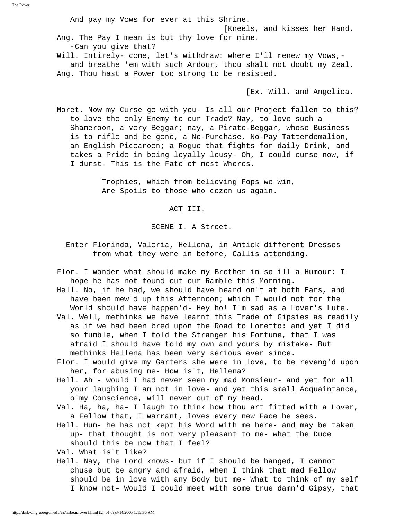The Rover

 And pay my Vows for ever at this Shrine. [Kneels, and kisses her Hand. Ang. The Pay I mean is but thy love for mine. -Can you give that? Will. Intirely- come, let's withdraw: where I'll renew my Vows, and breathe 'em with such Ardour, thou shalt not doubt my Zeal. Ang. Thou hast a Power too strong to be resisted.

[Ex. Will. and Angelica.

 Moret. Now my Curse go with you- Is all our Project fallen to this? to love the only Enemy to our Trade? Nay, to love such a Shameroon, a very Beggar; nay, a Pirate-Beggar, whose Business is to rifle and be gone, a No-Purchase, No-Pay Tatterdemalion, an English Piccaroon; a Rogue that fights for daily Drink, and takes a Pride in being loyally lousy- Oh, I could curse now, if I durst- This is the Fate of most Whores.

> Trophies, which from believing Fops we win, Are Spoils to those who cozen us again.

> > ACT III.

SCENE I. A Street.

- Enter Florinda, Valeria, Hellena, in Antick different Dresses from what they were in before, Callis attending.
- Flor. I wonder what should make my Brother in so ill a Humour: I hope he has not found out our Ramble this Morning.
- Hell. No, if he had, we should have heard on't at both Ears, and have been mew'd up this Afternoon; which I would not for the World should have happen'd- Hey ho! I'm sad as a Lover's Lute.
- Val. Well, methinks we have learnt this Trade of Gipsies as readily as if we had been bred upon the Road to Loretto: and yet I did so fumble, when I told the Stranger his Fortune, that I was afraid I should have told my own and yours by mistake- But methinks Hellena has been very serious ever since.
- Flor. I would give my Garters she were in love, to be reveng'd upon her, for abusing me- How is't, Hellena?
- Hell. Ah!- would I had never seen my mad Monsieur- and yet for all your laughing I am not in love- and yet this small Acquaintance, o'my Conscience, will never out of my Head.
- Val. Ha, ha, ha- I laugh to think how thou art fitted with a Lover, a Fellow that, I warrant, loves every new Face he sees.
- Hell. Hum- he has not kept his Word with me here- and may be taken up- that thought is not very pleasant to me- what the Duce should this be now that I feel?

Val. What is't like?

 Hell. Nay, the Lord knows- but if I should be hanged, I cannot chuse but be angry and afraid, when I think that mad Fellow should be in love with any Body but me- What to think of my self I know not- Would I could meet with some true damn'd Gipsy, that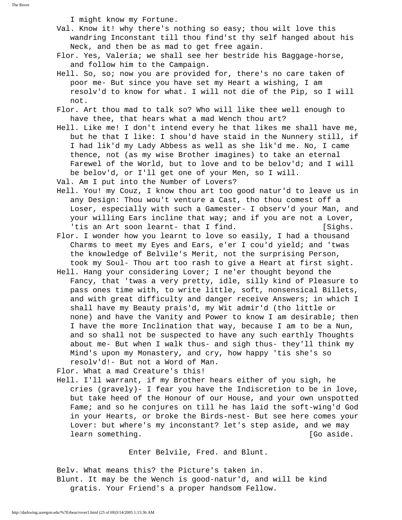I might know my Fortune.

- Val. Know it! why there's nothing so easy; thou wilt love this wandring Inconstant till thou find'st thy self hanged about his Neck, and then be as mad to get free again.
- Flor. Yes, Valeria; we shall see her bestride his Baggage-horse, and follow him to the Campaign.
- Hell. So, so; now you are provided for, there's no care taken of poor me- But since you have set my Heart a wishing, I am resolv'd to know for what. I will not die of the Pip, so I will not.
- Flor. Art thou mad to talk so? Who will like thee well enough to have thee, that hears what a mad Wench thou art?
- Hell. Like me! I don't intend every he that likes me shall have me, but he that I like: I shou'd have staid in the Nunnery still, if I had lik'd my Lady Abbess as well as she lik'd me. No, I came thence, not (as my wise Brother imagines) to take an eternal Farewel of the World, but to love and to be belov'd; and I will be belov'd, or I'll get one of your Men, so I will.
- Val. Am I put into the Number of Lovers?
- Hell. You! my Couz, I know thou art too good natur'd to leave us in any Design: Thou wou't venture a Cast, tho thou comest off a Loser, especially with such a Gamester- I observ'd your Man, and your willing Ears incline that way; and if you are not a Lover, 'tis an Art soon learnt- that I find. [Sighs.]
- Flor. I wonder how you learnt to love so easily, I had a thousand Charms to meet my Eyes and Ears, e'er I cou'd yield; and 'twas the knowledge of Belvile's Merit, not the surprising Person, took my Soul- Thou art too rash to give a Heart at first sight.
- Hell. Hang your considering Lover; I ne'er thought beyond the Fancy, that 'twas a very pretty, idle, silly kind of Pleasure to pass ones time with, to write little, soft, nonsensical Billets, and with great difficulty and danger receive Answers; in which I shall have my Beauty prais'd, my Wit admir'd (tho little or none) and have the Vanity and Power to know I am desirable; then I have the more Inclination that way, because I am to be a Nun, and so shall not be suspected to have any such earthly Thoughts about me- But when I walk thus- and sigh thus- they'll think my Mind's upon my Monastery, and cry, how happy 'tis she's so resolv'd!- But not a Word of Man.

Flor. What a mad Creature's this!

 Hell. I'll warrant, if my Brother hears either of you sigh, he cries (gravely)- I fear you have the Indiscretion to be in love, but take heed of the Honour of our House, and your own unspotted Fame; and so he conjures on till he has laid the soft-wing'd God in your Hearts, or broke the Birds-nest- But see here comes your Lover: but where's my inconstant? let's step aside, and we may learn something. The contract of the contract of the contract of the contract of the contract of the contract o

Enter Belvile, Fred. and Blunt.

 Belv. What means this? the Picture's taken in. Blunt. It may be the Wench is good-natur'd, and will be kind gratis. Your Friend's a proper handsom Fellow.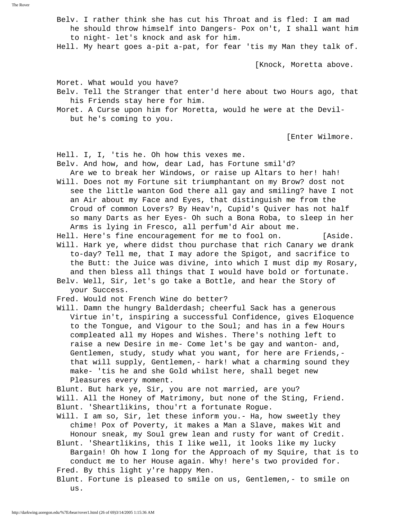Belv. I rather think she has cut his Throat and is fled: I am mad he should throw himself into Dangers- Pox on't, I shall want him to night- let's knock and ask for him.

Hell. My heart goes a-pit a-pat, for fear 'tis my Man they talk of.

[Knock, Moretta above.

Moret. What would you have?

- Belv. Tell the Stranger that enter'd here about two Hours ago, that his Friends stay here for him.
- Moret. A Curse upon him for Moretta, would he were at the Devil but he's coming to you.

[Enter Wilmore.

Hell. I, I, 'tis he. Oh how this vexes me.

Belv. And how, and how, dear Lad, has Fortune smil'd?

- Are we to break her Windows, or raise up Altars to her! hah! Will. Does not my Fortune sit triumphantant on my Brow? dost not see the little wanton God there all gay and smiling? have I not an Air about my Face and Eyes, that distinguish me from the Croud of common Lovers? By Heav'n, Cupid's Quiver has not half so many Darts as her Eyes- Oh such a Bona Roba, to sleep in her Arms is lying in Fresco, all perfum'd Air about me.
- Hell. Here's fine encouragement for me to fool on. [Aside. Will. Hark ye, where didst thou purchase that rich Canary we drank
- to-day? Tell me, that I may adore the Spigot, and sacrifice to the Butt: the Juice was divine, into which I must dip my Rosary, and then bless all things that I would have bold or fortunate.
- Belv. Well, Sir, let's go take a Bottle, and hear the Story of your Success.
- Fred. Would not French Wine do better?
- Will. Damn the hungry Balderdash; cheerful Sack has a generous Virtue in't, inspiring a successful Confidence, gives Eloquence to the Tongue, and Vigour to the Soul; and has in a few Hours compleated all my Hopes and Wishes. There's nothing left to raise a new Desire in me- Come let's be gay and wanton- and, Gentlemen, study, study what you want, for here are Friends, that will supply, Gentlemen,- hark! what a charming sound they make- 'tis he and she Gold whilst here, shall beget new Pleasures every moment.

Blunt. But hark ye, Sir, you are not married, are you?

- Will. All the Honey of Matrimony, but none of the Sting, Friend. Blunt. 'Sheartlikins, thou'rt a fortunate Rogue.
- Will. I am so, Sir, let these inform you.- Ha, how sweetly they chime! Pox of Poverty, it makes a Man a Slave, makes Wit and Honour sneak, my Soul grew lean and rusty for want of Credit.
- Blunt. 'Sheartlikins, this I like well, it looks like my lucky Bargain! Oh how I long for the Approach of my Squire, that is to conduct me to her House again. Why! here's two provided for. Fred. By this light y're happy Men.
- Blunt. Fortune is pleased to smile on us, Gentlemen,- to smile on us.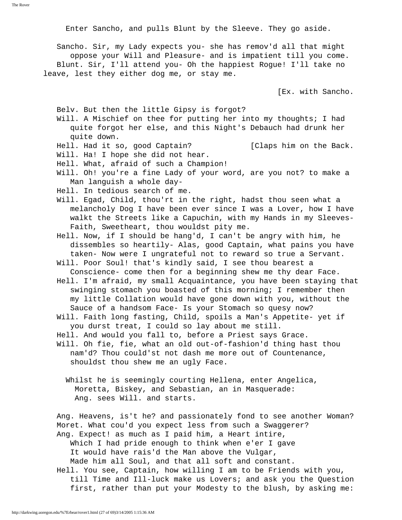Enter Sancho, and pulls Blunt by the Sleeve. They go aside.

 Sancho. Sir, my Lady expects you- she has remov'd all that might oppose your Will and Pleasure- and is impatient till you come. Blunt. Sir, I'll attend you- Oh the happiest Rogue! I'll take no leave, lest they either dog me, or stay me.

[Ex. with Sancho.

Belv. But then the little Gipsy is forgot?

 Will. A Mischief on thee for putting her into my thoughts; I had quite forgot her else, and this Night's Debauch had drunk her quite down.

- Hell. Had it so, good Captain? [Claps him on the Back.
- Will. Ha! I hope she did not hear.

Hell. What, afraid of such a Champion!

 Will. Oh! you're a fine Lady of your word, are you not? to make a Man languish a whole day-

Hell. In tedious search of me.

 Will. Egad, Child, thou'rt in the right, hadst thou seen what a melancholy Dog I have been ever since I was a Lover, how I have walkt the Streets like a Capuchin, with my Hands in my Sleeves- Faith, Sweetheart, thou wouldst pity me.

 Hell. Now, if I should be hang'd, I can't be angry with him, he dissembles so heartily- Alas, good Captain, what pains you have taken- Now were I ungrateful not to reward so true a Servant.

 Will. Poor Soul! that's kindly said, I see thou bearest a Conscience- come then for a beginning shew me thy dear Face.

 Hell. I'm afraid, my small Acquaintance, you have been staying that swinging stomach you boasted of this morning; I remember then my little Collation would have gone down with you, without the Sauce of a handsom Face- Is your Stomach so quesy now?

 Will. Faith long fasting, Child, spoils a Man's Appetite- yet if you durst treat, I could so lay about me still.

Hell. And would you fall to, before a Priest says Grace.

 Will. Oh fie, fie, what an old out-of-fashion'd thing hast thou nam'd? Thou could'st not dash me more out of Countenance, shouldst thou shew me an ugly Face.

 Whilst he is seemingly courting Hellena, enter Angelica, Moretta, Biskey, and Sebastian, an in Masquerade: Ang. sees Will. and starts.

 Ang. Heavens, is't he? and passionately fond to see another Woman? Moret. What cou'd you expect less from such a Swaggerer? Ang. Expect! as much as I paid him, a Heart intire, Which I had pride enough to think when e'er I gave It would have rais'd the Man above the Vulgar, Made him all Soul, and that all soft and constant.

 Hell. You see, Captain, how willing I am to be Friends with you, till Time and Ill-luck make us Lovers; and ask you the Question first, rather than put your Modesty to the blush, by asking me: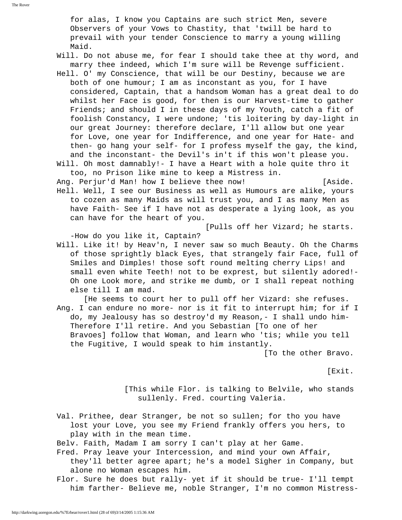for alas, I know you Captains are such strict Men, severe Observers of your Vows to Chastity, that 'twill be hard to prevail with your tender Conscience to marry a young willing Maid.

- Will. Do not abuse me, for fear I should take thee at thy word, and marry thee indeed, which I'm sure will be Revenge sufficient.
- Hell. O' my Conscience, that will be our Destiny, because we are both of one humour; I am as inconstant as you, for I have considered, Captain, that a handsom Woman has a great deal to do whilst her Face is good, for then is our Harvest-time to gather Friends; and should I in these days of my Youth, catch a fit of foolish Constancy, I were undone; 'tis loitering by day-light in our great Journey: therefore declare, I'll allow but one year for Love, one year for Indifference, and one year for Hate- and then- go hang your self- for I profess myself the gay, the kind, and the inconstant- the Devil's in't if this won't please you.
- Will. Oh most damnably!- I have a Heart with a hole quite thro it too, no Prison like mine to keep a Mistress in.

Ang. Perjur'd Man! how I believe thee now! [Aside.

 Hell. Well, I see our Business as well as Humours are alike, yours to cozen as many Maids as will trust you, and I as many Men as have Faith- See if I have not as desperate a lying look, as you can have for the heart of you.

[Pulls off her Vizard; he starts.

-How do you like it, Captain?

- Will. Like it! by Heav'n, I never saw so much Beauty. Oh the Charms of those sprightly black Eyes, that strangely fair Face, full of Smiles and Dimples! those soft round melting cherry Lips! and small even white Teeth! not to be exprest, but silently adored!- Oh one Look more, and strike me dumb, or I shall repeat nothing else till I am mad.
- [He seems to court her to pull off her Vizard: she refuses. Ang. I can endure no more- nor is it fit to interrupt him; for if I do, my Jealousy has so destroy'd my Reason,- I shall undo him- Therefore I'll retire. And you Sebastian [To one of her Bravoes] follow that Woman, and learn who 'tis; while you tell the Fugitive, I would speak to him instantly.

[To the other Bravo.

[Exit.

 [This while Flor. is talking to Belvile, who stands sullenly. Fred. courting Valeria.

 Val. Prithee, dear Stranger, be not so sullen; for tho you have lost your Love, you see my Friend frankly offers you hers, to play with in the mean time.

Belv. Faith, Madam I am sorry I can't play at her Game.

 Fred. Pray leave your Intercession, and mind your own Affair, they'll better agree apart; he's a model Sigher in Company, but alone no Woman escapes him.

 Flor. Sure he does but rally- yet if it should be true- I'll tempt him farther- Believe me, noble Stranger, I'm no common Mistress-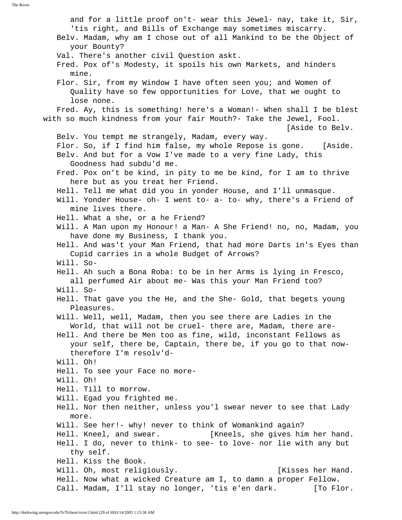and for a little proof on't- wear this Jewel- nay, take it, Sir, 'tis right, and Bills of Exchange may sometimes miscarry. Belv. Madam, why am I chose out of all Mankind to be the Object of your Bounty? Val. There's another civil Question askt. Fred. Pox of's Modesty, it spoils his own Markets, and hinders mine. Flor. Sir, from my Window I have often seen you; and Women of Quality have so few opportunities for Love, that we ought to lose none. Fred. Ay, this is something! here's a Woman!- When shall I be blest with so much kindness from your fair Mouth?- Take the Jewel, Fool. [Aside to Belv. Belv. You tempt me strangely, Madam, every way. Flor. So, if I find him false, my whole Repose is gone. [Aside. Belv. And but for a Vow I've made to a very fine Lady, this Goodness had subdu'd me. Fred. Pox on't be kind, in pity to me be kind, for I am to thrive here but as you treat her Friend. Hell. Tell me what did you in yonder House, and I'll unmasque. Will. Yonder House- oh- I went to- a- to- why, there's a Friend of mine lives there. Hell. What a she, or a he Friend? Will. A Man upon my Honour! a Man- A She Friend! no, no, Madam, you have done my Business, I thank you. Hell. And was't your Man Friend, that had more Darts in's Eyes than Cupid carries in a whole Budget of Arrows? Will. So- Hell. Ah such a Bona Roba: to be in her Arms is lying in Fresco, all perfumed Air about me- Was this your Man Friend too? Will. So- Hell. That gave you the He, and the She- Gold, that begets young Pleasures. Will. Well, well, Madam, then you see there are Ladies in the World, that will not be cruel- there are, Madam, there are- Hell. And there be Men too as fine, wild, inconstant Fellows as your self, there be, Captain, there be, if you go to that now therefore I'm resolv'd- Will. Oh! Hell. To see your Face no more- Will. Oh! Hell. Till to morrow. Will. Egad you frighted me. Hell. Nor then neither, unless you'l swear never to see that Lady more. Will. See her!- why! never to think of Womankind again? Hell. Kneel, and swear. [Kneels, she gives him her hand. Hell. I do, never to think- to see- to love- nor lie with any but thy self. Hell. Kiss the Book. Will. Oh, most religiously. The same of the set of the Mand. Hell. Now what a wicked Creature am I, to damn a proper Fellow. Call. Madam, I'll stay no longer, 'tis e'en dark. [To Flor.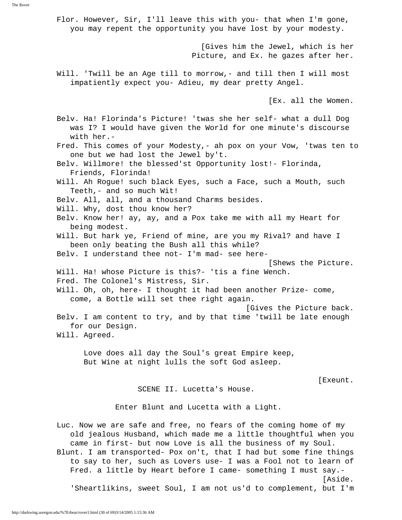Flor. However, Sir, I'll leave this with you- that when I'm gone, you may repent the opportunity you have lost by your modesty. [Gives him the Jewel, which is her Picture, and Ex. he gazes after her. Will. 'Twill be an Age till to morrow,- and till then I will most impatiently expect you- Adieu, my dear pretty Angel. [Ex. all the Women. Belv. Ha! Florinda's Picture! 'twas she her self- what a dull Dog was I? I would have given the World for one minute's discourse with her.- Fred. This comes of your Modesty,- ah pox on your Vow, 'twas ten to one but we had lost the Jewel by't. Belv. Willmore! the blessed'st Opportunity lost!- Florinda, Friends, Florinda! Will. Ah Rogue! such black Eyes, such a Face, such a Mouth, such Teeth,- and so much Wit! Belv. All, all, and a thousand Charms besides. Will. Why, dost thou know her? Belv. Know her! ay, ay, and a Pox take me with all my Heart for being modest. Will. But hark ye, Friend of mine, are you my Rival? and have I been only beating the Bush all this while? Belv. I understand thee not- I'm mad- see here- [Shews the Picture. Will. Ha! whose Picture is this?- 'tis a fine Wench. Fred. The Colonel's Mistress, Sir. Will. Oh, oh, here- I thought it had been another Prize- come, come, a Bottle will set thee right again. [Gives the Picture back. Belv. I am content to try, and by that time 'twill be late enough for our Design. Will. Agreed. Love does all day the Soul's great Empire keep, But Wine at night lulls the soft God asleep. [Exeunt. SCENE II. Lucetta's House. Enter Blunt and Lucetta with a Light. Luc. Now we are safe and free, no fears of the coming home of my old jealous Husband, which made me a little thoughtful when you came in first- but now Love is all the business of my Soul. Blunt. I am transported- Pox on't, that I had but some fine things

 to say to her, such as Lovers use- I was a Fool not to learn of Fred. a little by Heart before I came- something I must say.- [Aside.

'Sheartlikins, sweet Soul, I am not us'd to complement, but I'm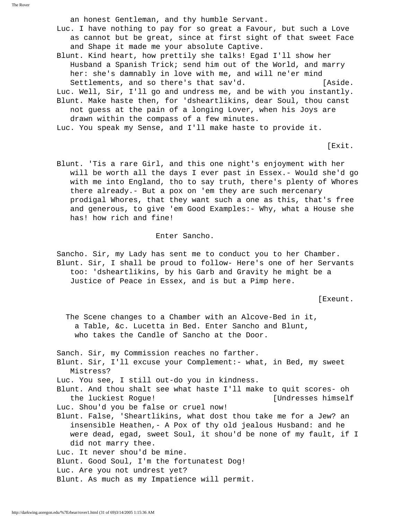an honest Gentleman, and thy humble Servant.

- Luc. I have nothing to pay for so great a Favour, but such a Love as cannot but be great, since at first sight of that sweet Face and Shape it made me your absolute Captive.
- Blunt. Kind heart, how prettily she talks! Egad I'll show her Husband a Spanish Trick; send him out of the World, and marry her: she's damnably in love with me, and will ne'er mind Settlements, and so there's that sav'd. [Aside. Luc. Well, Sir, I'll go and undress me, and be with you instantly.
- Blunt. Make haste then, for 'dsheartlikins, dear Soul, thou canst not guess at the pain of a longing Lover, when his Joys are drawn within the compass of a few minutes.

Luc. You speak my Sense, and I'll make haste to provide it.

[Exit.

 Blunt. 'Tis a rare Girl, and this one night's enjoyment with her will be worth all the days I ever past in Essex.- Would she'd go with me into England, tho to say truth, there's plenty of Whores there already.- But a pox on 'em they are such mercenary prodigal Whores, that they want such a one as this, that's free and generous, to give 'em Good Examples:- Why, what a House she has! how rich and fine!

Enter Sancho.

 Sancho. Sir, my Lady has sent me to conduct you to her Chamber. Blunt. Sir, I shall be proud to follow- Here's one of her Servants too: 'dsheartlikins, by his Garb and Gravity he might be a Justice of Peace in Essex, and is but a Pimp here.

[Exeunt.

 The Scene changes to a Chamber with an Alcove-Bed in it, a Table, &c. Lucetta in Bed. Enter Sancho and Blunt, who takes the Candle of Sancho at the Door.

Sanch. Sir, my Commission reaches no farther.

 Blunt. Sir, I'll excuse your Complement:- what, in Bed, my sweet Mistress?

Luc. You see, I still out-do you in kindness.

- Blunt. And thou shalt see what haste I'll make to quit scores- oh the luckiest Rogue! [Undresses himself Luc. Shou'd you be false or cruel now!
- Blunt. False, 'Sheartlikins, what dost thou take me for a Jew? an insensible Heathen,- A Pox of thy old jealous Husband: and he were dead, egad, sweet Soul, it shou'd be none of my fault, if I did not marry thee.

Luc. It never shou'd be mine.

Blunt. Good Soul, I'm the fortunatest Dog!

Luc. Are you not undrest yet?

Blunt. As much as my Impatience will permit.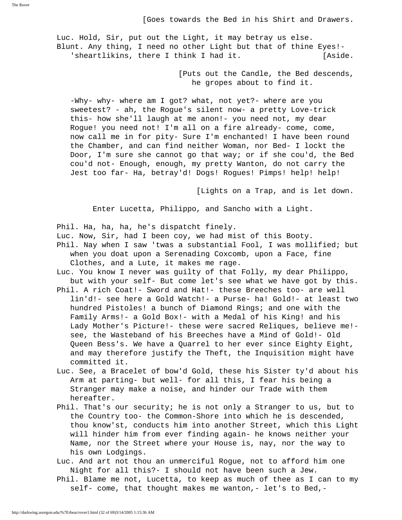Luc. Hold, Sir, put out the Light, it may betray us else. Blunt. Any thing, I need no other Light but that of thine Eyes!- 'sheartlikins, there I think I had it. [Aside.

> [Puts out the Candle, the Bed descends, he gropes about to find it.

 -Why- why- where am I got? what, not yet?- where are you sweetest? - ah, the Rogue's silent now- a pretty Love-trick this- how she'll laugh at me anon!- you need not, my dear Rogue! you need not! I'm all on a fire already- come, come, now call me in for pity- Sure I'm enchanted! I have been round the Chamber, and can find neither Woman, nor Bed- I lockt the Door, I'm sure she cannot go that way; or if she cou'd, the Bed cou'd not- Enough, enough, my pretty Wanton, do not carry the Jest too far- Ha, betray'd! Dogs! Rogues! Pimps! help! help!

[Lights on a Trap, and is let down.

Enter Lucetta, Philippo, and Sancho with a Light.

Phil. Ha, ha, ha, he's dispatcht finely.

Luc. Now, Sir, had I been coy, we had mist of this Booty.

- Phil. Nay when I saw 'twas a substantial Fool, I was mollified; but when you doat upon a Serenading Coxcomb, upon a Face, fine Clothes, and a Lute, it makes me rage.
- Luc. You know I never was guilty of that Folly, my dear Philippo, but with your self- But come let's see what we have got by this.
- Phil. A rich Coat!- Sword and Hat!- these Breeches too- are well lin'd!- see here a Gold Watch!- a Purse- ha! Gold!- at least two hundred Pistoles! a bunch of Diamond Rings; and one with the Family Arms!- a Gold Box!- with a Medal of his King! and his Lady Mother's Picture!- these were sacred Reliques, believe me! see, the Wasteband of his Breeches have a Mind of Gold!- Old Queen Bess's. We have a Quarrel to her ever since Eighty Eight, and may therefore justify the Theft, the Inquisition might have committed it.
- Luc. See, a Bracelet of bow'd Gold, these his Sister ty'd about his Arm at parting- but well- for all this, I fear his being a Stranger may make a noise, and hinder our Trade with them hereafter.
- Phil. That's our security; he is not only a Stranger to us, but to the Country too- the Common-Shore into which he is descended, thou know'st, conducts him into another Street, which this Light will hinder him from ever finding again- he knows neither your Name, nor the Street where your House is, nay, nor the way to his own Lodgings.
- Luc. And art not thou an unmerciful Rogue, not to afford him one Night for all this?- I should not have been such a Jew.
- Phil. Blame me not, Lucetta, to keep as much of thee as I can to my self- come, that thought makes me wanton,- let's to Bed,-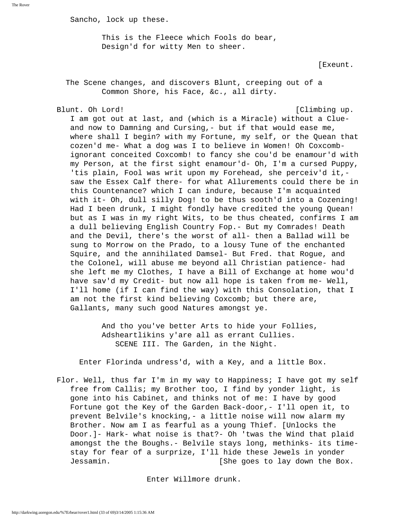Sancho, lock up these.

 This is the Fleece which Fools do bear, Design'd for witty Men to sheer.

[Exeunt.

 The Scene changes, and discovers Blunt, creeping out of a Common Shore, his Face, &c., all dirty.

### Blunt. Oh Lord! [Climbing up.

 I am got out at last, and (which is a Miracle) without a Clue and now to Damning and Cursing,- but if that would ease me, where shall I begin? with my Fortune, my self, or the Quean that cozen'd me- What a dog was I to believe in Women! Oh Coxcomb ignorant conceited Coxcomb! to fancy she cou'd be enamour'd with my Person, at the first sight enamour'd- Oh, I'm a cursed Puppy, 'tis plain, Fool was writ upon my Forehead, she perceiv'd it, saw the Essex Calf there- for what Allurements could there be in this Countenance? which I can indure, because I'm acquainted with it- Oh, dull silly Dog! to be thus sooth'd into a Cozening! Had I been drunk, I might fondly have credited the young Quean! but as I was in my right Wits, to be thus cheated, confirms I am a dull believing English Country Fop.- But my Comrades! Death and the Devil, there's the worst of all- then a Ballad will be sung to Morrow on the Prado, to a lousy Tune of the enchanted Squire, and the annihilated Damsel- But Fred. that Rogue, and the Colonel, will abuse me beyond all Christian patience- had she left me my Clothes, I have a Bill of Exchange at home wou'd have sav'd my Credit- but now all hope is taken from me- Well, I'll home (if I can find the way) with this Consolation, that I am not the first kind believing Coxcomb; but there are, Gallants, many such good Natures amongst ye.

> And tho you've better Arts to hide your Follies, Adsheartlikins y'are all as errant Cullies. SCENE III. The Garden, in the Night.

Enter Florinda undress'd, with a Key, and a little Box.

 Flor. Well, thus far I'm in my way to Happiness; I have got my self free from Callis; my Brother too, I find by yonder light, is gone into his Cabinet, and thinks not of me: I have by good Fortune got the Key of the Garden Back-door,- I'll open it, to prevent Belvile's knocking,- a little noise will now alarm my Brother. Now am I as fearful as a young Thief. [Unlocks the Door.]- Hark- what noise is that?- Oh 'twas the Wind that plaid amongst the the Boughs.- Belvile stays long, methinks- its time stay for fear of a surprize, I'll hide these Jewels in yonder Jessamin. [She goes to lay down the Box.

Enter Willmore drunk.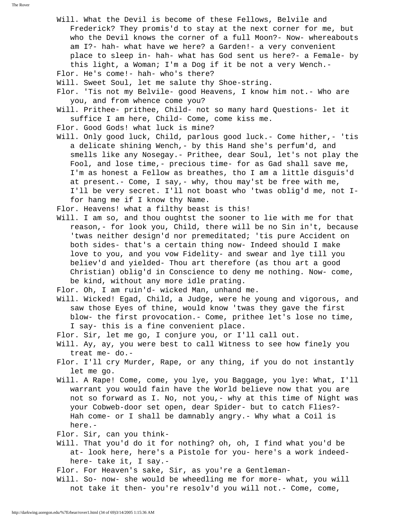Will. What the Devil is become of these Fellows, Belvile and Frederick? They promis'd to stay at the next corner for me, but who the Devil knows the corner of a full Moon?- Now- whereabouts am I?- hah- what have we here? a Garden!- a very convenient place to sleep in- hah- what has God sent us here?- a Female- by this light, a Woman; I'm a Dog if it be not a very Wench.- Flor. He's come!- hah- who's there? Will. Sweet Soul, let me salute thy Shoe-string. Flor. 'Tis not my Belvile- good Heavens, I know him not.- Who are you, and from whence come you? Will. Prithee- prithee, Child- not so many hard Questions- let it suffice I am here, Child- Come, come kiss me. Flor. Good Gods! what luck is mine? Will. Only good luck, Child, parlous good luck.- Come hither,- 'tis a delicate shining Wench,- by this Hand she's perfum'd, and smells like any Nosegay.- Prithee, dear Soul, let's not play the Fool, and lose time,- precious time- for as Gad shall save me, I'm as honest a Fellow as breathes, tho I am a little disguis'd at present.- Come, I say,- why, thou may'st be free with me, I'll be very secret. I'll not boast who 'twas oblig'd me, not I for hang me if I know thy Name. Flor. Heavens! what a filthy beast is this! Will. I am so, and thou oughtst the sooner to lie with me for that reason,- for look you, Child, there will be no Sin in't, because 'twas neither design'd nor premeditated; 'tis pure Accident on both sides- that's a certain thing now- Indeed should I make love to you, and you vow Fidelity- and swear and lye till you believ'd and yielded- Thou art therefore (as thou art a good Christian) oblig'd in Conscience to deny me nothing. Now- come, be kind, without any more idle prating. Flor. Oh, I am ruin'd- wicked Man, unhand me. Will. Wicked! Egad, Child, a Judge, were he young and vigorous, and saw those Eyes of thine, would know 'twas they gave the first blow- the first provocation.- Come, prithee let's lose no time, I say- this is a fine convenient place. Flor. Sir, let me go, I conjure you, or I'll call out. Will. Ay, ay, you were best to call Witness to see how finely you treat me- do.- Flor. I'll cry Murder, Rape, or any thing, if you do not instantly let me go. Will. A Rape! Come, come, you lye, you Baggage, you lye: What, I'll warrant you would fain have the World believe now that you are not so forward as I. No, not you,- why at this time of Night was your Cobweb-door set open, dear Spider- but to catch Flies?- Hah come- or I shall be damnably angry.- Why what a Coil is here.- Flor. Sir, can you think- Will. That you'd do it for nothing? oh, oh, I find what you'd be at- look here, here's a Pistole for you- here's a work indeed here- take it, I say.- Flor. For Heaven's sake, Sir, as you're a Gentleman-

 Will. So- now- she would be wheedling me for more- what, you will not take it then- you're resolv'd you will not.- Come, come,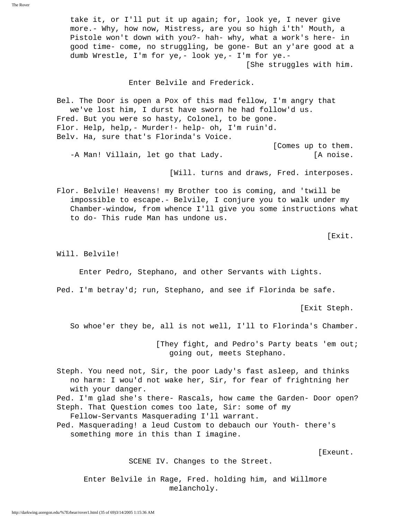take it, or I'll put it up again; for, look ye, I never give more.- Why, how now, Mistress, are you so high i'th' Mouth, a Pistole won't down with you?- hah- why, what a work's here- in good time- come, no struggling, be gone- But an y'are good at a dumb Wrestle, I'm for ye,- look ye,- I'm for ye.- [She struggles with him.

Enter Belvile and Frederick.

 Bel. The Door is open a Pox of this mad fellow, I'm angry that we've lost him, I durst have sworn he had follow'd us. Fred. But you were so hasty, Colonel, to be gone. Flor. Help, help,- Murder!- help- oh, I'm ruin'd. Belv. Ha, sure that's Florinda's Voice.

 [Comes up to them. -A Man! Villain, let go that Lady. [A noise.

[Will. turns and draws, Fred. interposes.

 Flor. Belvile! Heavens! my Brother too is coming, and 'twill be impossible to escape.- Belvile, I conjure you to walk under my Chamber-window, from whence I'll give you some instructions what to do- This rude Man has undone us.

[Exit.

Will. Belvile!

Enter Pedro, Stephano, and other Servants with Lights.

Ped. I'm betray'd; run, Stephano, and see if Florinda be safe.

[Exit Steph.

So whoe'er they be, all is not well, I'll to Florinda's Chamber.

[They fight, and Pedro's Party beats 'em out; going out, meets Stephano.

 Steph. You need not, Sir, the poor Lady's fast asleep, and thinks no harm: I wou'd not wake her, Sir, for fear of frightning her with your danger. Ped. I'm glad she's there- Rascals, how came the Garden- Door open? Steph. That Question comes too late, Sir: some of my Fellow-Servants Masquerading I'll warrant. Ped. Masquerading! a leud Custom to debauch our Youth- there's

something more in this than I imagine.

[Exeunt.

SCENE IV. Changes to the Street.

 Enter Belvile in Rage, Fred. holding him, and Willmore melancholy.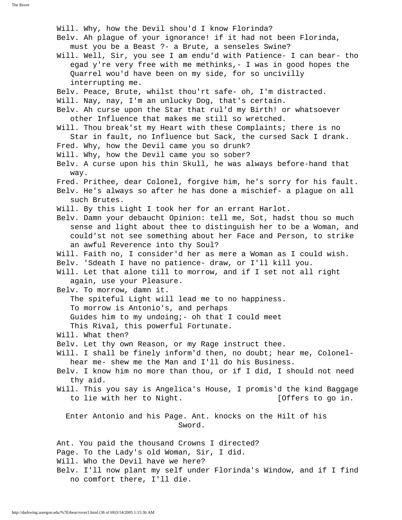Will. Why, how the Devil shou'd I know Florinda? Belv. Ah plague of your ignorance! if it had not been Florinda, must you be a Beast ?- a Brute, a senseles Swine? Will. Well, Sir, you see I am endu'd with Patience- I can bear- tho egad y're very free with me methinks,- I was in good hopes the Quarrel wou'd have been on my side, for so uncivilly interrupting me. Belv. Peace, Brute, whilst thou'rt safe- oh, I'm distracted. Will. Nay, nay, I'm an unlucky Dog, that's certain. Belv. Ah curse upon the Star that rul'd my Birth! or whatsoever other Influence that makes me still so wretched. Will. Thou break'st my Heart with these Complaints; there is no Star in fault, no Influence but Sack, the cursed Sack I drank. Fred. Why, how the Devil came you so drunk? Will. Why, how the Devil came you so sober? Belv. A curse upon his thin Skull, he was always before-hand that way. Fred. Prithee, dear Colonel, forgive him, he's sorry for his fault. Belv. He's always so after he has done a mischief- a plague on all such Brutes. Will. By this Light I took her for an errant Harlot. Belv. Damn your debaucht Opinion: tell me, Sot, hadst thou so much sense and light about thee to distinguish her to be a Woman, and could'st not see something about her Face and Person, to strike an awful Reverence into thy Soul? Will. Faith no, I consider'd her as mere a Woman as I could wish. Belv. 'Sdeath I have no patience- draw, or I'll kill you. Will. Let that alone till to morrow, and if I set not all right again, use your Pleasure. Belv. To morrow, damn it. The spiteful Light will lead me to no happiness. To morrow is Antonio's, and perhaps Guides him to my undoing;- oh that I could meet This Rival, this powerful Fortunate. Will. What then? Belv. Let thy own Reason, or my Rage instruct thee. Will. I shall be finely inform'd then, no doubt; hear me, Colonel hear me- shew me the Man and I'll do his Business. Belv. I know him no more than thou, or if I did, I should not need thy aid. Will. This you say is Angelica's House, I promis'd the kind Baggage to lie with her to Night. [Offers to go in. Enter Antonio and his Page. Ant. knocks on the Hilt of his Sword. Ant. You paid the thousand Crowns I directed? Page. To the Lady's old Woman, Sir, I did. Will. Who the Devil have we here? Belv. I'll now plant my self under Florinda's Window, and if I find no comfort there, I'll die.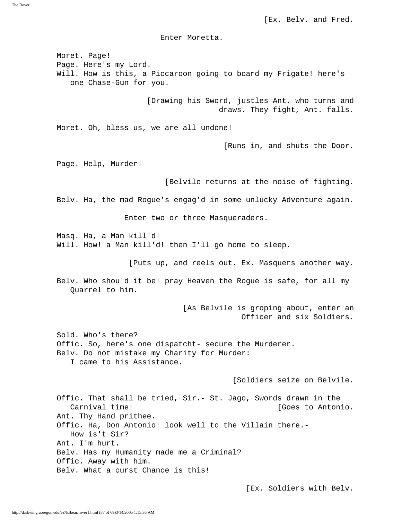The Rover

[Ex. Belv. and Fred.

Enter Moretta.

 Moret. Page! Page. Here's my Lord. Will. How is this, a Piccaroon going to board my Frigate! here's one Chase-Gun for you. [Drawing his Sword, justles Ant. who turns and draws. They fight, Ant. falls. Moret. Oh, bless us, we are all undone! [Runs in, and shuts the Door. Page. Help, Murder! [Belvile returns at the noise of fighting. Belv. Ha, the mad Rogue's engag'd in some unlucky Adventure again. Enter two or three Masqueraders. Masq. Ha, a Man kill'd! Will. How! a Man kill'd! then I'll go home to sleep. [Puts up, and reels out. Ex. Masquers another way. Belv. Who shou'd it be! pray Heaven the Rogue is safe, for all my Quarrel to him. [As Belvile is groping about, enter an Officer and six Soldiers. Sold. Who's there? Offic. So, here's one dispatcht- secure the Murderer. Belv. Do not mistake my Charity for Murder: I came to his Assistance. [Soldiers seize on Belvile. Offic. That shall be tried, Sir.- St. Jago, Swords drawn in the Carnival time! [Goes to Antonio. Ant. Thy Hand prithee. Offic. Ha, Don Antonio! look well to the Villain there.- How is't Sir? Ant. I'm hurt. Belv. Has my Humanity made me a Criminal? Offic. Away with him. Belv. What a curst Chance is this!

[Ex. Soldiers with Belv.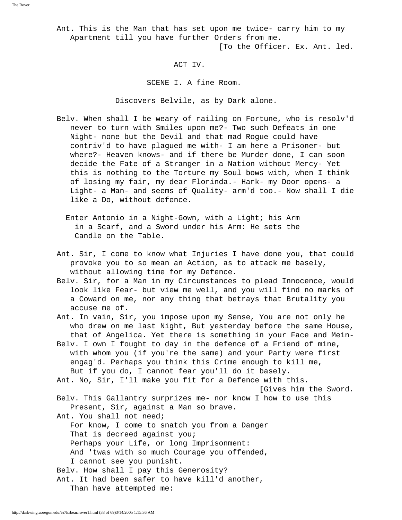[To the Officer. Ex. Ant. led.

## ACT IV.

SCENE I. A fine Room.

Discovers Belvile, as by Dark alone.

- Belv. When shall I be weary of railing on Fortune, who is resolv'd never to turn with Smiles upon me?- Two such Defeats in one Night- none but the Devil and that mad Rogue could have contriv'd to have plagued me with- I am here a Prisoner- but where?- Heaven knows- and if there be Murder done, I can soon decide the Fate of a Stranger in a Nation without Mercy- Yet this is nothing to the Torture my Soul bows with, when I think of losing my fair, my dear Florinda.- Hark- my Door opens- a Light- a Man- and seems of Quality- arm'd too.- Now shall I die like a Do, without defence.
	- Enter Antonio in a Night-Gown, with a Light; his Arm in a Scarf, and a Sword under his Arm: He sets the Candle on the Table.
- Ant. Sir, I come to know what Injuries I have done you, that could provoke you to so mean an Action, as to attack me basely, without allowing time for my Defence.
- Belv. Sir, for a Man in my Circumstances to plead Innocence, would look like Fear- but view me well, and you will find no marks of a Coward on me, nor any thing that betrays that Brutality you accuse me of.
- Ant. In vain, Sir, you impose upon my Sense, You are not only he who drew on me last Night, But yesterday before the same House, that of Angelica. Yet there is something in your Face and Mein-
- Belv. I own I fought to day in the defence of a Friend of mine, with whom you (if you're the same) and your Party were first engag'd. Perhaps you think this Crime enough to kill me, But if you do, I cannot fear you'll do it basely.
- Ant. No, Sir, I'll make you fit for a Defence with this.

[Gives him the Sword.

 Belv. This Gallantry surprizes me- nor know I how to use this Present, Sir, against a Man so brave.

Ant. You shall not need;

 For know, I come to snatch you from a Danger That is decreed against you; Perhaps your Life, or long Imprisonment: And 'twas with so much Courage you offended,

- I cannot see you punisht.
- Belv. How shall I pay this Generosity?

 Ant. It had been safer to have kill'd another, Than have attempted me: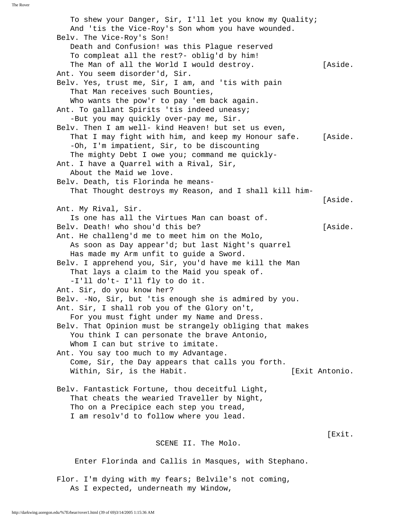To shew your Danger, Sir, I'll let you know my Quality; And 'tis the Vice-Roy's Son whom you have wounded. Belv. The Vice-Roy's Son! Death and Confusion! was this Plague reserved To compleat all the rest?- oblig'd by him! The Man of all the World I would destroy. [Aside. Ant. You seem disorder'd, Sir. Belv. Yes, trust me, Sir, I am, and 'tis with pain That Man receives such Bounties, Who wants the pow'r to pay 'em back again. Ant. To gallant Spirits 'tis indeed uneasy; -But you may quickly over-pay me, Sir. Belv. Then I am well- kind Heaven! but set us even, That I may fight with him, and keep my Honour safe. [Aside. -Oh, I'm impatient, Sir, to be discounting The mighty Debt I owe you; command me quickly- Ant. I have a Quarrel with a Rival, Sir, About the Maid we love. Belv. Death, tis Florinda he means- That Thought destroys my Reason, and I shall kill him- [Aside. Ant. My Rival, Sir. Is one has all the Virtues Man can boast of. Belv. Death! who shou'd this be? [Aside. Ant. He challeng'd me to meet him on the Molo, As soon as Day appear'd; but last Night's quarrel Has made my Arm unfit to guide a Sword. Belv. I apprehend you, Sir, you'd have me kill the Man That lays a claim to the Maid you speak of. -I'll do't- I'll fly to do it. Ant. Sir, do you know her? Belv. -No, Sir, but 'tis enough she is admired by you. Ant. Sir, I shall rob you of the Glory on't, For you must fight under my Name and Dress. Belv. That Opinion must be strangely obliging that makes You think I can personate the brave Antonio, Whom I can but strive to imitate. Ant. You say too much to my Advantage. Come, Sir, the Day appears that calls you forth. Within, Sir, is the Habit.  $[Exit$  Antonio. Belv. Fantastick Fortune, thou deceitful Light, That cheats the wearied Traveller by Night, Tho on a Precipice each step you tread, I am resolv'd to follow where you lead. [Exit. SCENE II. The Molo. Enter Florinda and Callis in Masques, with Stephano.

 Flor. I'm dying with my fears; Belvile's not coming, As I expected, underneath my Window,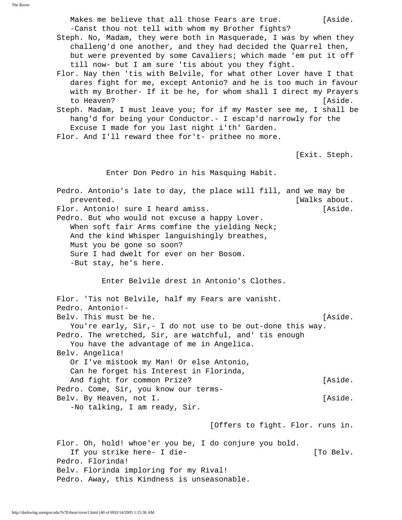Makes me believe that all those Fears are true. [Aside. -Canst thou not tell with whom my Brother fights?

 Steph. No, Madam, they were both in Masquerade, I was by when they challeng'd one another, and they had decided the Quarrel then, but were prevented by some Cavaliers; which made 'em put it off till now- but I am sure 'tis about you they fight.

 Flor. Nay then 'tis with Belvile, for what other Lover have I that dares fight for me, except Antonio? and he is too much in favour with my Brother- If it be he, for whom shall I direct my Prayers to Heaven? [Aside.

 Steph. Madam, I must leave you; for if my Master see me, I shall be hang'd for being your Conductor.- I escap'd narrowly for the Excuse I made for you last night i'th' Garden.

Flor. And I'll reward thee for't- prithee no more.

[Exit. Steph.

Enter Don Pedro in his Masquing Habit.

 Pedro. Antonio's late to day, the place will fill, and we may be prevented. [Walks about. Flor. Antonio! sure I heard amiss. The same state of the last of the set of the set of the set of the set of the set of the set of the set of the set of the set of the set of the set of the set of the set of the set of the Pedro. But who would not excuse a happy Lover. When soft fair Arms comfine the yielding Neck; And the kind Whisper languishingly breathes, Must you be gone so soon? Sure I had dwelt for ever on her Bosom. -But stay, he's here. Enter Belvile drest in Antonio's Clothes. Flor. 'Tis not Belvile, half my Fears are vanisht. Pedro. Antonio!- Belv. This must be he. [Aside.] You're early, Sir,- I do not use to be out-done this way. Pedro. The wretched, Sir, are watchful, and' tis enough You have the advantage of me in Angelica. Belv. Angelica! Or I've mistook my Man! Or else Antonio, Can he forget his Interest in Florinda, And fight for common Prize? [Aside. Pedro. Come, Sir, you know our terms- Belv. By Heaven, not I. [Aside.] -No talking, I am ready, Sir. [Offers to fight. Flor. runs in.

 Flor. Oh, hold! whoe'er you be, I do conjure you bold. If you strike here- I die- The controller and the line of the line of the line of the line of the line of the line of the line of the line of the line of the line of the line of the line of the line of the line of the line Pedro. Florinda! Belv. Florinda imploring for my Rival! Pedro. Away, this Kindness is unseasonable.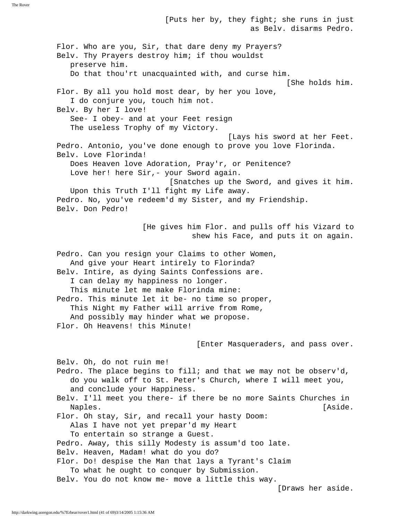as Belv. disarms Pedro. Flor. Who are you, Sir, that dare deny my Prayers? Belv. Thy Prayers destroy him; if thou wouldst preserve him. Do that thou'rt unacquainted with, and curse him. [She holds him. Flor. By all you hold most dear, by her you love, I do conjure you, touch him not. Belv. By her I love! See- I obey- and at your Feet resign The useless Trophy of my Victory. [Lays his sword at her Feet. Pedro. Antonio, you've done enough to prove you love Florinda. Belv. Love Florinda! Does Heaven love Adoration, Pray'r, or Penitence? Love her! here Sir, - your Sword again. [Snatches up the Sword, and gives it him. Upon this Truth I'll fight my Life away. Pedro. No, you've redeem'd my Sister, and my Friendship. Belv. Don Pedro! [He gives him Flor. and pulls off his Vizard to shew his Face, and puts it on again. Pedro. Can you resign your Claims to other Women, And give your Heart intirely to Florinda? Belv. Intire, as dying Saints Confessions are. I can delay my happiness no longer. This minute let me make Florinda mine: Pedro. This minute let it be- no time so proper, This Night my Father will arrive from Rome, And possibly may hinder what we propose. Flor. Oh Heavens! this Minute! [Enter Masqueraders, and pass over. Belv. Oh, do not ruin me! Pedro. The place begins to fill; and that we may not be observ'd, do you walk off to St. Peter's Church, where I will meet you, and conclude your Happiness. Belv. I'll meet you there- if there be no more Saints Churches in Naples. [Aside.] Flor. Oh stay, Sir, and recall your hasty Doom: Alas I have not yet prepar'd my Heart To entertain so strange a Guest. Pedro. Away, this silly Modesty is assum'd too late. Belv. Heaven, Madam! what do you do? Flor. Do! despise the Man that lays a Tyrant's Claim To what he ought to conquer by Submission. Belv. You do not know me- move a little this way.

[Puts her by, they fight; she runs in just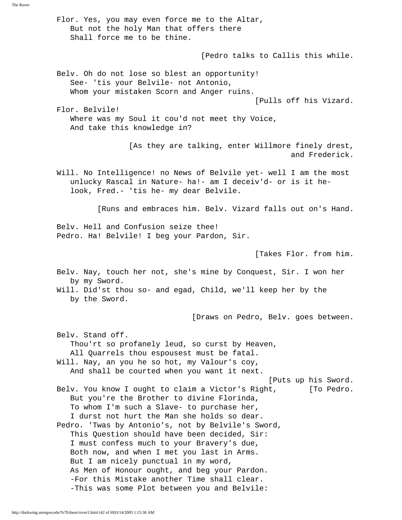Flor. Yes, you may even force me to the Altar, But not the holy Man that offers there Shall force me to be thine. [Pedro talks to Callis this while. Belv. Oh do not lose so blest an opportunity! See- 'tis your Belvile- not Antonio, Whom your mistaken Scorn and Anger ruins. [Pulls off his Vizard. Flor. Belvile! Where was my Soul it cou'd not meet thy Voice, And take this knowledge in? [As they are talking, enter Willmore finely drest, and Frederick. Will. No Intelligence! no News of Belvile yet- well I am the most unlucky Rascal in Nature- ha!- am I deceiv'd- or is it he look, Fred.- 'tis he- my dear Belvile. [Runs and embraces him. Belv. Vizard falls out on's Hand. Belv. Hell and Confusion seize thee! Pedro. Ha! Belvile! I beg your Pardon, Sir. [Takes Flor. from him. Belv. Nay, touch her not, she's mine by Conquest, Sir. I won her by my Sword. Will. Did'st thou so- and egad, Child, we'll keep her by the by the Sword. [Draws on Pedro, Belv. goes between. Belv. Stand off. Thou'rt so profanely leud, so curst by Heaven, All Quarrels thou espousest must be fatal. Will. Nay, an you he so hot, my Valour's coy, And shall be courted when you want it next. [Puts up his Sword. Belv. You know I ought to claim a Victor's Right, [To Pedro. But you're the Brother to divine Florinda, To whom I'm such a Slave- to purchase her, I durst not hurt the Man she holds so dear. Pedro. 'Twas by Antonio's, not by Belvile's Sword, This Question should have been decided, Sir: I must confess much to your Bravery's due, Both now, and when I met you last in Arms. But I am nicely punctual in my word, As Men of Honour ought, and beg your Pardon. -For this Mistake another Time shall clear. -This was some Plot between you and Belvile:

The Rover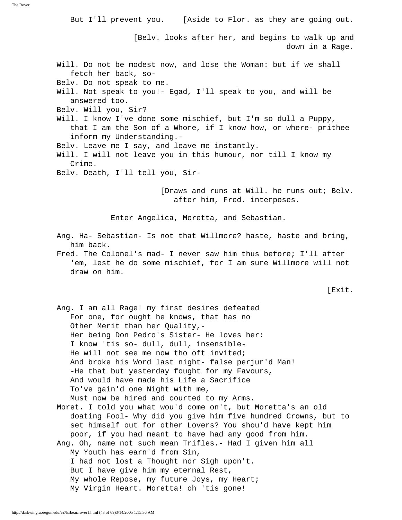But I'll prevent you. [Aside to Flor. as they are going out. [Belv. looks after her, and begins to walk up and down in a Rage. Will. Do not be modest now, and lose the Woman: but if we shall fetch her back, so- Belv. Do not speak to me. Will. Not speak to you!- Egad, I'll speak to you, and will be answered too. Belv. Will you, Sir? Will. I know I've done some mischief, but I'm so dull a Puppy, that I am the Son of a Whore, if I know how, or where- prithee inform my Understanding.- Belv. Leave me I say, and leave me instantly. Will. I will not leave you in this humour, nor till I know my Crime. Belv. Death, I'll tell you, Sir- [Draws and runs at Will. he runs out; Belv. after him, Fred. interposes. Enter Angelica, Moretta, and Sebastian. Ang. Ha- Sebastian- Is not that Willmore? haste, haste and bring, him back. Fred. The Colonel's mad- I never saw him thus before; I'll after 'em, lest he do some mischief, for I am sure Willmore will not draw on him. [Exit. Ang. I am all Rage! my first desires defeated For one, for ought he knows, that has no Other Merit than her Quality,- Her being Don Pedro's Sister- He loves her: I know 'tis so- dull, dull, insensible- He will not see me now tho oft invited; And broke his Word last night- false perjur'd Man! -He that but yesterday fought for my Favours, And would have made his Life a Sacrifice To've gain'd one Night with me, Must now be hired and courted to my Arms. Moret. I told you what wou'd come on't, but Moretta's an old doating Fool- Why did you give him five hundred Crowns, but to set himself out for other Lovers? You shou'd have kept him poor, if you had meant to have had any good from him. Ang. Oh, name not such mean Trifles.- Had I given him all My Youth has earn'd from Sin, I had not lost a Thought nor Sigh upon't. But I have give him my eternal Rest, My whole Repose, my future Joys, my Heart; My Virgin Heart. Moretta! oh 'tis gone!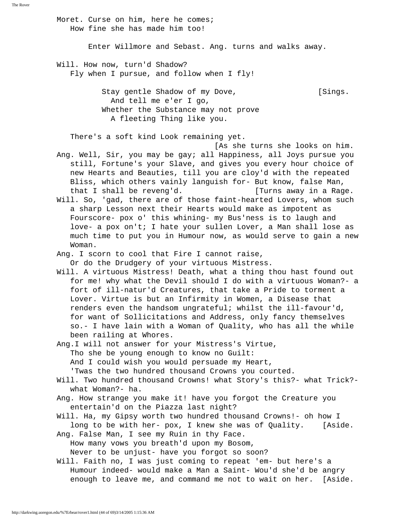Moret. Curse on him, here he comes; How fine she has made him too! Enter Willmore and Sebast. Ang. turns and walks away. Will. How now, turn'd Shadow? Fly when I pursue, and follow when I fly! Stay gentle Shadow of my Dove, [Sings. And tell me e'er I go, Whether the Substance may not prove A fleeting Thing like you. There's a soft kind Look remaining yet. [As she turns she looks on him. Ang. Well, Sir, you may be gay; all Happiness, all Joys pursue you still, Fortune's your Slave, and gives you every hour choice of new Hearts and Beauties, till you are cloy'd with the repeated Bliss, which others vainly languish for- But know, false Man, that I shall be reveng'd. [Turns away in a Rage. Will. So, 'gad, there are of those faint-hearted Lovers, whom such a sharp Lesson next their Hearts would make as impotent as Fourscore- pox o' this whining- my Bus'ness is to laugh and love- a pox on't; I hate your sullen Lover, a Man shall lose as much time to put you in Humour now, as would serve to gain a new Woman. Ang. I scorn to cool that Fire I cannot raise, Or do the Drudgery of your virtuous Mistress. Will. A virtuous Mistress! Death, what a thing thou hast found out for me! why what the Devil should I do with a virtuous Woman?- a fort of ill-natur'd Creatures, that take a Pride to torment a Lover. Virtue is but an Infirmity in Women, a Disease that renders even the handsom ungrateful; whilst the ill-favour'd, for want of Sollicitations and Address, only fancy themselves so.- I have lain with a Woman of Quality, who has all the while been railing at Whores. Ang.I will not answer for your Mistress's Virtue, Tho she be young enough to know no Guilt: And I could wish you would persuade my Heart, 'Twas the two hundred thousand Crowns you courted. Will. Two hundred thousand Crowns! what Story's this?- what Trick? what Woman?- ha. Ang. How strange you make it! have you forgot the Creature you entertain'd on the Piazza last night? Will. Ha, my Gipsy worth two hundred thousand Crowns!- oh how I long to be with her- pox, I knew she was of Quality. [Aside. Ang. False Man, I see my Ruin in thy Face. How many vows you breath'd upon my Bosom, Never to be unjust- have you forgot so soon? Will. Faith no, I was just coming to repeat 'em- but here's a Humour indeed- would make a Man a Saint- Wou'd she'd be angry enough to leave me, and command me not to wait on her. [Aside.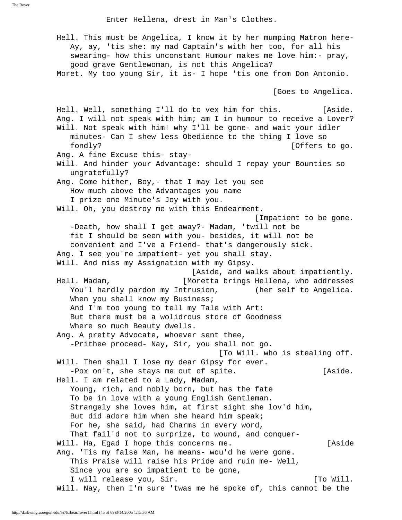Enter Hellena, drest in Man's Clothes.

 Hell. This must be Angelica, I know it by her mumping Matron here- Ay, ay, 'tis she: my mad Captain's with her too, for all his swearing- how this unconstant Humour makes me love him:- pray, good grave Gentlewoman, is not this Angelica? Moret. My too young Sir, it is- I hope 'tis one from Don Antonio. [Goes to Angelica. Hell. Well, something I'll do to vex him for this. [Aside. Ang. I will not speak with him; am I in humour to receive a Lover? Will. Not speak with him! why I'll be gone- and wait your idler minutes- Can I shew less Obedience to the thing I love so fondly? [Offers to go. Ang. A fine Excuse this- stay- Will. And hinder your Advantage: should I repay your Bounties so ungratefully? Ang. Come hither, Boy,- that I may let you see How much above the Advantages you name I prize one Minute's Joy with you. Will. Oh, you destroy me with this Endearment. [Impatient to be gone. -Death, how shall I get away?- Madam, 'twill not be fit I should be seen with you- besides, it will not be convenient and I've a Friend- that's dangerously sick. Ang. I see you're impatient- yet you shall stay. Will. And miss my Assignation with my Gipsy. [Aside, and walks about impatiently. Hell. Madam, [Moretta brings Hellena, who addresses You'l hardly pardon my Intrusion, (her self to Angelica. When you shall know my Business; And I'm too young to tell my Tale with Art: But there must be a wolidrous store of Goodness Where so much Beauty dwells. Ang. A pretty Advocate, whoever sent thee, -Prithee proceed- Nay, Sir, you shall not go. [To Will. who is stealing off. Will. Then shall I lose my dear Gipsy for ever. -Pox on't, she stays me out of spite. [Aside.] Hell. I am related to a Lady, Madam, Young, rich, and nobly born, but has the fate To be in love with a young English Gentleman. Strangely she loves him, at first sight she lov'd him, But did adore him when she heard him speak; For he, she said, had Charms in every word, That fail'd not to surprize, to wound, and conquer- Will. Ha, Egad I hope this concerns me. [Aside Ang. 'Tis my false Man, he means- wou'd he were gone. This Praise will raise his Pride and ruin me- Well, Since you are so impatient to be gone, I will release you, Sir. The contract of the set of the set of the set of the set of the set of the set of the Will. Nay, then I'm sure 'twas me he spoke of, this cannot be the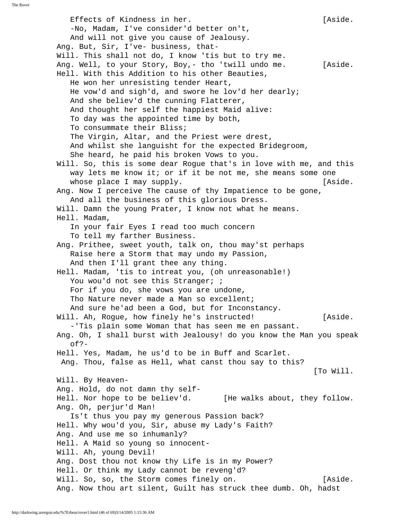Effects of Kindness in her. [Aside.] -No, Madam, I've consider'd better on't, And will not give you cause of Jealousy. Ang. But, Sir, I've- business, that- Will. This shall not do, I know 'tis but to try me. Ang. Well, to your Story, Boy,- tho 'twill undo me. [Aside. Hell. With this Addition to his other Beauties, He won her unresisting tender Heart, He vow'd and sigh'd, and swore he lov'd her dearly; And she believ'd the cunning Flatterer, And thought her self the happiest Maid alive: To day was the appointed time by both, To consummate their Bliss; The Virgin, Altar, and the Priest were drest, And whilst she languisht for the expected Bridegroom, She heard, he paid his broken Vows to you. Will. So, this is some dear Rogue that's in love with me, and this way lets me know it; or if it be not me, she means some one whose place I may supply. The same state of the state of the state. Ang. Now I perceive The cause of thy Impatience to be gone, And all the business of this glorious Dress. Will. Damn the young Prater, I know not what he means. Hell. Madam, In your fair Eyes I read too much concern To tell my farther Business. Ang. Prithee, sweet youth, talk on, thou may'st perhaps Raise here a Storm that may undo my Passion, And then I'll grant thee any thing. Hell. Madam, 'tis to intreat you, (oh unreasonable!) You wou'd not see this Stranger; ; For if you do, she vows you are undone, Tho Nature never made a Man so excellent; And sure he'ad been a God, but for Inconstancy. Will. Ah, Rogue, how finely he's instructed! [Aside. -'Tis plain some Woman that has seen me en passant. Ang. Oh, I shall burst with Jealousy! do you know the Man you speak  $of?$ - Hell. Yes, Madam, he us'd to be in Buff and Scarlet. Ang. Thou, false as Hell, what canst thou say to this? [To Will. Will. By Heaven- Ang. Hold, do not damn thy self- Hell. Nor hope to be believ'd. [He walks about, they follow. Ang. Oh, perjur'd Man! Is't thus you pay my generous Passion back? Hell. Why wou'd you, Sir, abuse my Lady's Faith? Ang. And use me so inhumanly? Hell. A Maid so young so innocent- Will. Ah, young Devil! Ang. Dost thou not know thy Life is in my Power? Hell. Or think my Lady cannot be reveng'd? Will. So, so, the Storm comes finely on. [Aside. Ang. Now thou art silent, Guilt has struck thee dumb. Oh, hadst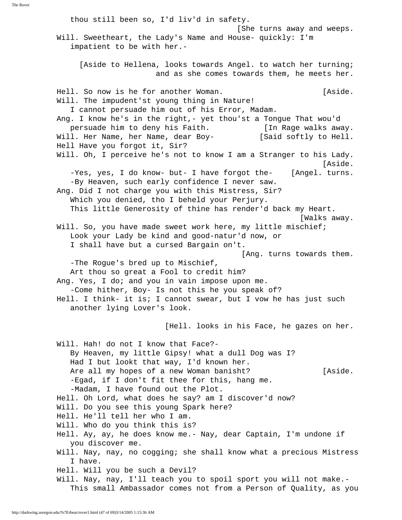thou still been so, I'd liv'd in safety. [She turns away and weeps. Will. Sweetheart, the Lady's Name and House- quickly: I'm impatient to be with her.- [Aside to Hellena, looks towards Angel. to watch her turning; and as she comes towards them, he meets her. Hell. So now is he for another Woman. [Aside. Will. The impudent'st young thing in Nature! I cannot persuade him out of his Error, Madam. Ang. I know he's in the right,- yet thou'st a Tongue That wou'd persuade him to deny his Faith. [In Rage walks away. Will. Her Name, her Name, dear Boy- [Said softly to Hell. Hell Have you forgot it, Sir? Will. Oh, I perceive he's not to know I am a Stranger to his Lady. [Aside. -Yes, yes, I do know- but- I have forgot the- [Angel. turns. -By Heaven, such early confidence I never saw. Ang. Did I not charge you with this Mistress, Sir? Which you denied, tho I beheld your Perjury. This little Generosity of thine has render'd back my Heart. [Walks away. Will. So, you have made sweet work here, my little mischief; Look your Lady be kind and good-natur'd now, or I shall have but a cursed Bargain on't. [Ang. turns towards them. -The Rogue's bred up to Mischief, Art thou so great a Fool to credit him? Ang. Yes, I do; and you in vain impose upon me. -Come hither, Boy- Is not this he you speak of? Hell. I think- it is; I cannot swear, but I vow he has just such another lying Lover's look. [Hell. looks in his Face, he gazes on her. Will. Hah! do not I know that Face?- By Heaven, my little Gipsy! what a dull Dog was I? Had I but lookt that way, I'd known her. Are all my hopes of a new Woman banisht? [Aside. -Egad, if I don't fit thee for this, hang me. -Madam, I have found out the Plot. Hell. Oh Lord, what does he say? am I discover'd now? Will. Do you see this young Spark here? Hell. He'll tell her who I am. Will. Who do you think this is? Hell. Ay, ay, he does know me.- Nay, dear Captain, I'm undone if you discover me. Will. Nay, nay, no cogging; she shall know what a precious Mistress I have. Hell. Will you be such a Devil? Will. Nay, nay, I'll teach you to spoil sport you will not make.- This small Ambassador comes not from a Person of Quality, as you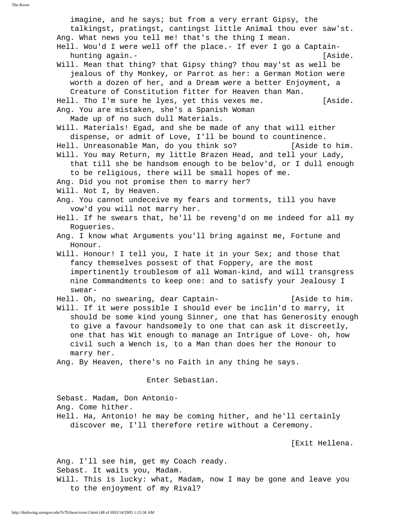imagine, and he says; but from a very errant Gipsy, the talkingst, pratingst, cantingst little Animal thou ever saw'st. Ang. What news you tell me! that's the thing I mean. Hell. Wou'd I were well off the place.- If ever I go a Captain hunting again.-<br>
[Aside. Will. Mean that thing? that Gipsy thing? thou may'st as well be jealous of thy Monkey, or Parrot as her: a German Motion were worth a dozen of her, and a Dream were a better Enjoyment, a Creature of Constitution fitter for Heaven than Man. Hell. Tho I'm sure he lyes, yet this vexes me. [Aside. Ang. You are mistaken, she's a Spanish Woman Made up of no such dull Materials. Will. Materials! Egad, and she be made of any that will either dispense, or admit of Love, I'll be bound to countinence. Hell. Unreasonable Man, do you think so? [Aside to him. Will. You may Return, my little Brazen Head, and tell your Lady, that till she be handsom enough to be belov'd, or I dull enough to be religious, there will be small hopes of me. Ang. Did you not promise then to marry her? Will. Not I, by Heaven. Ang. You cannot undeceive my fears and torments, till you have vow'd you will not marry her. Hell. If he swears that, he'll be reveng'd on me indeed for all my Rogueries. Ang. I know what Arguments you'll bring against me, Fortune and Honour. Will. Honour! I tell you, I hate it in your Sex; and those that fancy themselves possest of that Foppery, are the most impertinently troublesom of all Woman-kind, and will transgress nine Commandments to keep one: and to satisfy your Jealousy I swear- Hell. Oh, no swearing, dear Captain- [Aside to him. Will. If it were possible I should ever be inclin'd to marry, it should be some kind young Sinner, one that has Generosity enough to give a favour handsomely to one that can ask it discreetly, one that has Wit enough to manage an Intrigue of Love- oh, how civil such a Wench is, to a Man than does her the Honour to marry her. Ang. By Heaven, there's no Faith in any thing he says. Enter Sebastian. Sebast. Madam, Don Antonio- Ang. Come hither. Hell. Ha, Antonio! he may be coming hither, and he'll certainly discover me, I'll therefore retire without a Ceremony. [Exit Hellena.

 Ang. I'll see him, get my Coach ready. Sebast. It waits you, Madam. Will. This is lucky: what, Madam, now I may be gone and leave you to the enjoyment of my Rival?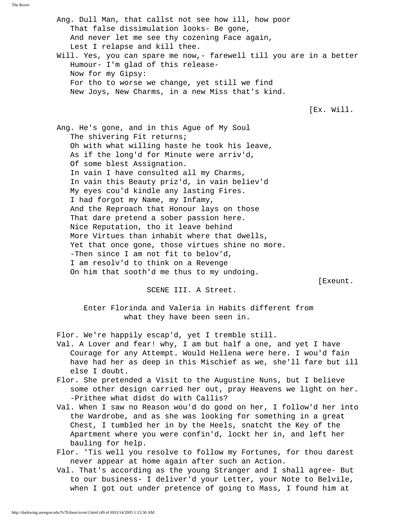The Rover

 Ang. Dull Man, that callst not see how ill, how poor That false dissimulation looks- Be gone, And never let me see thy cozening Face again, Lest I relapse and kill thee. Will. Yes, you can spare me now,- farewell till you are in a better Humour- I'm glad of this release- Now for my Gipsy: For tho to worse we change, yet still we find New Joys, New Charms, in a new Miss that's kind. [Ex. Will. Ang. He's gone, and in this Ague of My Soul The shivering Fit returns; Oh with what willing haste he took his leave, As if the long'd for Minute were arriv'd, Of some blest Assignation. In vain I have consulted all my Charms, In vain this Beauty priz'd, in vain believ'd My eyes cou'd kindle any lasting Fires. I had forgot my Name, my Infamy, And the Reproach that Honour lays on those That dare pretend a sober passion here. Nice Reputation, tho it leave behind More Virtues than inhabit where that dwells, Yet that once gone, those virtues shine no more. -Then since I am not fit to belov'd, I am resolv'd to think on a Revenge On him that sooth'd me thus to my undoing. [Exeunt. SCENE III. A Street. Enter Florinda and Valeria in Habits different from what they have been seen in. Flor. We're happily escap'd, yet I tremble still. Val. A Lover and fear! why, I am but half a one, and yet I have Courage for any Attempt. Would Hellena were here. I wou'd fain have had her as deep in this Mischief as we, she'll fare but ill else I doubt. Flor. She pretended a Visit to the Augustine Nuns, but I believe some other design carried her out, pray Heavens we light on her. -Prithee what didst do with Callis? Val. When I saw no Reason wou'd do good on her, I follow'd her into the Wardrobe, and as she was looking for something in a great Chest, I tumbled her in by the Heels, snatcht the Key of the Apartment where you were confin'd, lockt her in, and left her bauling for help. Flor. 'Tis well you resolve to follow my Fortunes, for thou darest

never appear at home again after such an Action.

 Val. That's according as the young Stranger and I shall agree- But to our business- I deliver'd your Letter, your Note to Belvile, when I got out under pretence of going to Mass, I found him at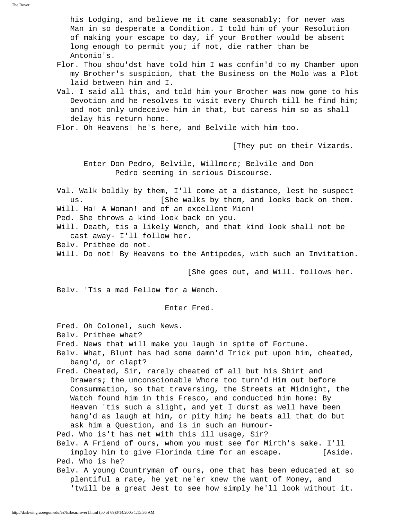his Lodging, and believe me it came seasonably; for never was Man in so desperate a Condition. I told him of your Resolution of making your escape to day, if your Brother would be absent long enough to permit you; if not, die rather than be Antonio's.

- Flor. Thou shou'dst have told him I was confin'd to my Chamber upon my Brother's suspicion, that the Business on the Molo was a Plot laid between him and I.
- Val. I said all this, and told him your Brother was now gone to his Devotion and he resolves to visit every Church till he find him; and not only undeceive him in that, but caress him so as shall delay his return home.
- Flor. Oh Heavens! he's here, and Belvile with him too.

[They put on their Vizards.

 Enter Don Pedro, Belvile, Willmore; Belvile and Don Pedro seeming in serious Discourse.

 Val. Walk boldly by them, I'll come at a distance, lest he suspect us. [She walks by them, and looks back on them. Will. Ha! A Woman! and of an excellent Mien!

Ped. She throws a kind look back on you.

 Will. Death, tis a likely Wench, and that kind look shall not be cast away- I'll follow her.

- Belv. Prithee do not.
- Will. Do not! By Heavens to the Antipodes, with such an Invitation.

[She goes out, and Will. follows her.

Belv. 'Tis a mad Fellow for a Wench.

Enter Fred.

- Fred. Oh Colonel, such News.
- Belv. Prithee what?
- Fred. News that will make you laugh in spite of Fortune.
- Belv. What, Blunt has had some damn'd Trick put upon him, cheated, bang'd, or clapt?
- Fred. Cheated, Sir, rarely cheated of all but his Shirt and Drawers; the unconscionable Whore too turn'd Him out before Consummation, so that traversing, the Streets at Midnight, the Watch found him in this Fresco, and conducted him home: By Heaven 'tis such a slight, and yet I durst as well have been hang'd as laugh at him, or pity him; he beats all that do but ask him a Question, and is in such an Humour-
- Ped. Who is't has met with this ill usage, Sir?

 Belv. A Friend of ours, whom you must see for Mirth's sake. I'll imploy him to give Florinda time for an escape. [Aside. Ped. Who is he?

 Belv. A young Countryman of ours, one that has been educated at so plentiful a rate, he yet ne'er knew the want of Money, and 'twill be a great Jest to see how simply he'll look without it.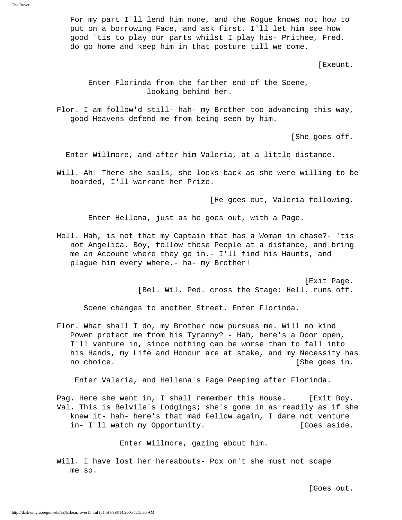For my part I'll lend him none, and the Rogue knows not how to put on a borrowing Face, and ask first. I'll let him see how good 'tis to play our parts whilst I play his- Prithee, Fred. do go home and keep him in that posture till we come.

[Exeunt.

 Enter Florinda from the farther end of the Scene, looking behind her.

 Flor. I am follow'd still- hah- my Brother too advancing this way, good Heavens defend me from being seen by him.

[She goes off.

Enter Willmore, and after him Valeria, at a little distance.

 Will. Ah! There she sails, she looks back as she were willing to be boarded, I'll warrant her Prize.

[He goes out, Valeria following.

Enter Hellena, just as he goes out, with a Page.

 Hell. Hah, is not that my Captain that has a Woman in chase?- 'tis not Angelica. Boy, follow those People at a distance, and bring me an Account where they go in.- I'll find his Haunts, and plague him every where.- ha- my Brother!

> [Exit Page. [Bel. Wil. Ped. cross the Stage: Hell. runs off.

Scene changes to another Street. Enter Florinda.

 Flor. What shall I do, my Brother now pursues me. Will no kind Power protect me from his Tyranny? - Hah, here's a Door open, I'll venture in, since nothing can be worse than to fall into his Hands, my Life and Honour are at stake, and my Necessity has no choice. **[She goes in.**  $[$ She goes in.

Enter Valeria, and Hellena's Page Peeping after Florinda.

Pag. Here she went in, I shall remember this House. [Exit Boy. Val. This is Belvile's Lodgings; she's gone in as readily as if she knew it- hah- here's that mad Fellow again, I dare not venture in- I'll watch my Opportunity. [Goes aside.

Enter Willmore, gazing about him.

 Will. I have lost her hereabouts- Pox on't she must not scape me so.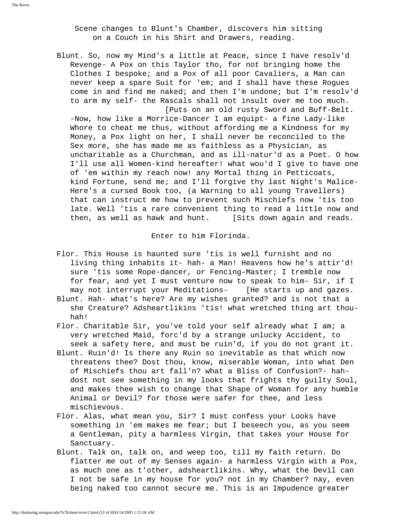Scene changes to Blunt's Chamber, discovers him sitting on a Couch in his Shirt and Drawers, reading.

 Blunt. So, now my Mind's a little at Peace, since I have resolv'd Revenge- A Pox on this Taylor tho, for not bringing home the Clothes I bespoke; and a Pox of all poor Cavaliers, a Man can never keep a spare Suit for 'em; and I shall have these Rogues come in and find me naked; and then I'm undone; but I'm resolv'd to arm my self- the Rascals shall not insult over me too much. [Puts on an old rusty Sword and Buff-Belt.

 -Now, how like a Morrice-Dancer I am equipt- a fine Lady-like Whore to cheat me thus, without affording me a Kindness for my Money, a Pox light on her, I shall never be reconciled to the Sex more, she has made me as faithless as a Physician, as uncharitable as a Churchman, and as ill-natur'd as a Poet. O how I'll use all Women-kind hereafter! what wou'd I give to have one of 'em within my reach now! any Mortal thing in Petticoats, kind Fortune, send me; and I'll forgive thy last Night's Malice- Here's a cursed Book too, (a Warning to all young Travellers) that can instruct me how to prevent such Mischiefs now 'tis too late. Well 'tis a rare convenient thing to read a little now and then, as well as hawk and hunt. [Sits down again and reads.

Enter to him Florinda.

- Flor. This House is haunted sure 'tis is well furnisht and no living thing inhabits it- hah- a Man! Heavens how he's attir'd! sure 'tis some Rope-dancer, or Fencing-Master; I tremble now for fear, and yet I must venture now to speak to him- Sir, if I may not interrupt your Meditations- [He starts up and gazes.
- Blunt. Hah- what's here? Are my wishes granted? and is not that a she Creature? Adsheartlikins 'tis! what wretched thing art thou hah!
- Flor. Charitable Sir, you've told your self already what I am; a very wretched Maid, forc'd by a strange unlucky Accident, to seek a safety here, and must be ruin'd, if you do not grant it.
- Blunt. Ruin'd! Is there any Ruin so inevitable as that which now threatens thee? Dost thou, know, miserable Woman, into what Den of Mischiefs thou art fall'n? what a Bliss of Confusion?- hah dost not see something in my looks that frights thy guilty Soul, and makes thee wish to change that Shape of Woman for any humble Animal or Devil? for those were safer for thee, and less mischievous.
- Flor. Alas, what mean you, Sir? I must confess your Looks have something in 'em makes me fear; but I beseech you, as you seem a Gentleman, pity a harmless Virgin, that takes your House for Sanctuary.
- Blunt. Talk on, talk on, and weep too, till my faith return. Do flatter me out of my Senses again- a harmless Virgin with a Pox, as much one as t'other, adsheartlikins. Why, what the Devil can I not be safe in my house for you? not in my Chamber? nay, even being naked too cannot secure me. This is an Impudence greater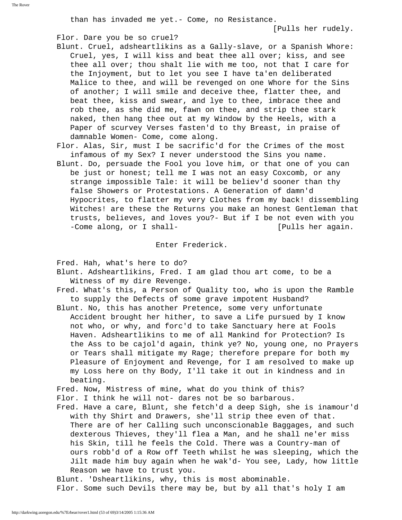than has invaded me yet.- Come, no Resistance.

[Pulls her rudely.

## Flor. Dare you be so cruel?

- Blunt. Cruel, adsheartlikins as a Gally-slave, or a Spanish Whore: Cruel, yes, I will kiss and beat thee all over; kiss, and see thee all over; thou shalt lie with me too, not that I care for the Injoyment, but to let you see I have ta'en deliberated Malice to thee, and will be revenged on one Whore for the Sins of another; I will smile and deceive thee, flatter thee, and beat thee, kiss and swear, and lye to thee, imbrace thee and rob thee, as she did me, fawn on thee, and strip thee stark naked, then hang thee out at my Window by the Heels, with a Paper of scurvey Verses fasten'd to thy Breast, in praise of damnable Women- Come, come along.
- Flor. Alas, Sir, must I be sacrific'd for the Crimes of the most infamous of my Sex? I never understood the Sins you name.
- Blunt. Do, persuade the Fool you love him, or that one of you can be just or honest; tell me I was not an easy Coxcomb, or any strange impossible Tale: it will be believ'd sooner than thy false Showers or Protestations. A Generation of damn'd Hypocrites, to flatter my very Clothes from my back! dissembling Witches! are these the Returns you make an honest Gentleman that trusts, believes, and loves you?- But if I be not even with you -Come along, or I shall-<br>  $[$  Pulls her again.

Enter Frederick.

Fred. Hah, what's here to do?

- Blunt. Adsheartlikins, Fred. I am glad thou art come, to be a Witness of my dire Revenge.
- Fred. What's this, a Person of Quality too, who is upon the Ramble to supply the Defects of some grave impotent Husband?
- Blunt. No, this has another Pretence, some very unfortunate Accident brought her hither, to save a Life pursued by I know not who, or why, and forc'd to take Sanctuary here at Fools Haven. Adsheartlikins to me of all Mankind for Protection? Is the Ass to be cajol'd again, think ye? No, young one, no Prayers or Tears shall mitigate my Rage; therefore prepare for both my Pleasure of Enjoyment and Revenge, for I am resolved to make up my Loss here on thy Body, I'll take it out in kindness and in beating.
- Fred. Now, Mistress of mine, what do you think of this? Flor. I think he will not- dares not be so barbarous.
- Fred. Have a care, Blunt, she fetch'd a deep Sigh, she is inamour'd with thy Shirt and Drawers, she'll strip thee even of that. There are of her Calling such unconscionable Baggages, and such dexterous Thieves, they'll flea a Man, and he shall ne'er miss his Skin, till he feels the Cold. There was a Country-man of ours robb'd of a Row off Teeth whilst he was sleeping, which the Jilt made him buy again when he wak'd- You see, Lady, how little Reason we have to trust you.

Blunt. 'Dsheartlikins, why, this is most abominable.

Flor. Some such Devils there may be, but by all that's holy I am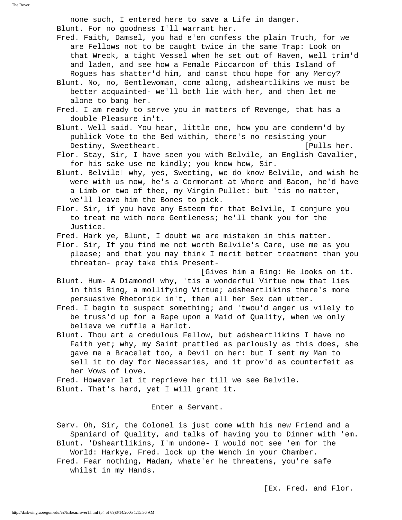none such, I entered here to save a Life in danger. Blunt. For no goodness I'll warrant her.

 Fred. Faith, Damsel, you had e'en confess the plain Truth, for we are Fellows not to be caught twice in the same Trap: Look on that Wreck, a tight Vessel when he set out of Haven, well trim'd and laden, and see how a Female Piccaroon of this Island of Rogues has shatter'd him, and canst thou hope for any Mercy?

- Blunt. No, no, Gentlewoman, come along, adsheartlikins we must be better acquainted- we'll both lie with her, and then let me alone to bang her.
- Fred. I am ready to serve you in matters of Revenge, that has a double Pleasure in't.
- Blunt. Well said. You hear, little one, how you are condemn'd by publick Vote to the Bed within, there's no resisting your Destiny, Sweetheart. [Pulls her.
- Flor. Stay, Sir, I have seen you with Belvile, an English Cavalier, for his sake use me kindly; you know how, Sir.
- Blunt. Belvile! why, yes, Sweeting, we do know Belvile, and wish he were with us now, he's a Cormorant at Whore and Bacon, he'd have a Limb or two of thee, my Virgin Pullet: but 'tis no matter, we'll leave him the Bones to pick.
- Flor. Sir, if you have any Esteem for that Belvile, I conjure you to treat me with more Gentleness; he'll thank you for the Justice.
- Fred. Hark ye, Blunt, I doubt we are mistaken in this matter.
- Flor. Sir, If you find me not worth Belvile's Care, use me as you please; and that you may think I merit better treatment than you threaten- pray take this Present-

 [Gives him a Ring: He looks on it. Blunt. Hum- A Diamond! why, 'tis a wonderful Virtue now that lies in this Ring, a mollifying Virtue; adsheartlikins there's more persuasive Rhetorick in't, than all her Sex can utter.

- Fred. I begin to suspect something; and 'twou'd anger us vilely to be truss'd up for a Rape upon a Maid of Quality, when we only believe we ruffle a Harlot.
- Blunt. Thou art a credulous Fellow, but adsheartlikins I have no Faith yet; why, my Saint prattled as parlously as this does, she gave me a Bracelet too, a Devil on her: but I sent my Man to sell it to day for Necessaries, and it prov'd as counterfeit as her Vows of Love.

 Fred. However let it reprieve her till we see Belvile. Blunt. That's hard, yet I will grant it.

Enter a Servant.

 Serv. Oh, Sir, the Colonel is just come with his new Friend and a Spaniard of Quality, and talks of having you to Dinner with 'em. Blunt. 'Dsheartlikins, I'm undone- I would not see 'em for the World: Harkye, Fred. lock up the Wench in your Chamber. Fred. Fear nothing, Madam, whate'er he threatens, you're safe whilst in my Hands.

[Ex. Fred. and Flor.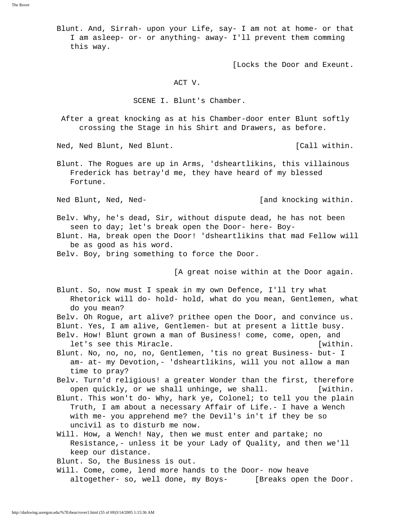Blunt. And, Sirrah- upon your Life, say- I am not at home- or that I am asleep- or- or anything- away- I'll prevent them comming this way.

[Locks the Door and Exeunt.

#### ACT V.

SCENE I. Blunt's Chamber.

 After a great knocking as at his Chamber-door enter Blunt softly crossing the Stage in his Shirt and Drawers, as before.

Ned, Ned Blunt, Ned Blunt. The same set of the set of the set of the Ned, Ned Blunt.

 Blunt. The Rogues are up in Arms, 'dsheartlikins, this villainous Frederick has betray'd me, they have heard of my blessed Fortune.

Ned Blunt, Ned, Ned- **1988** [and knocking within.

 Belv. Why, he's dead, Sir, without dispute dead, he has not been seen to day; let's break open the Door- here- Boy-

 Blunt. Ha, break open the Door! 'dsheartlikins that mad Fellow will be as good as his word.

Belv. Boy, bring something to force the Door.

[A great noise within at the Door again.

 Blunt. So, now must I speak in my own Defence, I'll try what Rhetorick will do- hold- hold, what do you mean, Gentlemen, what do you mean?

- Belv. Oh Rogue, art alive? prithee open the Door, and convince us. Blunt. Yes, I am alive, Gentlemen- but at present a little busy.
- Belv. How! Blunt grown a man of Business! come, come, open, and let's see this Miracle. The contraction of the late of the late of the late of the late of the late of the late of the late of the late of the late of the late of the late of the late of the late of the late of the late of
- Blunt. No, no, no, no, Gentlemen, 'tis no great Business- but- I am- at- my Devotion,- 'dsheartlikins, will you not allow a man time to pray?
- Belv. Turn'd religious! a greater Wonder than the first, therefore open quickly, or we shall unhinge, we shall. [within.
- Blunt. This won't do- Why, hark ye, Colonel; to tell you the plain Truth, I am about a necessary Affair of Life.- I have a Wench with me- you apprehend me? the Devil's in't if they be so uncivil as to disturb me now.
- Will. How, a Wench! Nay, then we must enter and partake; no Resistance,- unless it be your Lady of Quality, and then we'll keep our distance.

Blunt. So, the Business is out.

 Will. Come, come, lend more hands to the Door- now heave altogether- so, well done, my Boys- [Breaks open the Door.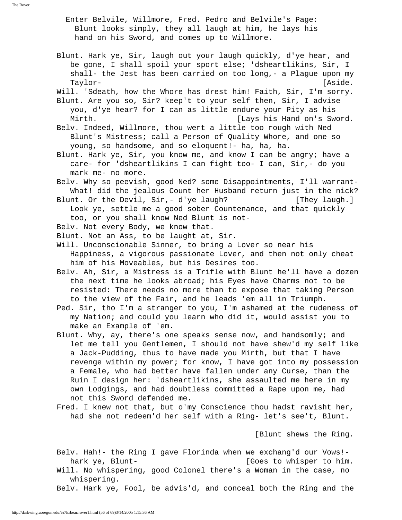Enter Belvile, Willmore, Fred. Pedro and Belvile's Page: Blunt looks simply, they all laugh at him, he lays his hand on his Sword, and comes up to Willmore.

 Blunt. Hark ye, Sir, laugh out your laugh quickly, d'ye hear, and be gone, I shall spoil your sport else; 'dsheartlikins, Sir, I shall- the Jest has been carried on too long,- a Plague upon my Taylor- [Aside.

 Will. 'Sdeath, how the Whore has drest him! Faith, Sir, I'm sorry. Blunt. Are you so, Sir? keep't to your self then, Sir, I advise

- you, d'ye hear? for I can as little endure your Pity as his Mirth. **Example 20** Mirth. **[Lays his Hand on's Sword.**
- Belv. Indeed, Willmore, thou wert a little too rough with Ned Blunt's Mistress; call a Person of Quality Whore, and one so young, so handsome, and so eloquent!- ha, ha, ha.
- Blunt. Hark ye, Sir, you know me, and know I can be angry; have a care- for 'dsheartlikins I can fight too- I can, Sir,- do you mark me- no more.
- Belv. Why so peevish, good Ned? some Disappointments, I'll warrant- What! did the jealous Count her Husband return just in the nick?
- Blunt. Or the Devil, Sir,- d'ye laugh? [They laugh.] Look ye, settle me a good sober Countenance, and that quickly too, or you shall know Ned Blunt is not-
- Belv. Not every Body, we know that.
- Blunt. Not an Ass, to be laught at, Sir.
- Will. Unconscionable Sinner, to bring a Lover so near his Happiness, a vigorous passionate Lover, and then not only cheat him of his Moveables, but his Desires too.
- Belv. Ah, Sir, a Mistress is a Trifle with Blunt he'll have a dozen the next time he looks abroad; his Eyes have Charms not to be resisted: There needs no more than to expose that taking Person to the view of the Fair, and he leads 'em all in Triumph.
- Ped. Sir, tho I'm a stranger to you, I'm ashamed at the rudeness of my Nation; and could you learn who did it, would assist you to make an Example of 'em.
- Blunt. Why, ay, there's one speaks sense now, and handsomly; and let me tell you Gentlemen, I should not have shew'd my self like a Jack-Pudding, thus to have made you Mirth, but that I have revenge within my power; for know, I have got into my possession a Female, who had better have fallen under any Curse, than the Ruin I design her: 'dsheartlikins, she assaulted me here in my own Lodgings, and had doubtless committed a Rape upon me, had not this Sword defended me.
- Fred. I knew not that, but o'my Conscience thou hadst ravisht her, had she not redeem'd her self with a Ring- let's see't, Blunt.

[Blunt shews the Ring.

 Belv. Hah!- the Ring I gave Florinda when we exchang'd our Vows! hark ye, Blunt-<br>  $[Goes to whisper to him.$ 

- Will. No whispering, good Colonel there's a Woman in the case, no whispering.
- Belv. Hark ye, Fool, be advis'd, and conceal both the Ring and the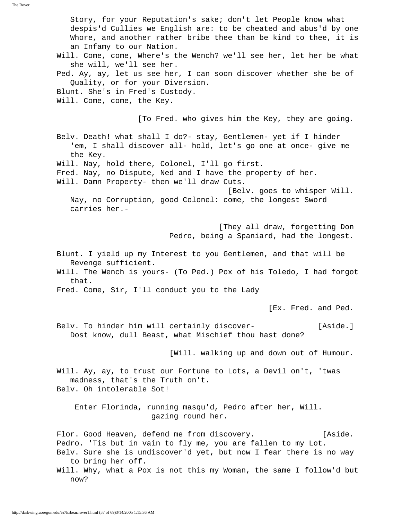Story, for your Reputation's sake; don't let People know what despis'd Cullies we English are: to be cheated and abus'd by one Whore, and another rather bribe thee than be kind to thee, it is an Infamy to our Nation. Will. Come, come, Where's the Wench? we'll see her, let her be what she will, we'll see her. Ped. Ay, ay, let us see her, I can soon discover whether she be of Quality, or for your Diversion. Blunt. She's in Fred's Custody. Will. Come, come, the Key. [To Fred. who gives him the Key, they are going. Belv. Death! what shall I do?- stay, Gentlemen- yet if I hinder 'em, I shall discover all- hold, let's go one at once- give me the Key. Will. Nay, hold there, Colonel, I'll go first. Fred. Nay, no Dispute, Ned and I have the property of her. Will. Damn Property- then we'll draw Cuts. [Belv. goes to whisper Will. Nay, no Corruption, good Colonel: come, the longest Sword carries her.- [They all draw, forgetting Don Pedro, being a Spaniard, had the longest. Blunt. I yield up my Interest to you Gentlemen, and that will be Revenge sufficient. Will. The Wench is yours- (To Ped.) Pox of his Toledo, I had forgot that. Fred. Come, Sir, I'll conduct you to the Lady [Ex. Fred. and Ped. Belv. To hinder him will certainly discover- [Aside.] Dost know, dull Beast, what Mischief thou hast done? [Will. walking up and down out of Humour. Will. Ay, ay, to trust our Fortune to Lots, a Devil on't, 'twas madness, that's the Truth on't. Belv. Oh intolerable Sot! Enter Florinda, running masqu'd, Pedro after her, Will. gazing round her. Flor. Good Heaven, defend me from discovery. [Aside. Pedro. 'Tis but in vain to fly me, you are fallen to my Lot. Belv. Sure she is undiscover'd yet, but now I fear there is no way to bring her off. Will. Why, what a Pox is not this my Woman, the same I follow'd but now?

The Rover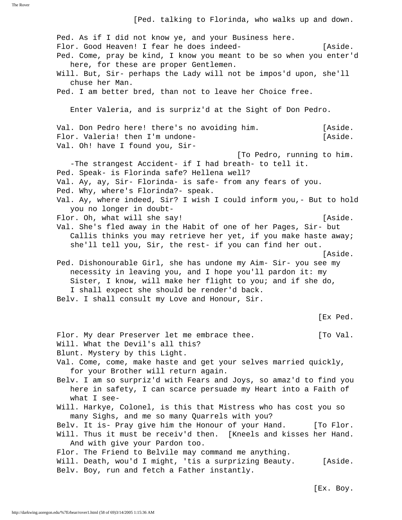[Ped. talking to Florinda, who walks up and down.

 Ped. As if I did not know ye, and your Business here. Flor. Good Heaven! I fear he does indeed- [Aside. Ped. Come, pray be kind, I know you meant to be so when you enter'd here, for these are proper Gentlemen. Will. But, Sir- perhaps the Lady will not be impos'd upon, she'll chuse her Man. Ped. I am better bred, than not to leave her Choice free. Enter Valeria, and is surpriz'd at the Sight of Don Pedro. Val. Don Pedro here! there's no avoiding him. [Aside. Flor. Valeria! then I'm undone-<br>
[Aside. Val. Oh! have I found you, Sir- [To Pedro, running to him. -The strangest Accident- if I had breath- to tell it. Ped. Speak- is Florinda safe? Hellena well? Val. Ay, ay, Sir- Florinda- is safe- from any fears of you. Ped. Why, where's Florinda?- speak. Val. Ay, where indeed, Sir? I wish I could inform you,- But to hold you no longer in doubt- Flor. Oh, what will she say! [Aside.] Val. She's fled away in the Habit of one of her Pages, Sir- but Callis thinks you may retrieve her yet, if you make haste away; she'll tell you, Sir, the rest- if you can find her out. [Aside. Ped. Dishonourable Girl, she has undone my Aim- Sir- you see my necessity in leaving you, and I hope you'll pardon it: my Sister, I know, will make her flight to you; and if she do, I shall expect she should be render'd back. Belv. I shall consult my Love and Honour, Sir. [Ex Ped. Flor. My dear Preserver let me embrace thee. [To Val. Will. What the Devil's all this? Blunt. Mystery by this Light. Val. Come, come, make haste and get your selves married quickly, for your Brother will return again. Belv. I am so surpriz'd with Fears and Joys, so amaz'd to find you here in safety, I can scarce persuade my Heart into a Faith of what I see- Will. Harkye, Colonel, is this that Mistress who has cost you so many Sighs, and me so many Quarrels with you? Belv. It is- Pray give him the Honour of your Hand. [To Flor. Will. Thus it must be receiv'd then. [Kneels and kisses her Hand. And with give your Pardon too. Flor. The Friend to Belvile may command me anything. Will. Death, wou'd I might, 'tis a surprizing Beauty. [Aside. Belv. Boy, run and fetch a Father instantly.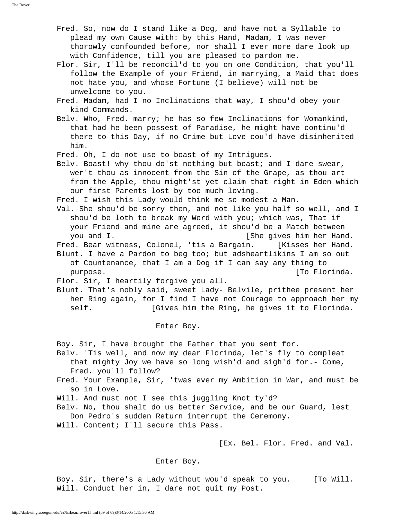Fred. So, now do I stand like a Dog, and have not a Syllable to plead my own Cause with: by this Hand, Madam, I was never thorowly confounded before, nor shall I ever more dare look up with Confidence, till you are pleased to pardon me.

 Flor. Sir, I'll be reconcil'd to you on one Condition, that you'll follow the Example of your Friend, in marrying, a Maid that does not hate you, and whose Fortune (I believe) will not be unwelcome to you.

 Fred. Madam, had I no Inclinations that way, I shou'd obey your kind Commands.

 Belv. Who, Fred. marry; he has so few Inclinations for Womankind, that had he been possest of Paradise, he might have continu'd there to this Day, if no Crime but Love cou'd have disinherited him.

Fred. Oh, I do not use to boast of my Intrigues.

 Belv. Boast! why thou do'st nothing but boast; and I dare swear, wer't thou as innocent from the Sin of the Grape, as thou art from the Apple, thou might'st yet claim that right in Eden which our first Parents lost by too much loving.

Fred. I wish this Lady would think me so modest a Man.

 Val. She shou'd be sorry then, and not like you half so well, and I shou'd be loth to break my Word with you; which was, That if your Friend and mine are agreed, it shou'd be a Match between you and I. **Fig. 2018** (She gives him her Hand.

Fred. Bear witness, Colonel, 'tis a Bargain. [Kisses her Hand. Blunt. I have a Pardon to beg too; but adsheartlikins I am so out of Countenance, that I am a Dog if I can say any thing to purpose. [To Florinda.]

Flor. Sir, I heartily forgive you all.

 Blunt. That's nobly said, sweet Lady- Belvile, prithee present her her Ring again, for I find I have not Courage to approach her my self. **Example 3** [Gives him the Ring, he gives it to Florinda.

Enter Boy.

Boy. Sir, I have brought the Father that you sent for.

 Belv. 'Tis well, and now my dear Florinda, let's fly to compleat that mighty Joy we have so long wish'd and sigh'd for.- Come, Fred. you'll follow?

 Fred. Your Example, Sir, 'twas ever my Ambition in War, and must be so in Love.

Will. And must not I see this juggling Knot ty'd?

 Belv. No, thou shalt do us better Service, and be our Guard, lest Don Pedro's sudden Return interrupt the Ceremony.

Will. Content; I'll secure this Pass.

[Ex. Bel. Flor. Fred. and Val.

Enter Boy.

 Boy. Sir, there's a Lady without wou'd speak to you. [To Will. Will. Conduct her in, I dare not quit my Post.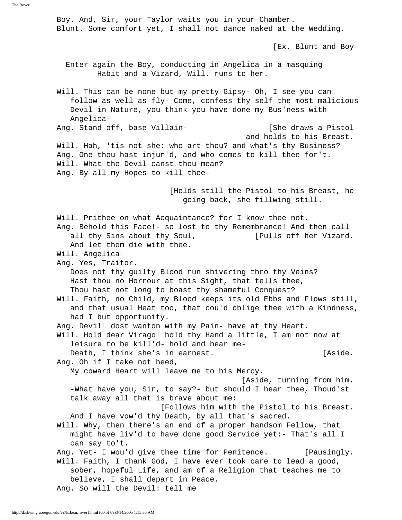Boy. And, Sir, your Taylor waits you in your Chamber. Blunt. Some comfort yet, I shall not dance naked at the Wedding. [Ex. Blunt and Boy Enter again the Boy, conducting in Angelica in a masquing Habit and a Vizard, Will. runs to her. Will. This can be none but my pretty Gipsy- Oh, I see you can follow as well as fly- Come, confess thy self the most malicious Devil in Nature, you think you have done my Bus'ness with Angelica- Ang. Stand off, base Villain-<br>
[She draws a Pistol and holds to his Breast. Will. Hah, 'tis not she: who art thou? and what's thy Business? Ang. One thou hast injur'd, and who comes to kill thee for't. Will. What the Devil canst thou mean? Ang. By all my Hopes to kill thee- [Holds still the Pistol to his Breast, he going back, she fillwing still. Will. Prithee on what Acquaintance? for I know thee not. Ang. Behold this Face!- so lost to thy Remembrance! And then call all thy Sins about thy Soul, [Pulls off her Vizard. And let them die with thee. Will. Angelica! Ang. Yes, Traitor. Does not thy guilty Blood run shivering thro thy Veins? Hast thou no Horrour at this Sight, that tells thee, Thou hast not long to boast thy shameful Conquest? Will. Faith, no Child, my Blood keeps its old Ebbs and Flows still, and that usual Heat too, that cou'd oblige thee with a Kindness, had I but opportunity. Ang. Devil! dost wanton with my Pain- have at thy Heart. Will. Hold dear Virago! hold thy Hand a little, I am not now at leisure to be kill'd- hold and hear me- Death, I think she's in earnest. The share is considered as in the same of  $[{\rm Aside}]$ . Ang. Oh if I take not heed, My coward Heart will leave me to his Mercy. [Aside, turning from him. -What have you, Sir, to say?- but should I hear thee, Thoud'st talk away all that is brave about me: [Follows him with the Pistol to his Breast. And I have vow'd thy Death, by all that's sacred. Will. Why, then there's an end of a proper handsom Fellow, that might have liv'd to have done good Service yet:- That's all I can say to't. Ang. Yet- I wou'd give thee time for Penitence. [Pausingly. Will. Faith, I thank God, I have ever took care to lead a good, sober, hopeful Life, and am of a Religion that teaches me to believe, I shall depart in Peace.

Ang. So will the Devil: tell me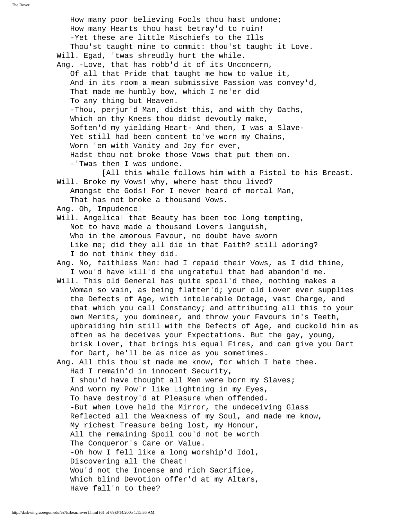How many poor believing Fools thou hast undone; How many Hearts thou hast betray'd to ruin! -Yet these are little Mischiefs to the Ills Thou'st taught mine to commit: thou'st taught it Love. Will. Egad, 'twas shreudly hurt the while. Ang. -Love, that has robb'd it of its Unconcern, Of all that Pride that taught me how to value it, And in its room a mean submissive Passion was convey'd, That made me humbly bow, which I ne'er did To any thing but Heaven. -Thou, perjur'd Man, didst this, and with thy Oaths, Which on thy Knees thou didst devoutly make, Soften'd my yielding Heart- And then, I was a Slave- Yet still had been content to've worn my Chains, Worn 'em with Vanity and Joy for ever, Hadst thou not broke those Vows that put them on. -'Twas then I was undone. [All this while follows him with a Pistol to his Breast. Will. Broke my Vows! why, where hast thou lived? Amongst the Gods! For I never heard of mortal Man, That has not broke a thousand Vows. Ang. Oh, Impudence! Will. Angelica! that Beauty has been too long tempting, Not to have made a thousand Lovers languish, Who in the amorous Favour, no doubt have sworn Like me; did they all die in that Faith? still adoring? I do not think they did. Ang. No, faithless Man: had I repaid their Vows, as I did thine, I wou'd have kill'd the ungrateful that had abandon'd me. Will. This old General has quite spoil'd thee, nothing makes a Woman so vain, as being flatter'd; your old Lover ever supplies the Defects of Age, with intolerable Dotage, vast Charge, and that which you call Constancy; and attributing all this to your own Merits, you domineer, and throw your Favours in's Teeth, upbraiding him still with the Defects of Age, and cuckold him as often as he deceives your Expectations. But the gay, young, brisk Lover, that brings his equal Fires, and can give you Dart for Dart, he'll be as nice as you sometimes. Ang. All this thou'st made me know, for which I hate thee. Had I remain'd in innocent Security, I shou'd have thought all Men were born my Slaves; And worn my Pow'r like Lightning in my Eyes, To have destroy'd at Pleasure when offended. -But when Love held the Mirror, the undeceiving Glass Reflected all the Weakness of my Soul, and made me know, My richest Treasure being lost, my Honour, All the remaining Spoil cou'd not be worth The Conqueror's Care or Value. -Oh how I fell like a long worship'd Idol, Discovering all the Cheat! Wou'd not the Incense and rich Sacrifice, Which blind Devotion offer'd at my Altars, Have fall'n to thee?

The Rover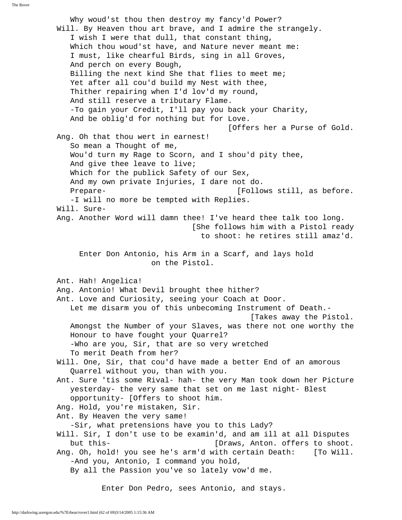The Rover

 Why woud'st thou then destroy my fancy'd Power? Will. By Heaven thou art brave, and I admire the strangely. I wish I were that dull, that constant thing, Which thou woud'st have, and Nature never meant me: I must, like chearful Birds, sing in all Groves, And perch on every Bough, Billing the next kind She that flies to meet me; Yet after all cou'd build my Nest with thee, Thither repairing when I'd lov'd my round, And still reserve a tributary Flame. -To gain your Credit, I'll pay you back your Charity, And be oblig'd for nothing but for Love. [Offers her a Purse of Gold. Ang. Oh that thou wert in earnest! So mean a Thought of me, Wou'd turn my Rage to Scorn, and I shou'd pity thee, And give thee leave to live; Which for the publick Safety of our Sex, And my own private Injuries, I dare not do. Prepare-  $[Follows still, as before.$  -I will no more be tempted with Replies. Will. Sure- Ang. Another Word will damn thee! I've heard thee talk too long. [She follows him with a Pistol ready to shoot: he retires still amaz'd. Enter Don Antonio, his Arm in a Scarf, and lays hold on the Pistol. Ant. Hah! Angelica! Ang. Antonio! What Devil brought thee hither? Ant. Love and Curiosity, seeing your Coach at Door. Let me disarm you of this unbecoming Instrument of Death.- [Takes away the Pistol. Amongst the Number of your Slaves, was there not one worthy the Honour to have fought your Quarrel? -Who are you, Sir, that are so very wretched To merit Death from her? Will. One, Sir, that cou'd have made a better End of an amorous Quarrel without you, than with you. Ant. Sure 'tis some Rival- hah- the very Man took down her Picture yesterday- the very same that set on me last night- Blest opportunity- [Offers to shoot him. Ang. Hold, you're mistaken, Sir. Ant. By Heaven the very same! -Sir, what pretensions have you to this Lady? Will. Sir, I don't use to be examin'd, and am ill at all Disputes but this- [Draws, Anton. offers to shoot. Ang. Oh, hold! you see he's arm'd with certain Death: [To Will. -And you, Antonio, I command you hold, By all the Passion you've so lately vow'd me. Enter Don Pedro, sees Antonio, and stays.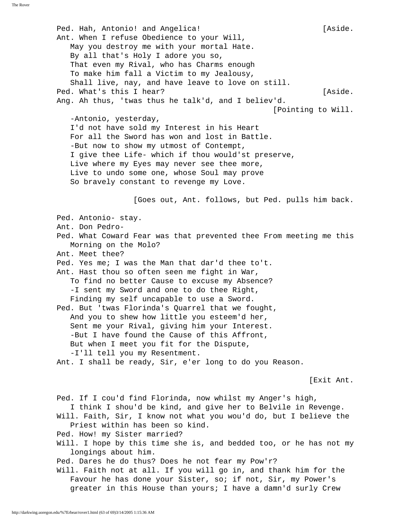Ped. Hah, Antonio! and Angelica! The controller and  $[Aside.$  Ant. When I refuse Obedience to your Will, May you destroy me with your mortal Hate. By all that's Holy I adore you so, That even my Rival, who has Charms enough To make him fall a Victim to my Jealousy, Shall live, nay, and have leave to love on still. Ped. What's this I hear? [Aside. Ang. Ah thus, 'twas thus he talk'd, and I believ'd. [Pointing to Will. -Antonio, yesterday, I'd not have sold my Interest in his Heart For all the Sword has won and lost in Battle. -But now to show my utmost of Contempt, I give thee Life- which if thou would'st preserve, Live where my Eyes may never see thee more, Live to undo some one, whose Soul may prove So bravely constant to revenge my Love. [Goes out, Ant. follows, but Ped. pulls him back. Ped. Antonio- stay. Ant. Don Pedro- Ped. What Coward Fear was that prevented thee From meeting me this Morning on the Molo? Ant. Meet thee? Ped. Yes me; I was the Man that dar'd thee to't. Ant. Hast thou so often seen me fight in War, To find no better Cause to excuse my Absence? -I sent my Sword and one to do thee Right, Finding my self uncapable to use a Sword. Ped. But 'twas Florinda's Quarrel that we fought, And you to shew how little you esteem'd her, Sent me your Rival, giving him your Interest. -But I have found the Cause of this Affront, But when I meet you fit for the Dispute, -I'll tell you my Resentment. Ant. I shall be ready, Sir, e'er long to do you Reason. [Exit Ant. Ped. If I cou'd find Florinda, now whilst my Anger's high, I think I shou'd be kind, and give her to Belvile in Revenge. Will. Faith, Sir, I know not what you wou'd do, but I believe the Priest within has been so kind. Ped. How! my Sister married? Will. I hope by this time she is, and bedded too, or he has not my longings about him. Ped. Dares he do thus? Does he not fear my Pow'r? Will. Faith not at all. If you will go in, and thank him for the Favour he has done your Sister, so; if not, Sir, my Power's greater in this House than yours; I have a damn'd surly Crew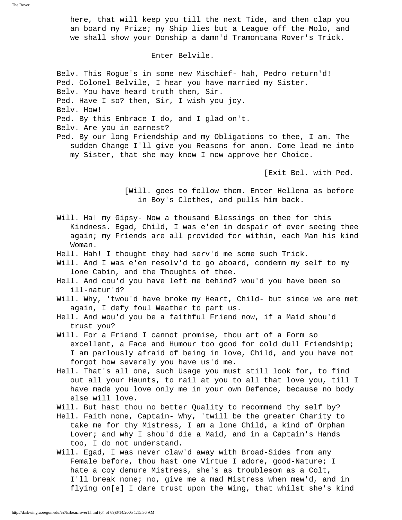here, that will keep you till the next Tide, and then clap you an board my Prize; my Ship lies but a League off the Molo, and we shall show your Donship a damn'd Tramontana Rover's Trick.

## Enter Belvile.

 Belv. This Rogue's in some new Mischief- hah, Pedro return'd! Ped. Colonel Belvile, I hear you have married my Sister. Belv. You have heard truth then, Sir. Ped. Have I so? then, Sir, I wish you joy. Belv. How! Ped. By this Embrace I do, and I glad on't. Belv. Are you in earnest? Ped. By our long Friendship and my Obligations to thee, I am. The sudden Change I'll give you Reasons for anon. Come lead me into

my Sister, that she may know I now approve her Choice.

[Exit Bel. with Ped.

 [Will. goes to follow them. Enter Hellena as before in Boy's Clothes, and pulls him back.

 Will. Ha! my Gipsy- Now a thousand Blessings on thee for this Kindness. Egad, Child, I was e'en in despair of ever seeing thee again; my Friends are all provided for within, each Man his kind Woman.

- Hell. Hah! I thought they had serv'd me some such Trick.
- Will. And I was e'en resolv'd to go aboard, condemn my self to my lone Cabin, and the Thoughts of thee.
- Hell. And cou'd you have left me behind? wou'd you have been so ill-natur'd?
- Will. Why, 'twou'd have broke my Heart, Child- but since we are met again, I defy foul Weather to part us.
- Hell. And wou'd you be a faithful Friend now, if a Maid shou'd trust you?

 Will. For a Friend I cannot promise, thou art of a Form so excellent, a Face and Humour too good for cold dull Friendship; I am parlously afraid of being in love, Child, and you have not forgot how severely you have us'd me.

 Hell. That's all one, such Usage you must still look for, to find out all your Haunts, to rail at you to all that love you, till I have made you love only me in your own Defence, because no body else will love.

Will. But hast thou no better Quality to recommend thy self by?

- Hell. Faith none, Captain- Why, 'twill be the greater Charity to take me for thy Mistress, I am a lone Child, a kind of Orphan Lover; and why I shou'd die a Maid, and in a Captain's Hands too, I do not understand.
- Will. Egad, I was never claw'd away with Broad-Sides from any Female before, thou hast one Virtue I adore, good-Nature; I hate a coy demure Mistress, she's as troublesom as a Colt, I'll break none; no, give me a mad Mistress when mew'd, and in flying on[e] I dare trust upon the Wing, that whilst she's kind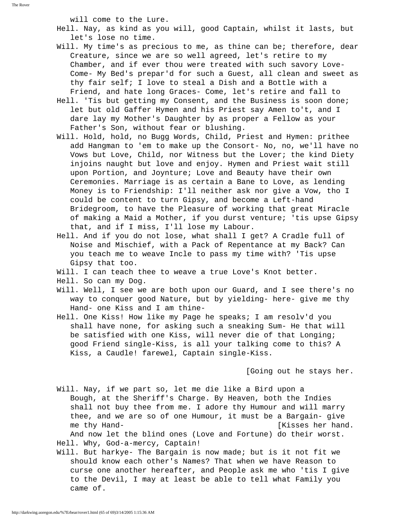will come to the Lure.

- Hell. Nay, as kind as you will, good Captain, whilst it lasts, but let's lose no time.
- Will. My time's as precious to me, as thine can be; therefore, dear Creature, since we are so well agreed, let's retire to my Chamber, and if ever thou were treated with such savory Love- Come- My Bed's prepar'd for such a Guest, all clean and sweet as thy fair self; I love to steal a Dish and a Bottle with a Friend, and hate long Graces- Come, let's retire and fall to
- Hell. 'Tis but getting my Consent, and the Business is soon done; let but old Gaffer Hymen and his Priest say Amen to't, and I dare lay my Mother's Daughter by as proper a Fellow as your Father's Son, without fear or blushing.
- Will. Hold, hold, no Bugg Words, Child, Priest and Hymen: prithee add Hangman to 'em to make up the Consort- No, no, we'll have no Vows but Love, Child, nor Witness but the Lover; the kind Diety injoins naught but love and enjoy. Hymen and Priest wait still upon Portion, and Joynture; Love and Beauty have their own Ceremonies. Marriage is as certain a Bane to Love, as lending Money is to Friendship: I'll neither ask nor give a Vow, tho I could be content to turn Gipsy, and become a Left-hand Bridegroom, to have the Pleasure of working that great Miracle of making a Maid a Mother, if you durst venture; 'tis upse Gipsy that, and if I miss, I'll lose my Labour.
- Hell. And if you do not lose, what shall I get? A Cradle full of Noise and Mischief, with a Pack of Repentance at my Back? Can you teach me to weave Incle to pass my time with? 'Tis upse Gipsy that too.

Will. I can teach thee to weave a true Love's Knot better.

- Hell. So can my Dog.
- Will. Well, I see we are both upon our Guard, and I see there's no way to conquer good Nature, but by yielding- here- give me thy Hand- one Kiss and I am thine-
- Hell. One Kiss! How like my Page he speaks; I am resolv'd you shall have none, for asking such a sneaking Sum- He that will be satisfied with one Kiss, will never die of that Longing; good Friend single-Kiss, is all your talking come to this? A Kiss, a Caudle! farewel, Captain single-Kiss.

[Going out he stays her.

 Will. Nay, if we part so, let me die like a Bird upon a Bough, at the Sheriff's Charge. By Heaven, both the Indies shall not buy thee from me. I adore thy Humour and will marry thee, and we are so of one Humour, it must be a Bargain- give me thy Hand- [Kisses her hand.

 And now let the blind ones (Love and Fortune) do their worst. Hell. Why, God-a-mercy, Captain!

 Will. But harkye- The Bargain is now made; but is it not fit we should know each other's Names? That when we have Reason to curse one another hereafter, and People ask me who 'tis I give to the Devil, I may at least be able to tell what Family you came of.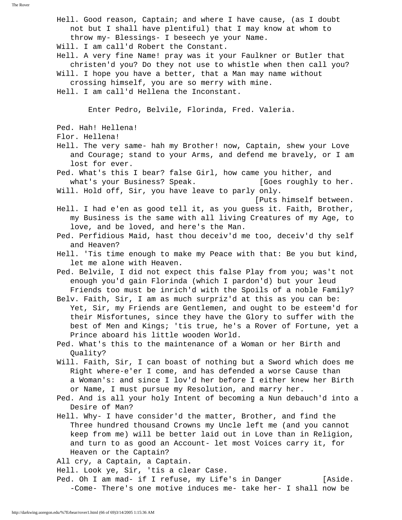The Rover Hell. Good reason, Captain; and where I have cause, (as I doubt not but I shall have plentiful) that I may know at whom to throw my- Blessings- I beseech ye your Name. Will. I am call'd Robert the Constant. Hell. A very fine Name! pray was it your Faulkner or Butler that christen'd you? Do they not use to whistle when then call you? Will. I hope you have a better, that a Man may name without crossing himself, you are so merry with mine. Hell. I am call'd Hellena the Inconstant. Enter Pedro, Belvile, Florinda, Fred. Valeria. Ped. Hah! Hellena! Flor. Hellena! Hell. The very same- hah my Brother! now, Captain, shew your Love

 and Courage; stand to your Arms, and defend me bravely, or I am lost for ever.

 Ped. What's this I bear? false Girl, how came you hither, and what's your Business? Speak. [Goes roughly to her. Will. Hold off, Sir, you have leave to parly only.

[Puts himself between.

 Hell. I had e'en as good tell it, as you guess it. Faith, Brother, my Business is the same with all living Creatures of my Age, to love, and be loved, and here's the Man.

- Ped. Perfidious Maid, hast thou deceiv'd me too, deceiv'd thy self and Heaven?
- Hell. 'Tis time enough to make my Peace with that: Be you but kind, let me alone with Heaven.

 Ped. Belvile, I did not expect this false Play from you; was't not enough you'd gain Florinda (which I pardon'd) but your leud Friends too must be inrich'd with the Spoils of a noble Family?

- Belv. Faith, Sir, I am as much surpriz'd at this as you can be: Yet, Sir, my Friends are Gentlemen, and ought to be esteem'd for their Misfortunes, since they have the Glory to suffer with the best of Men and Kings; 'tis true, he's a Rover of Fortune, yet a Prince aboard his little wooden World.
- Ped. What's this to the maintenance of a Woman or her Birth and Quality?
- Will. Faith, Sir, I can boast of nothing but a Sword which does me Right where-e'er I come, and has defended a worse Cause than a Woman's: and since I lov'd her before I either knew her Birth or Name, I must pursue my Resolution, and marry her.
- Ped. And is all your holy Intent of becoming a Nun debauch'd into a Desire of Man?
- Hell. Why- I have consider'd the matter, Brother, and find the Three hundred thousand Crowns my Uncle left me (and you cannot keep from me) will be better laid out in Love than in Religion, and turn to as good an Account- let most Voices carry it, for Heaven or the Captain?

All cry, a Captain, a Captain.

Hell. Look ye, Sir, 'tis a clear Case.

Ped. Oh I am mad- if I refuse, my Life's in Danger [Aside. -Come- There's one motive induces me- take her- I shall now be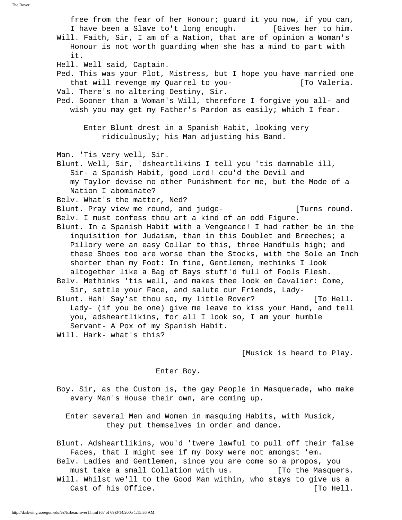free from the fear of her Honour; guard it you now, if you can, I have been a Slave to't long enough. [Gives her to him. Will. Faith, Sir, I am of a Nation, that are of opinion a Woman's Honour is not worth guarding when she has a mind to part with it. Hell. Well said, Captain. Ped. This was your Plot, Mistress, but I hope you have married one that will revenge my Quarrel to you-<br>
[To Valeria. Val. There's no altering Destiny, Sir. Ped. Sooner than a Woman's Will, therefore I forgive you all- and wish you may get my Father's Pardon as easily; which I fear. Enter Blunt drest in a Spanish Habit, looking very ridiculously; his Man adjusting his Band. Man. 'Tis very well, Sir. Blunt. Well, Sir, 'dsheartlikins I tell you 'tis damnable ill, Sir- a Spanish Habit, good Lord! cou'd the Devil and my Taylor devise no other Punishment for me, but the Mode of a Nation I abominate? Belv. What's the matter, Ned? Blunt. Pray view me round, and judge- [Turns round. Belv. I must confess thou art a kind of an odd Figure. Blunt. In a Spanish Habit with a Vengeance! I had rather be in the inquisition for Judaism, than in this Doublet and Breeches; a Pillory were an easy Collar to this, three Handfuls high; and these Shoes too are worse than the Stocks, with the Sole an Inch shorter than my Foot: In fine, Gentlemen, methinks I look altogether like a Bag of Bays stuff'd full of Fools Flesh. Belv. Methinks 'tis well, and makes thee look en Cavalier: Come, Sir, settle your Face, and salute our Friends, Lady- Blunt. Hah! Say'st thou so, my little Rover? [To Hell. Lady- (if you be one) give me leave to kiss your Hand, and tell you, adsheartlikins, for all I look so, I am your humble Servant- A Pox of my Spanish Habit. Will. Hark- what's this?

[Musick is heard to Play.

## Enter Boy.

 Boy. Sir, as the Custom is, the gay People in Masquerade, who make every Man's House their own, are coming up.

 Enter several Men and Women in masquing Habits, with Musick, they put themselves in order and dance.

 Blunt. Adsheartlikins, wou'd 'twere lawful to pull off their false Faces, that I might see if my Doxy were not amongst 'em. Belv. Ladies and Gentlemen, since you are come so a propos, you must take a small Collation with us. [To the Masquers. Will. Whilst we'll to the Good Man within, who stays to give us a Cast of his Office. The contract of his Office.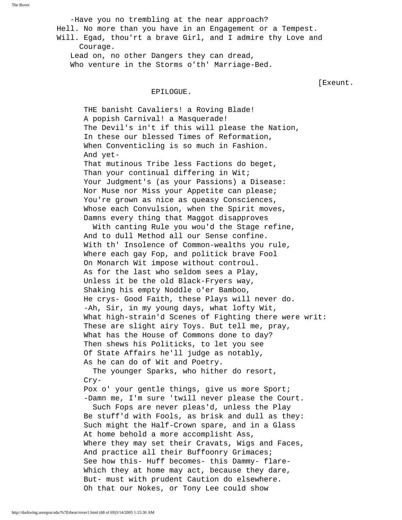-Have you no trembling at the near approach? Hell. No more than you have in an Engagement or a Tempest. Will. Egad, thou'rt a brave Girl, and I admire thy Love and Courage. Lead on, no other Dangers they can dread, Who venture in the Storms o'th' Marriage-Bed.

[Exeunt.

### EPILOGUE.

 THE banisht Cavaliers! a Roving Blade! A popish Carnival! a Masquerade! The Devil's in't if this will please the Nation, In these our blessed Times of Reformation, When Conventicling is so much in Fashion. And yet-

 That mutinous Tribe less Factions do beget, Than your continual differing in Wit; Your Judgment's (as your Passions) a Disease: Nor Muse nor Miss your Appetite can please; You're grown as nice as queasy Consciences, Whose each Convulsion, when the Spirit moves, Damns every thing that Maggot disapproves

 With canting Rule you wou'd the Stage refine, And to dull Method all our Sense confine. With th' Insolence of Common-wealths you rule, Where each gay Fop, and politick brave Fool On Monarch Wit impose without controul. As for the last who seldom sees a Play, Unless it be the old Black-Fryers way, Shaking his empty Noddle o'er Bamboo, He crys- Good Faith, these Plays will never do. -Ah, Sir, in my young days, what lofty Wit, What high-strain'd Scenes of Fighting there were writ: These are slight airy Toys. But tell me, pray, What has the House of Commons done to day? Then shews his Politicks, to let you see Of State Affairs he'll judge as notably, As he can do of Wit and Poetry.

 The younger Sparks, who hither do resort, Cry-

Pox o' your gentle things, give us more Sport; -Damn me, I'm sure 'twill never please the Court.

 Such Fops are never pleas'd, unless the Play Be stuff'd with Fools, as brisk and dull as they: Such might the Half-Crown spare, and in a Glass At home behold a more accomplisht Ass, Where they may set their Cravats, Wigs and Faces, And practice all their Buffoonry Grimaces; See how this- Huff becomes- this Dammy- flare- Which they at home may act, because they dare, But- must with prudent Caution do elsewhere. Oh that our Nokes, or Tony Lee could show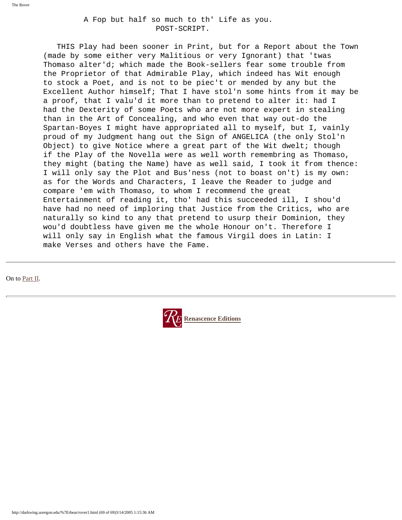A Fop but half so much to th' Life as you. POST-SCRIPT.

 THIS Play had been sooner in Print, but for a Report about the Town (made by some either very Malitious or very Ignorant) that 'twas Thomaso alter'd; which made the Book-sellers fear some trouble from the Proprietor of that Admirable Play, which indeed has Wit enough to stock a Poet, and is not to be piec't or mended by any but the Excellent Author himself; That I have stol'n some hints from it may be a proof, that I valu'd it more than to pretend to alter it: had I had the Dexterity of some Poets who are not more expert in stealing than in the Art of Concealing, and who even that way out-do the Spartan-Boyes I might have appropriated all to myself, but I, vainly proud of my Judgment hang out the Sign of ANGELICA (the only Stol'n Object) to give Notice where a great part of the Wit dwelt; though if the Play of the Novella were as well worth remembring as Thomaso, they might (bating the Name) have as well said, I took it from thence: I will only say the Plot and Bus'ness (not to boast on't) is my own: as for the Words and Characters, I leave the Reader to judge and compare 'em with Thomaso, to whom I recommend the great Entertainment of reading it, tho' had this succeeded ill, I shou'd have had no need of imploring that Justice from the Critics, who are naturally so kind to any that pretend to usurp their Dominion, they wou'd doubtless have given me the whole Honour on't. Therefore I will only say in English what the famous Virgil does in Latin: I make Verses and others have the Fame.

On to [Part II](#page-69-0).

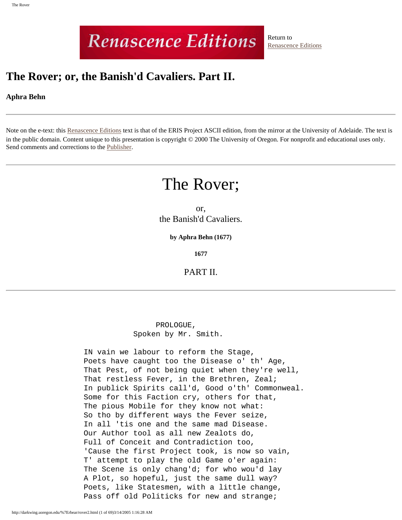# **Renascence Editions**

Return to [Renascence Editions](http://darkwing.uoregon.edu/~rbear/ren.htm)

## <span id="page-69-0"></span>**The Rover; or, the Banish'd Cavaliers. Part II.**

## **Aphra Behn**

Note on the e-text: this [Renascence Editions](http://darkwing.uoregon.edu/~rbear/ren.htm) text is that of the ERIS Project ASCII edition, from the mirror at the University of Adelaide. The text is in the public domain. Content unique to this presentation is copyright © 2000 The University of Oregon. For nonprofit and educational uses only. Send comments and corrections to the [Publisher](mailto:rbear@uoregon.edu).

## The Rover;

or, the Banish'd Cavaliers.

**by Aphra Behn (1677)**

**1677**

PART II.

 PROLOGUE, Spoken by Mr. Smith.

 IN vain we labour to reform the Stage, Poets have caught too the Disease o' th' Age, That Pest, of not being quiet when they're well, That restless Fever, in the Brethren, Zeal; In publick Spirits call'd, Good o'th' Commonweal. Some for this Faction cry, others for that, The pious Mobile for they know not what: So tho by different ways the Fever seize, In all 'tis one and the same mad Disease. Our Author tool as all new Zealots do, Full of Conceit and Contradiction too, 'Cause the first Project took, is now so vain, T' attempt to play the old Game o'er again: The Scene is only chang'd; for who wou'd lay A Plot, so hopeful, just the same dull way? Poets, like Statesmen, with a little change, Pass off old Politicks for new and strange;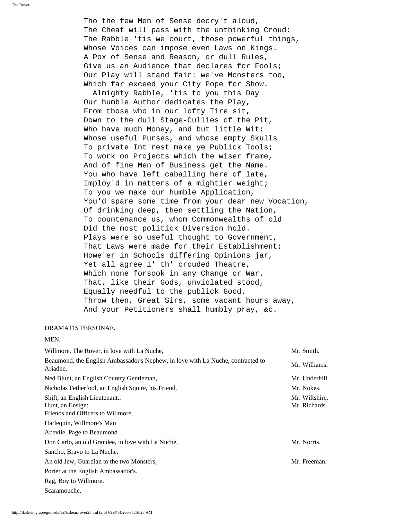Tho the few Men of Sense decry't aloud, The Cheat will pass with the unthinking Croud: The Rabble 'tis we court, those powerful things, Whose Voices can impose even Laws on Kings. A Pox of Sense and Reason, or dull Rules, Give us an Audience that declares for Fools; Our Play will stand fair: we've Monsters too, Which far exceed your City Pope for Show.

 Almighty Rabble, 'tis to you this Day Our humble Author dedicates the Play, From those who in our lofty Tire sit, Down to the dull Stage-Cullies of the Pit, Who have much Money, and but little Wit: Whose useful Purses, and whose empty Skulls To private Int'rest make ye Publick Tools; To work on Projects which the wiser frame, And of fine Men of Business get the Name. You who have left caballing here of late, Imploy'd in matters of a mightier weight; To you we make our humble Application, You'd spare some time from your dear new Vocation, Of drinking deep, then settling the Nation, To countenance us, whom Commonwealths of old Did the most politick Diversion hold. Plays were so useful thought to Government, That Laws were made for their Establishment; Howe'er in Schools differing Opinions jar, Yet all agree i' th' crouded Theatre, Which none forsook in any Change or War. That, like their Gods, unviolated stood, Equally needful to the publick Good. Throw then, Great Sirs, some vacant hours away, And your Petitioners shall humbly pray, &c.

## DRAMATIS PERSONAE.

## MEN.

| Willmore, The Rover, in love with La Nuche,                                                 | Mr. Smith.                      |
|---------------------------------------------------------------------------------------------|---------------------------------|
| Beaumond, the English Ambassador's Nephew, in love with La Nuche, contracted to<br>Ariadne, | Mr. Williams.                   |
| Ned Blunt, an English Country Gentleman,                                                    | Mr. Underhill.                  |
| Nicholas Fetherfool, an English Squire, his Friend,                                         | Mr. Nokes.                      |
| Shift, an English Lieutenant,:<br>Hunt, an Ensign:<br>Friends and Officers to Willmore,     | Mr. Wiltshire.<br>Mr. Richards. |
| Harlequin, Willmore's Man                                                                   |                                 |
| Abevile, Page to Beaumond                                                                   |                                 |
| Don Carlo, an old Grandee, in love with La Nuche,                                           | Mr. Norris.                     |
| Sancho, Bravo to La Nuche.                                                                  |                                 |
| An old Jew, Guardian to the two Monsters,                                                   | Mr. Freeman.                    |
| Porter at the English Ambassador's.                                                         |                                 |
| Rag, Boy to Willmore.                                                                       |                                 |
| Scaramouche.                                                                                |                                 |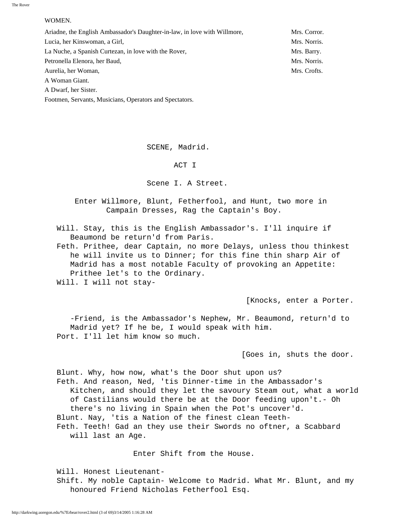## WOMEN.

| Ariadne, the English Ambassador's Daughter-in-law, in love with Willmore, | Mrs. Corror. |
|---------------------------------------------------------------------------|--------------|
| Lucia, her Kinswoman, a Girl,                                             | Mrs. Norris. |
| La Nuche, a Spanish Curtezan, in love with the Rover,                     | Mrs. Barry.  |
| Petronella Elenora, her Baud,                                             | Mrs. Norris. |
| Aurelia, her Woman,                                                       | Mrs. Crofts. |
| A Woman Giant.                                                            |              |
|                                                                           |              |

A Dwarf, her Sister.

Footmen, Servants, Musicians, Operators and Spectators.

SCENE, Madrid.

ACT I

Scene I. A Street.

 Enter Willmore, Blunt, Fetherfool, and Hunt, two more in Campain Dresses, Rag the Captain's Boy.

 Will. Stay, this is the English Ambassador's. I'll inquire if Beaumond be return'd from Paris.

 Feth. Prithee, dear Captain, no more Delays, unless thou thinkest he will invite us to Dinner; for this fine thin sharp Air of Madrid has a most notable Faculty of provoking an Appetite: Prithee let's to the Ordinary.

Will. I will not stay-

[Knocks, enter a Porter.

 -Friend, is the Ambassador's Nephew, Mr. Beaumond, return'd to Madrid yet? If he be, I would speak with him. Port. I'll let him know so much.

[Goes in, shuts the door.

 Blunt. Why, how now, what's the Door shut upon us? Feth. And reason, Ned, 'tis Dinner-time in the Ambassador's Kitchen, and should they let the savoury Steam out, what a world of Castilians would there be at the Door feeding upon't.- Oh there's no living in Spain when the Pot's uncover'd. Blunt. Nay, 'tis a Nation of the finest clean Teeth- Feth. Teeth! Gad an they use their Swords no oftner, a Scabbard will last an Age.

Enter Shift from the House.

 Will. Honest Lieutenant- Shift. My noble Captain- Welcome to Madrid. What Mr. Blunt, and my honoured Friend Nicholas Fetherfool Esq.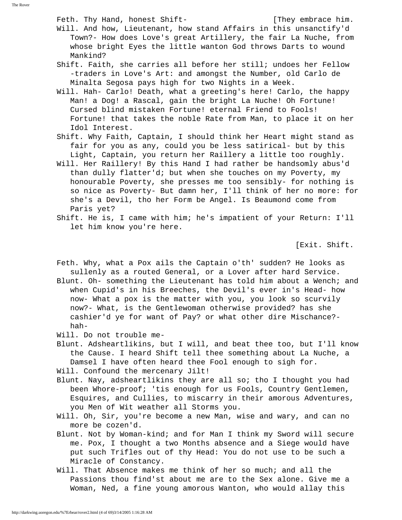Feth. Thy Hand, honest Shift-<br>
Feth. Thy Hand, honest Shift-

 Will. And how, Lieutenant, how stand Affairs in this unsanctify'd Town?- How does Love's great Artillery, the fair La Nuche, from whose bright Eyes the little wanton God throws Darts to wound Mankind?

 Shift. Faith, she carries all before her still; undoes her Fellow -traders in Love's Art: and amongst the Number, old Carlo de Minalta Segosa pays high for two Nights in a Week.

- Will. Hah- Carlo! Death, what a greeting's here! Carlo, the happy Man! a Dog! a Rascal, gain the bright La Nuche! Oh Fortune! Cursed blind mistaken Fortune! eternal Friend to Fools! Fortune! that takes the noble Rate from Man, to place it on her Idol Interest.
- Shift. Why Faith, Captain, I should think her Heart might stand as fair for you as any, could you be less satirical- but by this Light, Captain, you return her Raillery a little too roughly.
- Will. Her Raillery! By this Hand I had rather be handsomly abus'd than dully flatter'd; but when she touches on my Poverty, my honourable Poverty, she presses me too sensibly- for nothing is so nice as Poverty- But damn her, I'll think of her no more: for she's a Devil, tho her Form be Angel. Is Beaumond come from Paris yet?
- Shift. He is, I came with him; he's impatient of your Return: I'll let him know you're here.

[Exit. Shift.

 Feth. Why, what a Pox ails the Captain o'th' sudden? He looks as sullenly as a routed General, or a Lover after hard Service.

 Blunt. Oh- something the Lieutenant has told him about a Wench; and when Cupid's in his Breeches, the Devil's ever in's Head- how now- What a pox is the matter with you, you look so scurvily now?- What, is the Gentlewoman otherwise provided? has she cashier'd ye for want of Pay? or what other dire Mischance? hah-

- Will. Do not trouble me-
- Blunt. Adsheartlikins, but I will, and beat thee too, but I'll know the Cause. I heard Shift tell thee something about La Nuche, a Damsel I have often heard thee Fool enough to sigh for.
- Will. Confound the mercenary Jilt!
- Blunt. Nay, adsheartlikins they are all so; tho I thought you had been Whore-proof; 'tis enough for us Fools, Country Gentlemen, Esquires, and Cullies, to miscarry in their amorous Adventures, you Men of Wit weather all Storms you.
- Will. Oh, Sir, you're become a new Man, wise and wary, and can no more be cozen'd.
- Blunt. Not by Woman-kind; and for Man I think my Sword will secure me. Pox, I thought a two Months absence and a Siege would have put such Trifles out of thy Head: You do not use to be such a Miracle of Constancy.
- Will. That Absence makes me think of her so much; and all the Passions thou find'st about me are to the Sex alone. Give me a Woman, Ned, a fine young amorous Wanton, who would allay this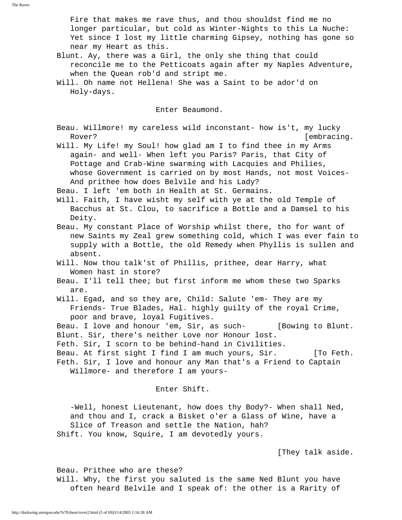Fire that makes me rave thus, and thou shouldst find me no longer particular, but cold as Winter-Nights to this La Nuche: Yet since I lost my little charming Gipsey, nothing has gone so near my Heart as this.

- Blunt. Ay, there was a Girl, the only she thing that could reconcile me to the Petticoats again after my Naples Adventure, when the Quean rob'd and stript me.
- Will. Oh name not Hellena! She was a Saint to be ador'd on Holy-days.

Enter Beaumond.

 Beau. Willmore! my careless wild inconstant- how is't, my lucky Rover? [embracing.

 Will. My Life! my Soul! how glad am I to find thee in my Arms again- and well- When left you Paris? Paris, that City of Pottage and Crab-Wine swarming with Lacquies and Philies, whose Government is carried on by most Hands, not most Voices- And prithee how does Belvile and his Lady?

Beau. I left 'em both in Health at St. Germains.

 Will. Faith, I have wisht my self with ye at the old Temple of Bacchus at St. Clou, to sacrifice a Bottle and a Damsel to his Deity.

 Beau. My constant Place of Worship whilst there, tho for want of new Saints my Zeal grew something cold, which I was ever fain to supply with a Bottle, the old Remedy when Phyllis is sullen and absent.

 Will. Now thou talk'st of Phillis, prithee, dear Harry, what Women hast in store?

 Beau. I'll tell thee; but first inform me whom these two Sparks are.

 Will. Egad, and so they are, Child: Salute 'em- They are my Friends- True Blades, Hal. highly guilty of the royal Crime, poor and brave, loyal Fugitives.

 Beau. I love and honour 'em, Sir, as such- [Bowing to Blunt. Blunt. Sir, there's neither Love nor Honour lost.

Feth. Sir, I scorn to be behind-hand in Civilities.

Beau. At first sight I find I am much yours, Sir. [To Feth.

 Feth. Sir, I love and honour any Man that's a Friend to Captain Willmore- and therefore I am yours-

# Enter Shift.

 -Well, honest Lieutenant, how does thy Body?- When shall Ned, and thou and I, crack a Bisket o'er a Glass of Wine, have a Slice of Treason and settle the Nation, hah? Shift. You know, Squire, I am devotedly yours.

[They talk aside.

 Beau. Prithee who are these? Will. Why, the first you saluted is the same Ned Blunt you have often heard Belvile and I speak of: the other is a Rarity of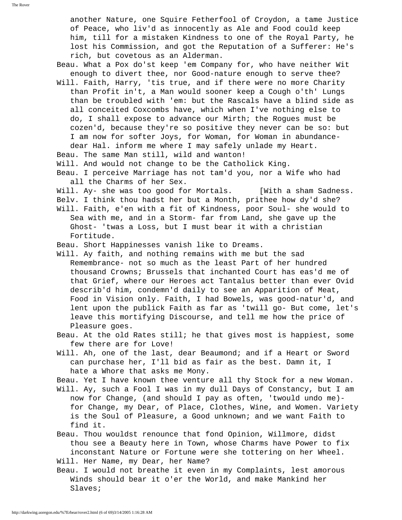another Nature, one Squire Fetherfool of Croydon, a tame Justice of Peace, who liv'd as innocently as Ale and Food could keep him, till for a mistaken Kindness to one of the Royal Party, he lost his Commission, and got the Reputation of a Sufferer: He's rich, but covetous as an Alderman.

- Beau. What a Pox do'st keep 'em Company for, who have neither Wit enough to divert thee, nor Good-nature enough to serve thee?
- Will. Faith, Harry, 'tis true, and if there were no more Charity than Profit in't, a Man would sooner keep a Cough o'th' Lungs than be troubled with 'em: but the Rascals have a blind side as all conceited Coxcombs have, which when I've nothing else to do, I shall expose to advance our Mirth; the Rogues must be cozen'd, because they're so positive they never can be so: but I am now for softer Joys, for Woman, for Woman in abundance dear Hal. inform me where I may safely unlade my Heart.
- Beau. The same Man still, wild and wanton!
- Will. And would not change to be the Catholick King.
- Beau. I perceive Marriage has not tam'd you, nor a Wife who had all the Charms of her Sex.
- Will. Ay- she was too good for Mortals. [With a sham Sadness.
- Belv. I think thou hadst her but a Month, prithee how dy'd she?
- Will. Faith, e'en with a fit of Kindness, poor Soul- she would to Sea with me, and in a Storm- far from Land, she gave up the Ghost- 'twas a Loss, but I must bear it with a christian Fortitude.
- Beau. Short Happinesses vanish like to Dreams.
- Will. Ay faith, and nothing remains with me but the sad Remembrance- not so much as the least Part of her hundred thousand Crowns; Brussels that inchanted Court has eas'd me of that Grief, where our Heroes act Tantalus better than ever Ovid describ'd him, condemn'd daily to see an Apparition of Meat, Food in Vision only. Faith, I had Bowels, was good-natur'd, and lent upon the publick Faith as far as 'twill go- But come, let's leave this mortifying Discourse, and tell me how the price of Pleasure goes.
- Beau. At the old Rates still; he that gives most is happiest, some few there are for Love!
- Will. Ah, one of the last, dear Beaumond; and if a Heart or Sword can purchase her, I'll bid as fair as the best. Damn it, I hate a Whore that asks me Mony.
- Beau. Yet I have known thee venture all thy Stock for a new Woman.
- Will. Ay, such a Fool I was in my dull Days of Constancy, but I am now for Change, (and should I pay as often, 'twould undo me) for Change, my Dear, of Place, Clothes, Wine, and Women. Variety is the Soul of Pleasure, a Good unknown; and we want Faith to find it.
- Beau. Thou wouldst renounce that fond Opinion, Willmore, didst thou see a Beauty here in Town, whose Charms have Power to fix inconstant Nature or Fortune were she tottering on her Wheel. Will. Her Name, my Dear, her Name?
- Beau. I would not breathe it even in my Complaints, lest amorous Winds should bear it o'er the World, and make Mankind her Slaves;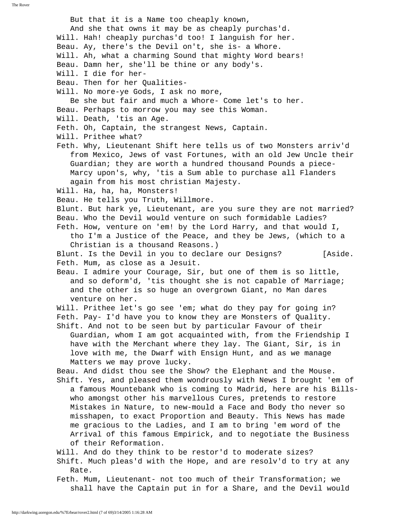But that it is a Name too cheaply known, And she that owns it may be as cheaply purchas'd. Will. Hah! cheaply purchas'd too! I languish for her. Beau. Ay, there's the Devil on't, she is- a Whore. Will. Ah, what a charming Sound that mighty Word bears! Beau. Damn her, she'll be thine or any body's. Will. I die for her- Beau. Then for her Qualities- Will. No more-ye Gods, I ask no more, Be she but fair and much a Whore- Come let's to her. Beau. Perhaps to morrow you may see this Woman. Will. Death, 'tis an Age. Feth. Oh, Captain, the strangest News, Captain. Will. Prithee what? Feth. Why, Lieutenant Shift here tells us of two Monsters arriv'd from Mexico, Jews of vast Fortunes, with an old Jew Uncle their Guardian; they are worth a hundred thousand Pounds a piece- Marcy upon's, why, 'tis a Sum able to purchase all Flanders again from his most christian Majesty. Will. Ha, ha, ha, Monsters! Beau. He tells you Truth, Willmore. Blunt. But hark ye, Lieutenant, are you sure they are not married? Beau. Who the Devil would venture on such formidable Ladies? Feth. How, venture on 'em! by the Lord Harry, and that would I, tho I'm a Justice of the Peace, and they be Jews, (which to a Christian is a thousand Reasons.) Blunt. Is the Devil in you to declare our Designs? [Aside. Feth. Mum, as close as a Jesuit. Beau. I admire your Courage, Sir, but one of them is so little, and so deform'd, 'tis thought she is not capable of Marriage; and the other is so huge an overgrown Giant, no Man dares venture on her. Will. Prithee let's go see 'em; what do they pay for going in? Feth. Pay- I'd have you to know they are Monsters of Quality. Shift. And not to be seen but by particular Favour of their Guardian, whom I am got acquainted with, from the Friendship I have with the Merchant where they lay. The Giant, Sir, is in love with me, the Dwarf with Ensign Hunt, and as we manage Matters we may prove lucky. Beau. And didst thou see the Show? the Elephant and the Mouse. Shift. Yes, and pleased them wondrously with News I brought 'em of a famous Mountebank who is coming to Madrid, here are his Bills who amongst other his marvellous Cures, pretends to restore Mistakes in Nature, to new-mould a Face and Body tho never so misshapen, to exact Proportion and Beauty. This News has made me gracious to the Ladies, and I am to bring 'em word of the Arrival of this famous Empirick, and to negotiate the Business of their Reformation. Will. And do they think to be restor'd to moderate sizes? Shift. Much pleas'd with the Hope, and are resolv'd to try at any Rate. Feth. Mum, Lieutenant- not too much of their Transformation; we shall have the Captain put in for a Share, and the Devil would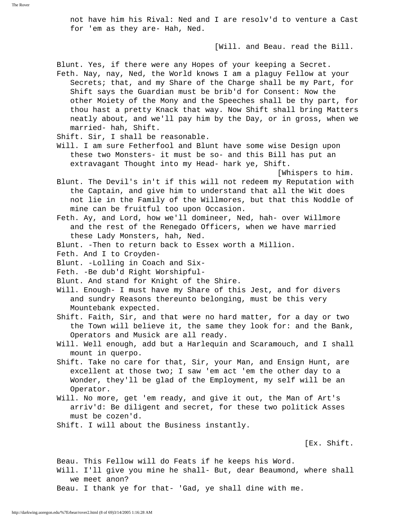not have him his Rival: Ned and I are resolv'd to venture a Cast for 'em as they are- Hah, Ned.

[Will. and Beau. read the Bill.

Blunt. Yes, if there were any Hopes of your keeping a Secret.

- Feth. Nay, nay, Ned, the World knows I am a plaguy Fellow at your Secrets; that, and my Share of the Charge shall be my Part, for Shift says the Guardian must be brib'd for Consent: Now the other Moiety of the Mony and the Speeches shall be thy part, for thou hast a pretty Knack that way. Now Shift shall bring Matters neatly about, and we'll pay him by the Day, or in gross, when we married- hah, Shift.
- Shift. Sir, I shall be reasonable.
- Will. I am sure Fetherfool and Blunt have some wise Design upon these two Monsters- it must be so- and this Bill has put an extravagant Thought into my Head- hark ye, Shift.

[Whispers to him.

- Blunt. The Devil's in't if this will not redeem my Reputation with the Captain, and give him to understand that all the Wit does not lie in the Family of the Willmores, but that this Noddle of mine can be fruitful too upon Occasion.
- Feth. Ay, and Lord, how we'll domineer, Ned, hah- over Willmore and the rest of the Renegado Officers, when we have married these Lady Monsters, hah, Ned.
- Blunt. -Then to return back to Essex worth a Million.
- Feth. And I to Croyden-
- Blunt. -Lolling in Coach and Six-
- Feth. -Be dub'd Right Worshipful-
- Blunt. And stand for Knight of the Shire.
- Will. Enough- I must have my Share of this Jest, and for divers and sundry Reasons thereunto belonging, must be this very Mountebank expected.
- Shift. Faith, Sir, and that were no hard matter, for a day or two the Town will believe it, the same they look for: and the Bank, Operators and Musick are all ready.
- Will. Well enough, add but a Harlequin and Scaramouch, and I shall mount in querpo.
- Shift. Take no care for that, Sir, your Man, and Ensign Hunt, are excellent at those two; I saw 'em act 'em the other day to a Wonder, they'll be glad of the Employment, my self will be an Operator.
- Will. No more, get 'em ready, and give it out, the Man of Art's arriv'd: Be diligent and secret, for these two politick Asses must be cozen'd.
- Shift. I will about the Business instantly.

[Ex. Shift.

 Beau. This Fellow will do Feats if he keeps his Word. Will. I'll give you mine he shall- But, dear Beaumond, where shall we meet anon? Beau. I thank ye for that- 'Gad, ye shall dine with me.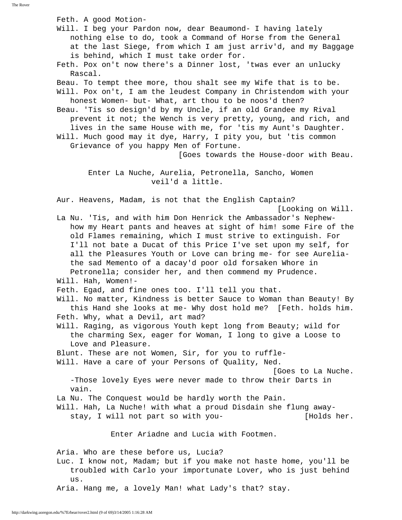Feth. A good Motion- Will. I beg your Pardon now, dear Beaumond- I having lately nothing else to do, took a Command of Horse from the General at the last Siege, from which I am just arriv'd, and my Baggage is behind, which I must take order for. Feth. Pox on't now there's a Dinner lost, 'twas ever an unlucky Rascal. Beau. To tempt thee more, thou shalt see my Wife that is to be. Will. Pox on't, I am the leudest Company in Christendom with your honest Women- but- What, art thou to be noos'd then? Beau. 'Tis so design'd by my Uncle, if an old Grandee my Rival prevent it not; the Wench is very pretty, young, and rich, and lives in the same House with me, for 'tis my Aunt's Daughter. Will. Much good may it dye, Harry, I pity you, but 'tis common Grievance of you happy Men of Fortune. [Goes towards the House-door with Beau. Enter La Nuche, Aurelia, Petronella, Sancho, Women veil'd a little. Aur. Heavens, Madam, is not that the English Captain? [Looking on Will. La Nu. 'Tis, and with him Don Henrick the Ambassador's Nephew how my Heart pants and heaves at sight of him! some Fire of the old Flames remaining, which I must strive to extinguish. For I'll not bate a Ducat of this Price I've set upon my self, for all the Pleasures Youth or Love can bring me- for see Aurelia the sad Memento of a dacay'd poor old forsaken Whore in Petronella; consider her, and then commend my Prudence. Will. Hah, Women!- Feth. Egad, and fine ones too. I'll tell you that. Will. No matter, Kindness is better Sauce to Woman than Beauty! By this Hand she looks at me- Why dost hold me? [Feth. holds him. Feth. Why, what a Devil, art mad? Will. Raging, as vigorous Youth kept long from Beauty; wild for the charming Sex, eager for Woman, I long to give a Loose to Love and Pleasure. Blunt. These are not Women, Sir, for you to ruffle- Will. Have a care of your Persons of Quality, Ned. [Goes to La Nuche. -Those lovely Eyes were never made to throw their Darts in vain. La Nu. The Conquest would be hardly worth the Pain. Will. Hah, La Nuche! with what a proud Disdain she flung away stay, I will not part so with you- [Holds her. Enter Ariadne and Lucia with Footmen. Aria. Who are these before us, Lucia? Luc. I know not, Madam; but if you make not haste home, you'll be troubled with Carlo your importunate Lover, who is just behind us. Aria. Hang me, a lovely Man! what Lady's that? stay.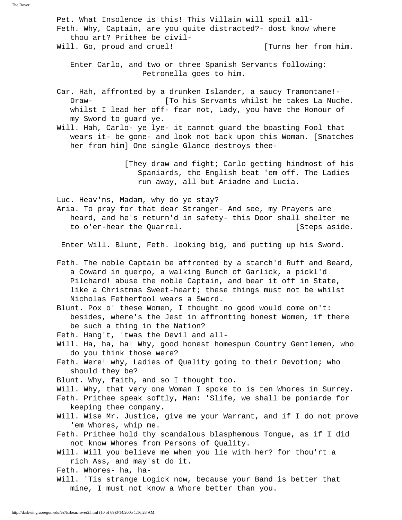Pet. What Insolence is this! This Villain will spoil all- Feth. Why, Captain, are you quite distracted?- dost know where thou art? Prithee be civil- Will. Go, proud and cruel! [Turns her from him. Enter Carlo, and two or three Spanish Servants following: Petronella goes to him. Car. Hah, affronted by a drunken Islander, a saucy Tramontane!- Draw- [To his Servants whilst he takes La Nuche. whilst I lead her off- fear not, Lady, you have the Honour of my Sword to guard ye. Will. Hah, Carlo- ye lye- it cannot guard the boasting Fool that wears it- be gone- and look not back upon this Woman. [Snatches her from him] One single Glance destroys thee- [They draw and fight; Carlo getting hindmost of his Spaniards, the English beat 'em off. The Ladies run away, all but Ariadne and Lucia. Luc. Heav'ns, Madam, why do ye stay? Aria. To pray for that dear Stranger- And see, my Prayers are heard, and he's return'd in safety- this Door shall shelter me to o'er-hear the Quarrel. The same state of the same of the same of the same of the same of the same of the same of the same of the same of the same of the same of the same of the same of the same of the same of the same o Enter Will. Blunt, Feth. looking big, and putting up his Sword. Feth. The noble Captain be affronted by a starch'd Ruff and Beard, a Coward in querpo, a walking Bunch of Garlick, a pickl'd Pilchard! abuse the noble Captain, and bear it off in State, like a Christmas Sweet-heart; these things must not be whilst Nicholas Fetherfool wears a Sword. Blunt. Pox o' these Women, I thought no good would come on't: besides, where's the Jest in affronting honest Women, if there be such a thing in the Nation? Feth. Hang't, 'twas the Devil and all- Will. Ha, ha, ha! Why, good honest homespun Country Gentlemen, who do you think those were? Feth. Were! why, Ladies of Quality going to their Devotion; who should they be? Blunt. Why, faith, and so I thought too. Will. Why, that very one Woman I spoke to is ten Whores in Surrey. Feth. Prithee speak softly, Man: 'Slife, we shall be poniarde for keeping thee company. Will. Wise Mr. Justice, give me your Warrant, and if I do not prove 'em Whores, whip me. Feth. Prithee hold thy scandalous blasphemous Tongue, as if I did not know Whores from Persons of Quality. Will. Will you believe me when you lie with her? for thou'rt a rich Ass, and may'st do it. Feth. Whores- ha, ha- Will. 'Tis strange Logick now, because your Band is better that mine, I must not know a Whore better than you.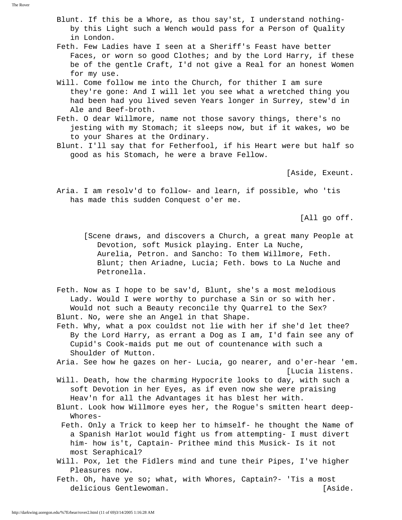- Blunt. If this be a Whore, as thou say'st, I understand nothing by this Light such a Wench would pass for a Person of Quality in London.
- Feth. Few Ladies have I seen at a Sheriff's Feast have better Faces, or worn so good Clothes; and by the Lord Harry, if these be of the gentle Craft, I'd not give a Real for an honest Women for my use.
- Will. Come follow me into the Church, for thither I am sure they're gone: And I will let you see what a wretched thing you had been had you lived seven Years longer in Surrey, stew'd in Ale and Beef-broth.
- Feth. O dear Willmore, name not those savory things, there's no jesting with my Stomach; it sleeps now, but if it wakes, wo be to your Shares at the Ordinary.
- Blunt. I'll say that for Fetherfool, if his Heart were but half so good as his Stomach, he were a brave Fellow.

[Aside, Exeunt.

 Aria. I am resolv'd to follow- and learn, if possible, who 'tis has made this sudden Conquest o'er me.

[All go off.

- [Scene draws, and discovers a Church, a great many People at Devotion, soft Musick playing. Enter La Nuche, Aurelia, Petron. and Sancho: To them Willmore, Feth. Blunt; then Ariadne, Lucia; Feth. bows to La Nuche and Petronella.
- Feth. Now as I hope to be sav'd, Blunt, she's a most melodious Lady. Would I were worthy to purchase a Sin or so with her. Would not such a Beauty reconcile thy Quarrel to the Sex? Blunt. No, were she an Angel in that Shape.
- Feth. Why, what a pox couldst not lie with her if she'd let thee? By the Lord Harry, as errant a Dog as I am, I'd fain see any of Cupid's Cook-maids put me out of countenance with such a Shoulder of Mutton.

 Aria. See how he gazes on her- Lucia, go nearer, and o'er-hear 'em. [Lucia listens.

- Will. Death, how the charming Hypocrite looks to day, with such a soft Devotion in her Eyes, as if even now she were praising Heav'n for all the Advantages it has blest her with.
- Blunt. Look how Willmore eyes her, the Rogue's smitten heart deep- Whores-
- Feth. Only a Trick to keep her to himself- he thought the Name of a Spanish Harlot would fight us from attempting- I must divert him- how is't, Captain- Prithee mind this Musick- Is it not most Seraphical?
- Will. Pox, let the Fidlers mind and tune their Pipes, I've higher Pleasures now.
- Feth. Oh, have ye so; what, with Whores, Captain?- 'Tis a most delicious Gentlewoman. **Example 20** and the set of the set of the set of the set of the set of the set of the set of the set of the set of the set of the set of the set of the set of the set of the set of the set of the se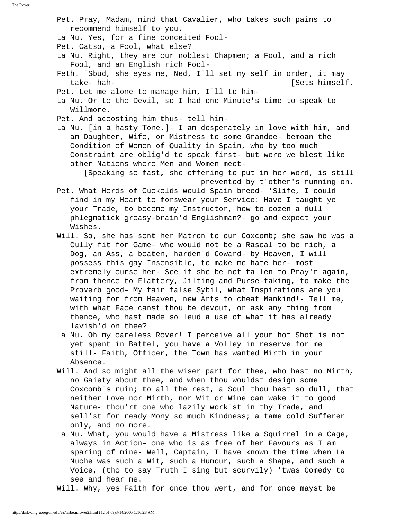Pet. Pray, Madam, mind that Cavalier, who takes such pains to recommend himself to you.

La Nu. Yes, for a fine conceited Fool-

Pet. Catso, a Fool, what else?

 La Nu. Right, they are our noblest Chapmen; a Fool, and a rich Fool, and an English rich Fool-

 Feth. 'Sbud, she eyes me, Ned, I'll set my self in order, it may take- hah- [Sets himself.

Pet. Let me alone to manage him, I'll to him-

- La Nu. Or to the Devil, so I had one Minute's time to speak to Willmore.
- Pet. And accosting him thus- tell him-

 La Nu. [in a hasty Tone.]- I am desperately in love with him, and am Daughter, Wife, or Mistress to some Grandee- bemoan the Condition of Women of Quality in Spain, who by too much Constraint are oblig'd to speak first- but were we blest like other Nations where Men and Women meet-

 [Speaking so fast, she offering to put in her word, is still prevented by t'other's running on.

 Pet. What Herds of Cuckolds would Spain breed- 'Slife, I could find in my Heart to forswear your Service: Have I taught ye your Trade, to become my Instructor, how to cozen a dull phlegmatick greasy-brain'd Englishman?- go and expect your Wishes.

Will. So, she has sent her Matron to our Coxcomb; she saw he was a Cully fit for Game- who would not be a Rascal to be rich, a Dog, an Ass, a beaten, harden'd Coward- by Heaven, I will possess this gay Insensible, to make me hate her- most extremely curse her- See if she be not fallen to Pray'r again, from thence to Flattery, Jilting and Purse-taking, to make the Proverb good- My fair false Sybil, what Inspirations are you waiting for from Heaven, new Arts to cheat Mankind!- Tell me, with what Face canst thou be devout, or ask any thing from thence, who hast made so leud a use of what it has already lavish'd on thee?

- La Nu. Oh my careless Rover! I perceive all your hot Shot is not yet spent in Battel, you have a Volley in reserve for me still- Faith, Officer, the Town has wanted Mirth in your Absence.
- Will. And so might all the wiser part for thee, who hast no Mirth, no Gaiety about thee, and when thou wouldst design some Coxcomb's ruin; to all the rest, a Soul thou hast so dull, that neither Love nor Mirth, nor Wit or Wine can wake it to good Nature- thou'rt one who lazily work'st in thy Trade, and sell'st for ready Mony so much Kindness; a tame cold Sufferer only, and no more.
- La Nu. What, you would have a Mistress like a Squirrel in a Cage, always in Action- one who is as free of her Favours as I am sparing of mine- Well, Captain, I have known the time when La Nuche was such a Wit, such a Humour, such a Shape, and such a Voice, (tho to say Truth I sing but scurvily) 'twas Comedy to see and hear me.

Will. Why, yes Faith for once thou wert, and for once mayst be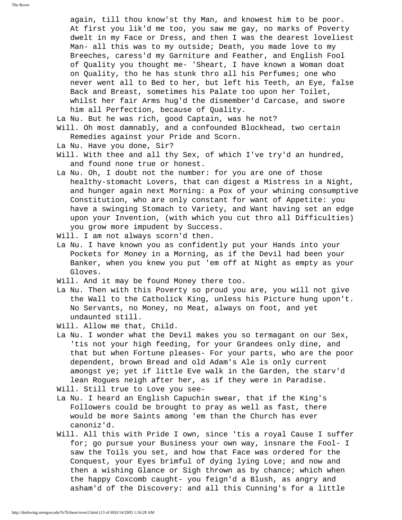again, till thou know'st thy Man, and knowest him to be poor. At first you lik'd me too, you saw me gay, no marks of Poverty dwelt in my Face or Dress, and then I was the dearest loveliest Man- all this was to my outside; Death, you made love to my Breeches, caress'd my Garniture and Feather, and English Fool of Quality you thought me- 'Sheart, I have known a Woman doat on Quality, tho he has stunk thro all his Perfumes; one who never went all to Bed to her, but left his Teeth, an Eye, false Back and Breast, sometimes his Palate too upon her Toilet, whilst her fair Arms hug'd the dismember'd Carcase, and swore him all Perfection, because of Quality.

- La Nu. But he was rich, good Captain, was he not?
- Will. Oh most damnably, and a confounded Blockhead, two certain Remedies against your Pride and Scorn.
- La Nu. Have you done, Sir?
- Will. With thee and all thy Sex, of which I've try'd an hundred, and found none true or honest.
- La Nu. Oh, I doubt not the number: for you are one of those healthy-stomacht Lovers, that can digest a Mistress in a Night, and hunger again next Morning: a Pox of your whining consumptive Constitution, who are only constant for want of Appetite: you have a swinging Stomach to Variety, and Want having set an edge upon your Invention, (with which you cut thro all Difficulties) you grow more impudent by Success.
- Will. I am not always scorn'd then.
- La Nu. I have known you as confidently put your Hands into your Pockets for Money in a Morning, as if the Devil had been your Banker, when you knew you put 'em off at Night as empty as your Gloves.
- Will. And it may be found Money there too.
- La Nu. Then with this Poverty so proud you are, you will not give the Wall to the Catholick King, unless his Picture hung upon't. No Servants, no Money, no Meat, always on foot, and yet undaunted still.
- Will. Allow me that, Child.
- La Nu. I wonder what the Devil makes you so termagant on our Sex, 'tis not your high feeding, for your Grandees only dine, and that but when Fortune pleases- For your parts, who are the poor dependent, brown Bread and old Adam's Ale is only current amongst ye; yet if little Eve walk in the Garden, the starv'd lean Rogues neigh after her, as if they were in Paradise.
- Will. Still true to Love you see-
- La Nu. I heard an English Capuchin swear, that if the King's Followers could be brought to pray as well as fast, there would be more Saints among 'em than the Church has ever canoniz'd.
- Will. All this with Pride I own, since 'tis a royal Cause I suffer for; go pursue your Business your own way, insnare the Fool- I saw the Toils you set, and how that Face was ordered for the Conquest, your Eyes brimful of dying lying Love; and now and then a wishing Glance or Sigh thrown as by chance; which when the happy Coxcomb caught- you feign'd a Blush, as angry and asham'd of the Discovery: and all this Cunning's for a little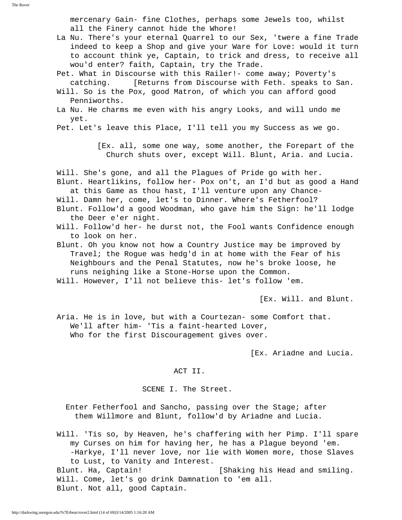mercenary Gain- fine Clothes, perhaps some Jewels too, whilst all the Finery cannot hide the Whore!

- La Nu. There's your eternal Quarrel to our Sex, 'twere a fine Trade indeed to keep a Shop and give your Ware for Love: would it turn to account think ye, Captain, to trick and dress, to receive all wou'd enter? faith, Captain, try the Trade.
- Pet. What in Discourse with this Railer!- come away; Poverty's catching. [Returns from Discourse with Feth. speaks to San.
- Will. So is the Pox, good Matron, of which you can afford good Penniworths.
- La Nu. He charms me even with his angry Looks, and will undo me yet.
- Pet. Let's leave this Place, I'll tell you my Success as we go.

 [Ex. all, some one way, some another, the Forepart of the Church shuts over, except Will. Blunt, Aria. and Lucia.

Will. She's gone, and all the Plagues of Pride go with her.

- Blunt. Heartlikins, follow her- Pox on't, an I'd but as good a Hand at this Game as thou hast, I'll venture upon any Chance-
- Will. Damn her, come, let's to Dinner. Where's Fetherfool?
- Blunt. Follow'd a good Woodman, who gave him the Sign: he'll lodge the Deer e'er night.
- Will. Follow'd her- he durst not, the Fool wants Confidence enough to look on her.
- Blunt. Oh you know not how a Country Justice may be improved by Travel; the Rogue was hedg'd in at home with the Fear of his Neighbours and the Penal Statutes, now he's broke loose, he runs neighing like a Stone-Horse upon the Common.
- Will. However, I'll not believe this- let's follow 'em.

[Ex. Will. and Blunt.

 Aria. He is in love, but with a Courtezan- some Comfort that. We'll after him- 'Tis a faint-hearted Lover, Who for the first Discouragement gives over.

[Ex. Ariadne and Lucia.

#### ACT II.

SCENE I. The Street.

 Enter Fetherfool and Sancho, passing over the Stage; after them Willmore and Blunt, follow'd by Ariadne and Lucia.

 Will. 'Tis so, by Heaven, he's chaffering with her Pimp. I'll spare my Curses on him for having her, he has a Plague beyond 'em. -Harkye, I'll never love, nor lie with Women more, those Slaves to Lust, to Vanity and Interest. Blunt. Ha, Captain! [Shaking his Head and smiling. Will. Come, let's go drink Damnation to 'em all. Blunt. Not all, good Captain.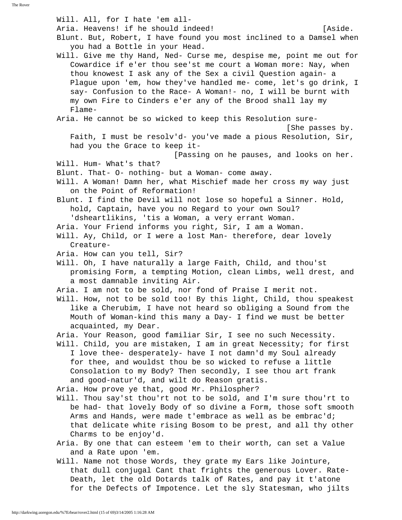Will. All, for I hate 'em all- Aria. Heavens! if he should indeed! [Aside. Blunt. But, Robert, I have found you most inclined to a Damsel when you had a Bottle in your Head. Will. Give me thy Hand, Ned- Curse me, despise me, point me out for Cowardice if e'er thou see'st me court a Woman more: Nay, when thou knowest I ask any of the Sex a civil Question again- a Plague upon 'em, how they've handled me- come, let's go drink, I say- Confusion to the Race- A Woman!- no, I will be burnt with my own Fire to Cinders e'er any of the Brood shall lay my Flame- Aria. He cannot be so wicked to keep this Resolution sure- [She passes by. Faith, I must be resolv'd- you've made a pious Resolution, Sir, had you the Grace to keep it- [Passing on he pauses, and looks on her. Will. Hum- What's that? Blunt. That- O- nothing- but a Woman- come away. Will. A Woman! Damn her, what Mischief made her cross my way just on the Point of Reformation! Blunt. I find the Devil will not lose so hopeful a Sinner. Hold, hold, Captain, have you no Regard to your own Soul? 'dsheartlikins, 'tis a Woman, a very errant Woman. Aria. Your Friend informs you right, Sir, I am a Woman. Will. Ay, Child, or I were a lost Man- therefore, dear lovely Creature- Aria. How can you tell, Sir? Will. Oh, I have naturally a large Faith, Child, and thou'st promising Form, a tempting Motion, clean Limbs, well drest, and a most damnable inviting Air. Aria. I am not to be sold, nor fond of Praise I merit not. Will. How, not to be sold too! By this light, Child, thou speakest like a Cherubim, I have not heard so obliging a Sound from the Mouth of Woman-kind this many a Day- I find we must be better acquainted, my Dear. Aria. Your Reason, good familiar Sir, I see no such Necessity. Will. Child, you are mistaken, I am in great Necessity; for first I love thee- desperately- have I not damn'd my Soul already for thee, and wouldst thou be so wicked to refuse a little Consolation to my Body? Then secondly, I see thou art frank and good-natur'd, and wilt do Reason gratis. Aria. How prove ye that, good Mr. Philospher? Will. Thou say'st thou'rt not to be sold, and I'm sure thou'rt to be had- that lovely Body of so divine a Form, those soft smooth Arms and Hands, were made t'embrace as well as be embrac'd; that delicate white rising Bosom to be prest, and all thy other Charms to be enjoy'd. Aria. By one that can esteem 'em to their worth, can set a Value and a Rate upon 'em. Will. Name not those Words, they grate my Ears like Jointure, that dull conjugal Cant that frights the generous Lover. Rate- Death, let the old Dotards talk of Rates, and pay it t'atone for the Defects of Impotence. Let the sly Statesman, who jilts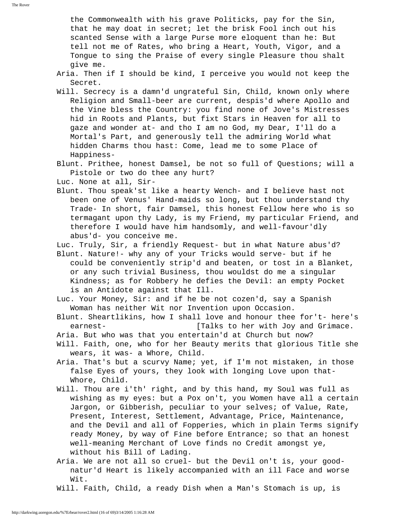the Commonwealth with his grave Politicks, pay for the Sin, that he may doat in secret; let the brisk Fool inch out his scanted Sense with a large Purse more eloquent than he: But tell not me of Rates, who bring a Heart, Youth, Vigor, and a Tongue to sing the Praise of every single Pleasure thou shalt give me.

- Aria. Then if I should be kind, I perceive you would not keep the Secret.
- Will. Secrecy is a damn'd ungrateful Sin, Child, known only where Religion and Small-beer are current, despis'd where Apollo and the Vine bless the Country: you find none of Jove's Mistresses hid in Roots and Plants, but fixt Stars in Heaven for all to gaze and wonder at- and tho I am no God, my Dear, I'll do a Mortal's Part, and generously tell the admiring World what hidden Charms thou hast: Come, lead me to some Place of Happiness-
- Blunt. Prithee, honest Damsel, be not so full of Questions; will a Pistole or two do thee any hurt?
- Luc. None at all, Sir-
- Blunt. Thou speak'st like a hearty Wench- and I believe hast not been one of Venus' Hand-maids so long, but thou understand thy Trade- In short, fair Damsel, this honest Fellow here who is so termagant upon thy Lady, is my Friend, my particular Friend, and therefore I would have him handsomly, and well-favour'dly abus'd- you conceive me.
- Luc. Truly, Sir, a friendly Request- but in what Nature abus'd?
- Blunt. Nature!- why any of your Tricks would serve- but if he could be conveniently strip'd and beaten, or tost in a Blanket, or any such trivial Business, thou wouldst do me a singular Kindness; as for Robbery he defies the Devil: an empty Pocket is an Antidote against that Ill.
- Luc. Your Money, Sir: and if he be not cozen'd, say a Spanish Woman has neither Wit nor Invention upon Occasion.
- Blunt. Sheartlikins, how I shall love and honour thee for't- here's earnest- **Easily E** [Talks to her with Joy and Grimace.
- Aria. But who was that you entertain'd at Church but now?
- Will. Faith, one, who for her Beauty merits that glorious Title she wears, it was- a Whore, Child.
- Aria. That's but a scurvy Name; yet, if I'm not mistaken, in those false Eyes of yours, they look with longing Love upon that- Whore, Child.
- Will. Thou are i'th' right, and by this hand, my Soul was full as wishing as my eyes: but a Pox on't, you Women have all a certain Jargon, or Gibberish, peculiar to your selves; of Value, Rate, Present, Interest, Settlement, Advantage, Price, Maintenance, and the Devil and all of Fopperies, which in plain Terms signify ready Money, by way of Fine before Entrance; so that an honest well-meaning Merchant of Love finds no Credit amongst ye, without his Bill of Lading.
- Aria. We are not all so cruel- but the Devil on't is, your good natur'd Heart is likely accompanied with an ill Face and worse Wit.
- Will. Faith, Child, a ready Dish when a Man's Stomach is up, is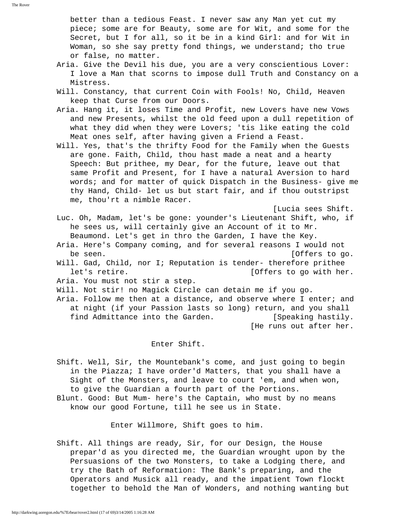The Rover

 better than a tedious Feast. I never saw any Man yet cut my piece; some are for Beauty, some are for Wit, and some for the Secret, but I for all, so it be in a kind Girl: and for Wit in Woman, so she say pretty fond things, we understand; tho true or false, no matter.

- Aria. Give the Devil his due, you are a very conscientious Lover: I love a Man that scorns to impose dull Truth and Constancy on a Mistress.
- Will. Constancy, that current Coin with Fools! No, Child, Heaven keep that Curse from our Doors.
- Aria. Hang it, it loses Time and Profit, new Lovers have new Vows and new Presents, whilst the old feed upon a dull repetition of what they did when they were Lovers; 'tis like eating the cold Meat ones self, after having given a Friend a Feast.
- Will. Yes, that's the thrifty Food for the Family when the Guests are gone. Faith, Child, thou hast made a neat and a hearty Speech: But prithee, my Dear, for the future, leave out that same Profit and Present, for I have a natural Aversion to hard words; and for matter of quick Dispatch in the Business- give me thy Hand, Child- let us but start fair, and if thou outstripst me, thou'rt a nimble Racer.

[Lucia sees Shift.

- Luc. Oh, Madam, let's be gone: younder's Lieutenant Shift, who, if he sees us, will certainly give an Account of it to Mr. Beaumond. Let's get in thro the Garden, I have the Key.
- Aria. Here's Company coming, and for several reasons I would not be seen. [Offers to go.
- Will. Gad, Child, nor I; Reputation is tender- therefore prithee let's retire. The same controllering to go with her.
- Aria. You must not stir a step.
- Will. Not stir! no Magick Circle can detain me if you go.
- Aria. Follow me then at a distance, and observe where I enter; and at night (if your Passion lasts so long) return, and you shall find Admittance into the Garden. [Speaking hastily. [He runs out after her.

### Enter Shift.

 Shift. Well, Sir, the Mountebank's come, and just going to begin in the Piazza; I have order'd Matters, that you shall have a Sight of the Monsters, and leave to court 'em, and when won, to give the Guardian a fourth part of the Portions.

 Blunt. Good: But Mum- here's the Captain, who must by no means know our good Fortune, till he see us in State.

Enter Willmore, Shift goes to him.

 Shift. All things are ready, Sir, for our Design, the House prepar'd as you directed me, the Guardian wrought upon by the Persuasions of the two Monsters, to take a Lodging there, and try the Bath of Reformation: The Bank's preparing, and the Operators and Musick all ready, and the impatient Town flockt together to behold the Man of Wonders, and nothing wanting but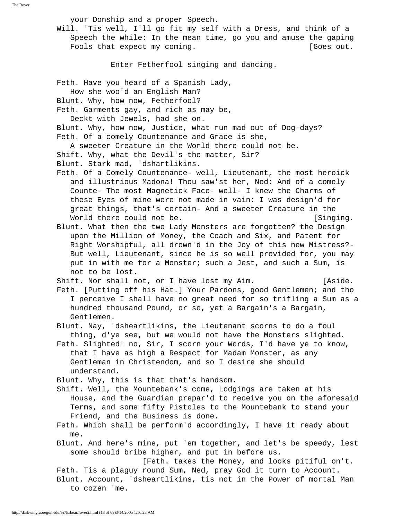The Rover

your Donship and a proper Speech.

 Will. 'Tis well, I'll go fit my self with a Dress, and think of a Speech the while: In the mean time, go you and amuse the gaping Fools that expect my coming. The set of the set of the set of the set of the set of the set of the set of the set of the set of the set of the set of the set of the set of the set of the set of the set of the set of the se

Enter Fetherfool singing and dancing.

Feth. Have you heard of a Spanish Lady,

How she woo'd an English Man?

Blunt. Why, how now, Fetherfool?

Feth. Garments gay, and rich as may be,

Deckt with Jewels, had she on.

 Blunt. Why, how now, Justice, what run mad out of Dog-days? Feth. Of a comely Countenance and Grace is she,

 A sweeter Creature in the World there could not be. Shift. Why, what the Devil's the matter, Sir? Blunt. Stark mad, 'dshartlikins.

 Feth. Of a Comely Countenance- well, Lieutenant, the most heroick and illustrious Madona! Thou saw'st her, Ned: And of a comely Counte- The most Magnetick Face- well- I knew the Charms of these Eyes of mine were not made in vain: I was design'd for great things, that's certain- And a sweeter Creature in the World there could not be. [Singing.]

 Blunt. What then the two Lady Monsters are forgotten? the Design upon the Million of Money, the Coach and Six, and Patent for Right Worshipful, all drown'd in the Joy of this new Mistress?- But well, Lieutenant, since he is so well provided for, you may put in with me for a Monster; such a Jest, and such a Sum, is not to be lost.

Shift. Nor shall not, or I have lost my Aim. [Aside.

 Feth. [Putting off his Hat.] Your Pardons, good Gentlemen; and tho I perceive I shall have no great need for so trifling a Sum as a hundred thousand Pound, or so, yet a Bargain's a Bargain, Gentlemen.

 Blunt. Nay, 'dsheartlikins, the Lieutenant scorns to do a foul thing, d'ye see, but we would not have the Monsters slighted.

 Feth. Slighted! no, Sir, I scorn your Words, I'd have ye to know, that I have as high a Respect for Madam Monster, as any Gentleman in Christendom, and so I desire she should understand.

Blunt. Why, this is that that's handsom.

 Shift. Well, the Mountebank's come, Lodgings are taken at his House, and the Guardian prepar'd to receive you on the aforesaid Terms, and some fifty Pistoles to the Mountebank to stand your Friend, and the Business is done.

 Feth. Which shall be perform'd accordingly, I have it ready about me.

 Blunt. And here's mine, put 'em together, and let's be speedy, lest some should bribe higher, and put in before us.

 [Feth. takes the Money, and looks pitiful on't. Feth. Tis a plaguy round Sum, Ned, pray God it turn to Account. Blunt. Account, 'dsheartlikins, tis not in the Power of mortal Man to cozen 'me.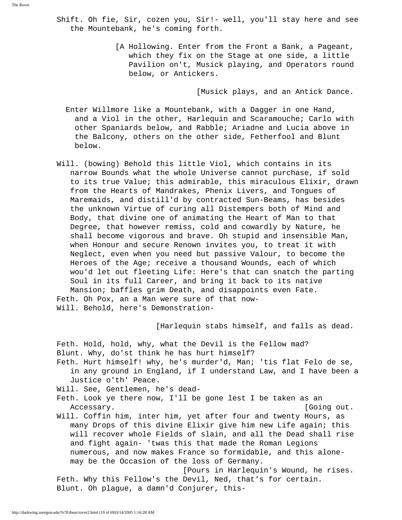- Shift. Oh fie, Sir, cozen you, Sir!- well, you'll stay here and see the Mountebank, he's coming forth.
	- [A Hollowing. Enter from the Front a Bank, a Pageant, which they fix on the Stage at one side, a little Pavilion on't, Musick playing, and Operators round below, or Antickers.

[Musick plays, and an Antick Dance.

- Enter Willmore like a Mountebank, with a Dagger in one Hand, and a Viol in the other, Harlequin and Scaramouche; Carlo with other Spaniards below, and Rabble; Ariadne and Lucia above in the Balcony, others on the other side, Fetherfool and Blunt below.
- Will. (bowing) Behold this little Viol, which contains in its narrow Bounds what the whole Universe cannot purchase, if sold to its true Value; this admirable, this miraculous Elixir, drawn from the Hearts of Mandrakes, Phenix Livers, and Tongues of Maremaids, and distill'd by contracted Sun-Beams, has besides the unknown Virtue of curing all Distempers both of Mind and Body, that divine one of animating the Heart of Man to that Degree, that however remiss, cold and cowardly by Nature, he shall become vigorous and brave. Oh stupid and insensible Man, when Honour and secure Renown invites you, to treat it with Neglect, even when you need but passive Valour, to become the Heroes of the Age; receive a thousand Wounds, each of which wou'd let out fleeting Life: Here's that can snatch the parting Soul in its full Career, and bring it back to its native Mansion; baffles grim Death, and disappoints even Fate. Feth. Oh Pox, an a Man were sure of that now- Will. Behold, here's Demonstration-

[Harlequin stabs himself, and falls as dead.

 Feth. Hold, hold, why, what the Devil is the Fellow mad? Blunt. Why, do'st think he has hurt himself?

 Feth. Hurt himself! why, he's murder'd, Man; 'tis flat Felo de se, in any ground in England, if I understand Law, and I have been a Justice o'th' Peace.

Will. See, Gentlemen, he's dead-

- Feth. Look ye there now, I'll be gone lest I be taken as an Accessary.  $[G\circ I]$  and  $[G\circ I]$
- Will. Coffin him, inter him, yet after four and twenty Hours, as many Drops of this divine Elixir give him new Life again; this will recover whole Fields of slain, and all the Dead shall rise and fight again- 'twas this that made the Roman Legions numerous, and now makes France so formidable, and this alone may be the Occasion of the loss of Germany.

 [Pours in Harlequin's Wound, he rises. Feth. Why this Fellow's the Devil, Ned, that's for certain. Blunt. Oh plague, a damn'd Conjurer, this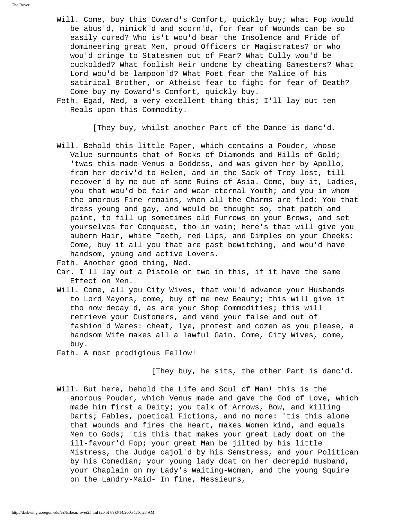Will. Come, buy this Coward's Comfort, quickly buy; what Fop would be abus'd, mimick'd and scorn'd, for fear of Wounds can be so easily cured? Who is't wou'd bear the Insolence and Pride of domineering great Men, proud Officers or Magistrates? or who wou'd cringe to Statesmen out of Fear? What Cully wou'd be cuckolded? What foolish Heir undone by cheating Gamesters? What Lord wou'd be lampoon'd? What Poet fear the Malice of his satirical Brother, or Atheist fear to fight for fear of Death? Come buy my Coward's Comfort, quickly buy.

 Feth. Egad, Ned, a very excellent thing this; I'll lay out ten Reals upon this Commodity.

[They buy, whilst another Part of the Dance is danc'd.

 Will. Behold this little Paper, which contains a Pouder, whose Value surmounts that of Rocks of Diamonds and Hills of Gold; 'twas this made Venus a Goddess, and was given her by Apollo, from her deriv'd to Helen, and in the Sack of Troy lost, till recover'd by me out of some Ruins of Asia. Come, buy it, Ladies, you that wou'd be fair and wear eternal Youth; and you in whom the amorous Fire remains, when all the Charms are fled: You that dress young and gay, and would be thought so, that patch and paint, to fill up sometimes old Furrows on your Brows, and set yourselves for Conquest, tho in vain; here's that will give you aubern Hair, white Teeth, red Lips, and Dimples on your Cheeks: Come, buy it all you that are past bewitching, and wou'd have handsom, young and active Lovers.

Feth. Another good thing, Ned.

 Car. I'll lay out a Pistole or two in this, if it have the same Effect on Men.

- Will. Come, all you City Wives, that wou'd advance your Husbands to Lord Mayors, come, buy of me new Beauty; this will give it tho now decay'd, as are your Shop Commodities; this will retrieve your Customers, and vend your false and out of fashion'd Wares: cheat, lye, protest and cozen as you please, a handsom Wife makes all a lawful Gain. Come, City Wives, come, buy.
- Feth. A most prodigious Fellow!

[They buy, he sits, the other Part is danc'd.

 Will. But here, behold the Life and Soul of Man! this is the amorous Pouder, which Venus made and gave the God of Love, which made him first a Deity; you talk of Arrows, Bow, and killing Darts; Fables, poetical Fictions, and no more: 'tis this alone that wounds and fires the Heart, makes Women kind, and equals Men to Gods; 'tis this that makes your great Lady doat on the ill-favour'd Fop; your great Man be jilted by his little Mistress, the Judge cajol'd by his Semstress, and your Politican by his Comedian; your young lady doat on her decrepid Husband, your Chaplain on my Lady's Waiting-Woman, and the young Squire on the Landry-Maid- In fine, Messieurs,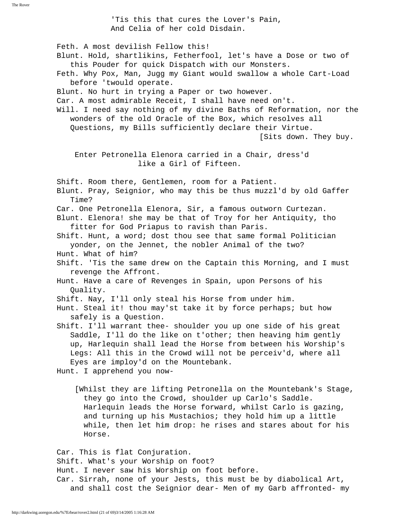The Rover

 'Tis this that cures the Lover's Pain, And Celia of her cold Disdain.

 Feth. A most devilish Fellow this! Blunt. Hold, shartlikins, Fetherfool, let's have a Dose or two of this Pouder for quick Dispatch with our Monsters. Feth. Why Pox, Man, Jugg my Giant would swallow a whole Cart-Load before 'twould operate. Blunt. No hurt in trying a Paper or two however. Car. A most admirable Receit, I shall have need on't. Will. I need say nothing of my divine Baths of Reformation, nor the wonders of the old Oracle of the Box, which resolves all Questions, my Bills sufficiently declare their Virtue. [Sits down. They buy. Enter Petronella Elenora carried in a Chair, dress'd like a Girl of Fifteen. Shift. Room there, Gentlemen, room for a Patient. Blunt. Pray, Seignior, who may this be thus muzzl'd by old Gaffer Time? Car. One Petronella Elenora, Sir, a famous outworn Curtezan. Blunt. Elenora! she may be that of Troy for her Antiquity, tho fitter for God Priapus to ravish than Paris. Shift. Hunt, a word; dost thou see that same formal Politician yonder, on the Jennet, the nobler Animal of the two? Hunt. What of him? Shift. 'Tis the same drew on the Captain this Morning, and I must revenge the Affront. Hunt. Have a care of Revenges in Spain, upon Persons of his Quality. Shift. Nay, I'll only steal his Horse from under him. Hunt. Steal it! thou may'st take it by force perhaps; but how safely is a Question. Shift. I'll warrant thee- shoulder you up one side of his great Saddle, I'll do the like on t'other; then heaving him gently up, Harlequin shall lead the Horse from between his Worship's Legs: All this in the Crowd will not be perceiv'd, where all Eyes are imploy'd on the Mountebank. Hunt. I apprehend you now- [Whilst they are lifting Petronella on the Mountebank's Stage, they go into the Crowd, shoulder up Carlo's Saddle. Harlequin leads the Horse forward, whilst Carlo is gazing, and turning up his Mustachios; they hold him up a little while, then let him drop: he rises and stares about for his

 Car. This is flat Conjuration. Shift. What's your Worship on foot? Hunt. I never saw his Worship on foot before. Car. Sirrah, none of your Jests, this must be by diabolical Art, and shall cost the Seignior dear- Men of my Garb affronted- my

Horse.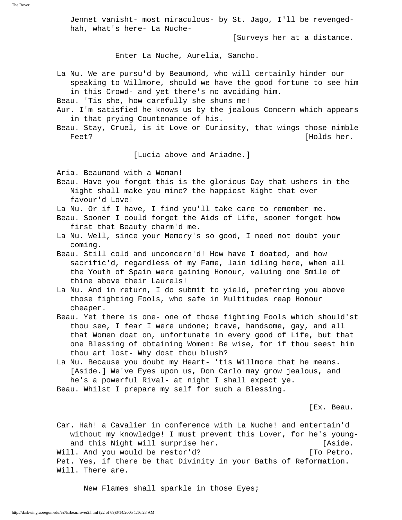Jennet vanisht- most miraculous- by St. Jago, I'll be revenged hah, what's here- La Nuche-

[Surveys her at a distance.

Enter La Nuche, Aurelia, Sancho.

 La Nu. We are pursu'd by Beaumond, who will certainly hinder our speaking to Willmore, should we have the good fortune to see him in this Crowd- and yet there's no avoiding him.

Beau. 'Tis she, how carefully she shuns me!

- Aur. I'm satisfied he knows us by the jealous Concern which appears in that prying Countenance of his.
- Beau. Stay, Cruel, is it Love or Curiosity, that wings those nimble Feet? [Holds her.

[Lucia above and Ariadne.]

Aria. Beaumond with a Woman!

 Beau. Have you forgot this is the glorious Day that ushers in the Night shall make you mine? the happiest Night that ever favour'd Love!

La Nu. Or if I have, I find you'll take care to remember me.

- Beau. Sooner I could forget the Aids of Life, sooner forget how first that Beauty charm'd me.
- La Nu. Well, since your Memory's so good, I need not doubt your coming.
- Beau. Still cold and unconcern'd! How have I doated, and how sacrific'd, regardless of my Fame, lain idling here, when all the Youth of Spain were gaining Honour, valuing one Smile of thine above their Laurels!
- La Nu. And in return, I do submit to yield, preferring you above those fighting Fools, who safe in Multitudes reap Honour cheaper.
- Beau. Yet there is one- one of those fighting Fools which should'st thou see, I fear I were undone; brave, handsome, gay, and all that Women doat on, unfortunate in every good of Life, but that one Blessing of obtaining Women: Be wise, for if thou seest him thou art lost- Why dost thou blush?
- La Nu. Because you doubt my Heart- 'tis Willmore that he means. [Aside.] We've Eyes upon us, Don Carlo may grow jealous, and he's a powerful Rival- at night I shall expect ye.

Beau. Whilst I prepare my self for such a Blessing.

[Ex. Beau.

 Car. Hah! a Cavalier in conference with La Nuche! and entertain'd without my knowledge! I must prevent this Lover, for he's young and this Night will surprise her. [Aside. Will. And you would be restor'd? [To Petro. Pet. Yes, if there be that Divinity in your Baths of Reformation. Will. There are.

New Flames shall sparkle in those Eyes;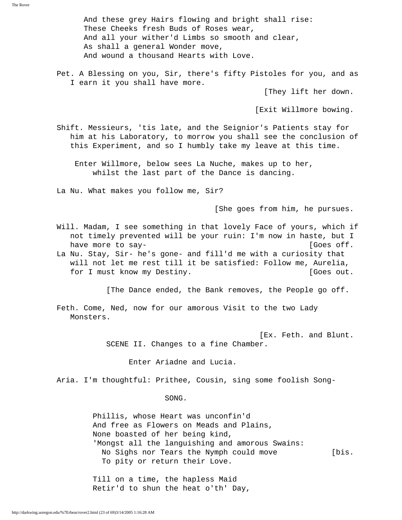And these grey Hairs flowing and bright shall rise: These Cheeks fresh Buds of Roses wear, And all your wither'd Limbs so smooth and clear, As shall a general Wonder move, And wound a thousand Hearts with Love.

 Pet. A Blessing on you, Sir, there's fifty Pistoles for you, and as I earn it you shall have more.

[They lift her down.

[Exit Willmore bowing.

 Shift. Messieurs, 'tis late, and the Seignior's Patients stay for him at his Laboratory, to morrow you shall see the conclusion of this Experiment, and so I humbly take my leave at this time.

 Enter Willmore, below sees La Nuche, makes up to her, whilst the last part of the Dance is dancing.

La Nu. What makes you follow me, Sir?

[She goes from him, he pursues.

- Will. Madam, I see something in that lovely Face of yours, which if not timely prevented will be your ruin: I'm now in haste, but I have more to say-  $[Goes of f.$
- La Nu. Stay, Sir- he's gone- and fill'd me with a curiosity that will not let me rest till it be satisfied: Follow me, Aurelia, for I must know my Destiny. The same set of the set of the set of the set of the set of the set of the set of the set of the set of the set of the set of the set of the set of the set of the set of the set of the set of th

[The Dance ended, the Bank removes, the People go off.

 Feth. Come, Ned, now for our amorous Visit to the two Lady Monsters.

> [Ex. Feth. and Blunt. SCENE II. Changes to a fine Chamber.

> > Enter Ariadne and Lucia.

Aria. I'm thoughtful: Prithee, Cousin, sing some foolish Song-

SONG.

 Phillis, whose Heart was unconfin'd And free as Flowers on Meads and Plains, None boasted of her being kind, 'Mongst all the languishing and amorous Swains: No Sighs nor Tears the Nymph could move [bis. To pity or return their Love.

 Till on a time, the hapless Maid Retir'd to shun the heat o'th' Day,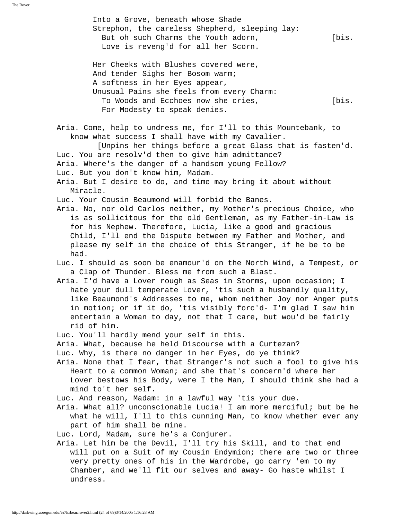Into a Grove, beneath whose Shade Strephon, the careless Shepherd, sleeping lay: But oh such Charms the Youth adorn, The Suite of Suite and The Suite of Suite and Theorem in The Suite and The Love is reveng'd for all her Scorn. Her Cheeks with Blushes covered were, And tender Sighs her Bosom warm; A softness in her Eyes appear, Unusual Pains she feels from every Charm: To Woods and Ecchoes now she cries, [bis. For Modesty to speak denies. Aria. Come, help to undress me, for I'll to this Mountebank, to know what success I shall have with my Cavalier. [Unpins her things before a great Glass that is fasten'd. Luc. You are resolv'd then to give him admittance? Aria. Where's the danger of a handsom young Fellow? Luc. But you don't know him, Madam. Aria. But I desire to do, and time may bring it about without Miracle. Luc. Your Cousin Beaumond will forbid the Banes. Aria. No, nor old Carlos neither, my Mother's precious Choice, who is as sollicitous for the old Gentleman, as my Father-in-Law is for his Nephew. Therefore, Lucia, like a good and gracious Child, I'll end the Dispute between my Father and Mother, and please my self in the choice of this Stranger, if he be to be had. Luc. I should as soon be enamour'd on the North Wind, a Tempest, or a Clap of Thunder. Bless me from such a Blast. Aria. I'd have a Lover rough as Seas in Storms, upon occasion; I hate your dull temperate Lover, 'tis such a husbandly quality, like Beaumond's Addresses to me, whom neither Joy nor Anger puts in motion; or if it do, 'tis visibly forc'd- I'm glad I saw him entertain a Woman to day, not that I care, but wou'd be fairly rid of him. Luc. You'll hardly mend your self in this. Aria. What, because he held Discourse with a Curtezan? Luc. Why, is there no danger in her Eyes, do ye think? Aria. None that I fear, that Stranger's not such a fool to give his Heart to a common Woman; and she that's concern'd where her Lover bestows his Body, were I the Man, I should think she had a mind to't her self. Luc. And reason, Madam: in a lawful way 'tis your due. Aria. What all? unconscionable Lucia! I am more merciful; but be he what he will, I'll to this cunning Man, to know whether ever any part of him shall be mine. Luc. Lord, Madam, sure he's a Conjurer. Aria. Let him be the Devil, I'll try his Skill, and to that end will put on a Suit of my Cousin Endymion; there are two or three very pretty ones of his in the Wardrobe, go carry 'em to my Chamber, and we'll fit our selves and away- Go haste whilst I undress.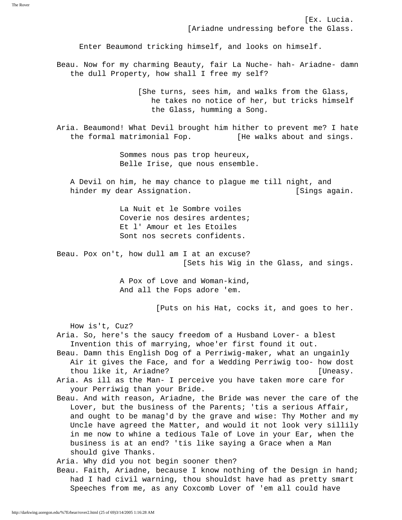[Ex. Lucia. [Ariadne undressing before the Glass.

Enter Beaumond tricking himself, and looks on himself.

 Beau. Now for my charming Beauty, fair La Nuche- hah- Ariadne- damn the dull Property, how shall I free my self?

> [She turns, sees him, and walks from the Glass, he takes no notice of her, but tricks himself the Glass, humming a Song.

 Aria. Beaumond! What Devil brought him hither to prevent me? I hate the formal matrimonial Fop. [He walks about and sings.

> Sommes nous pas trop heureux, Belle Irise, que nous ensemble.

 A Devil on him, he may chance to plague me till night, and hinder my dear Assignation. The same set of the set of the set of the set of the set of the set of the set of t

> La Nuit et le Sombre voiles Coverie nos desires ardentes; Et l' Amour et les Etoiles Sont nos secrets confidents.

 Beau. Pox on't, how dull am I at an excuse? [Sets his Wig in the Glass, and sings.

> A Pox of Love and Woman-kind, And all the Fops adore 'em.

> > [Puts on his Hat, cocks it, and goes to her.

How is't, Cuz?

 Aria. So, here's the saucy freedom of a Husband Lover- a blest Invention this of marrying, whoe'er first found it out.

 Beau. Damn this English Dog of a Perriwig-maker, what an ungainly Air it gives the Face, and for a Wedding Perriwig too- how dost thou like it, Ariadne? [Uneasy.

 Aria. As ill as the Man- I perceive you have taken more care for your Perriwig than your Bride.

 Beau. And with reason, Ariadne, the Bride was never the care of the Lover, but the business of the Parents; 'tis a serious Affair, and ought to be manag'd by the grave and wise: Thy Mother and my Uncle have agreed the Matter, and would it not look very sillily in me now to whine a tedious Tale of Love in your Ear, when the business is at an end? 'tis like saying a Grace when a Man should give Thanks.

Aria. Why did you not begin sooner then?

 Beau. Faith, Ariadne, because I know nothing of the Design in hand; had I had civil warning, thou shouldst have had as pretty smart Speeches from me, as any Coxcomb Lover of 'em all could have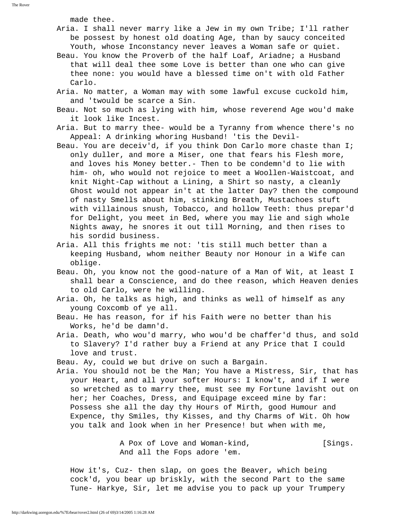made thee.

- Aria. I shall never marry like a Jew in my own Tribe; I'll rather be possest by honest old doating Age, than by saucy conceited Youth, whose Inconstancy never leaves a Woman safe or quiet.
- Beau. You know the Proverb of the half Loaf, Ariadne; a Husband that will deal thee some Love is better than one who can give thee none: you would have a blessed time on't with old Father Carlo.
- Aria. No matter, a Woman may with some lawful excuse cuckold him, and 'twould be scarce a Sin.
- Beau. Not so much as lying with him, whose reverend Age wou'd make it look like Incest.
- Aria. But to marry thee- would be a Tyranny from whence there's no Appeal: A drinking whoring Husband! 'tis the Devil-
- Beau. You are deceiv'd, if you think Don Carlo more chaste than I; only duller, and more a Miser, one that fears his Flesh more, and loves his Money better.- Then to be condemn'd to lie with him- oh, who would not rejoice to meet a Woollen-Waistcoat, and knit Night-Cap without a Lining, a Shirt so nasty, a cleanly Ghost would not appear in't at the latter Day? then the compound of nasty Smells about him, stinking Breath, Mustachoes stuft with villainous snush, Tobacco, and hollow Teeth: thus prepar'd for Delight, you meet in Bed, where you may lie and sigh whole Nights away, he snores it out till Morning, and then rises to his sordid business.
- Aria. All this frights me not: 'tis still much better than a keeping Husband, whom neither Beauty nor Honour in a Wife can oblige.
- Beau. Oh, you know not the good-nature of a Man of Wit, at least I shall bear a Conscience, and do thee reason, which Heaven denies to old Carlo, were he willing.
- Aria. Oh, he talks as high, and thinks as well of himself as any young Coxcomb of ye all.
- Beau. He has reason, for if his Faith were no better than his Works, he'd be damn'd.
- Aria. Death, who wou'd marry, who wou'd be chaffer'd thus, and sold to Slavery? I'd rather buy a Friend at any Price that I could love and trust.
- Beau. Ay, could we but drive on such a Bargain.
- Aria. You should not be the Man; You have a Mistress, Sir, that has your Heart, and all your softer Hours: I know't, and if I were so wretched as to marry thee, must see my Fortune lavisht out on her; her Coaches, Dress, and Equipage exceed mine by far: Possess she all the day thy Hours of Mirth, good Humour and Expence, thy Smiles, thy Kisses, and thy Charms of Wit. Oh how you talk and look when in her Presence! but when with me,

A Pox of Love and Woman-kind, [Sings. And all the Fops adore 'em.

 How it's, Cuz- then slap, on goes the Beaver, which being cock'd, you bear up briskly, with the second Part to the same Tune- Harkye, Sir, let me advise you to pack up your Trumpery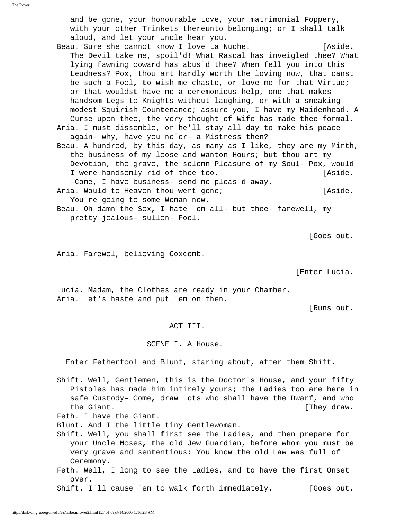and be gone, your honourable Love, your matrimonial Foppery, with your other Trinkets thereunto belonging; or I shall talk aloud, and let your Uncle hear you.

- Beau. Sure she cannot know I love La Nuche. [Aside. The Devil take me, spoil'd! What Rascal has inveigled thee? What lying fawning coward has abus'd thee? When fell you into this Leudness? Pox, thou art hardly worth the loving now, that canst be such a Fool, to wish me chaste, or love me for that Virtue; or that wouldst have me a ceremonious help, one that makes handsom Legs to Knights without laughing, or with a sneaking modest Squirish Countenance; assure you, I have my Maidenhead. A Curse upon thee, the very thought of Wife has made thee formal.
- Aria. I must dissemble, or he'll stay all day to make his peace again- why, have you ne'er- a Mistress then?
- Beau. A hundred, by this day, as many as I like, they are my Mirth, the business of my loose and wanton Hours; but thou art my Devotion, the grave, the solemn Pleasure of my Soul- Pox, would I were handsomly rid of thee too. [Aside.

 -Come, I have business- send me pleas'd away. Aria. Would to Heaven thou wert gone; The manufacture is not laside.

- You're going to some Woman now.
- Beau. Oh damn the Sex, I hate 'em all- but thee- farewell, my pretty jealous- sullen- Fool.

[Goes out.

Aria. Farewel, believing Coxcomb.

[Enter Lucia.

 Lucia. Madam, the Clothes are ready in your Chamber. Aria. Let's haste and put 'em on then.

[Runs out.

ACT III.

SCENE I. A House.

Enter Fetherfool and Blunt, staring about, after them Shift.

 Shift. Well, Gentlemen, this is the Doctor's House, and your fifty Pistoles has made him intirely yours; the Ladies too are here in safe Custody- Come, draw Lots who shall have the Dwarf, and who the Giant.  $[$ They draw.

Feth. I have the Giant.

Blunt. And I the little tiny Gentlewoman.

- Shift. Well, you shall first see the Ladies, and then prepare for your Uncle Moses, the old Jew Guardian, before whom you must be very grave and sententious: You know the old Law was full of Ceremony.
- Feth. Well, I long to see the Ladies, and to have the first Onset over.

Shift. I'll cause 'em to walk forth immediately. [Goes out.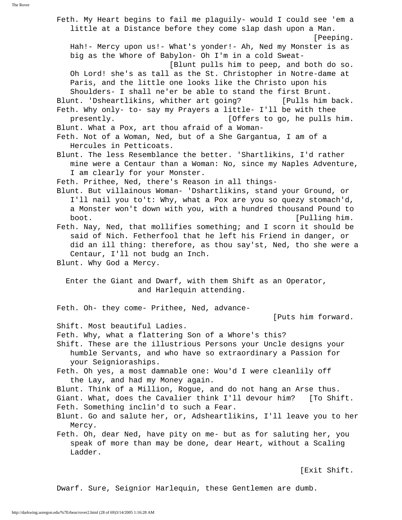Feth. My Heart begins to fail me plaguily- would I could see 'em a little at a Distance before they come slap dash upon a Man. [Peeping. Hah!- Mercy upon us!- What's yonder!- Ah, Ned my Monster is as big as the Whore of Babylon- Oh I'm in a cold Sweat- [Blunt pulls him to peep, and both do so. Oh Lord! she's as tall as the St. Christopher in Notre-dame at Paris, and the little one looks like the Christo upon his Shoulders- I shall ne'er be able to stand the first Brunt. Blunt. 'Dsheartlikins, whither art going? [Pulls him back. Feth. Why only- to- say my Prayers a little- I'll be with thee presently. [Offers to go, he pulls him. Blunt. What a Pox, art thou afraid of a Woman- Feth. Not of a Woman, Ned, but of a She Gargantua, I am of a Hercules in Petticoats. Blunt. The less Resemblance the better. 'Shartlikins, I'd rather mine were a Centaur than a Woman: No, since my Naples Adventure, I am clearly for your Monster. Feth. Prithee, Ned, there's Reason in all things- Blunt. But villainous Woman- 'Dshartlikins, stand your Ground, or I'll nail you to't: Why, what a Pox are you so quezy stomach'd, a Monster won't down with you, with a hundred thousand Pound to boot. [Pulling him. Feth. Nay, Ned, that mollifies something; and I scorn it should be said of Nich. Fetherfool that he left his Friend in danger, or did an ill thing: therefore, as thou say'st, Ned, tho she were a Centaur, I'll not budg an Inch. Blunt. Why God a Mercy. Enter the Giant and Dwarf, with them Shift as an Operator, and Harlequin attending. Feth. Oh- they come- Prithee, Ned, advance- [Puts him forward. Shift. Most beautiful Ladies. Feth. Why, what a flattering Son of a Whore's this? Shift. These are the illustrious Persons your Uncle designs your humble Servants, and who have so extraordinary a Passion for your Seignioraships. Feth. Oh yes, a most damnable one: Wou'd I were cleanlily off the Lay, and had my Money again. Blunt. Think of a Million, Rogue, and do not hang an Arse thus. Giant. What, does the Cavalier think I'll devour him? [To Shift. Feth. Something inclin'd to such a Fear. Blunt. Go and salute her, or, Adsheartlikins, I'll leave you to her Mercy. Feth. Oh, dear Ned, have pity on me- but as for saluting her, you speak of more than may be done, dear Heart, without a Scaling Ladder. [Exit Shift.

Dwarf. Sure, Seignior Harlequin, these Gentlemen are dumb.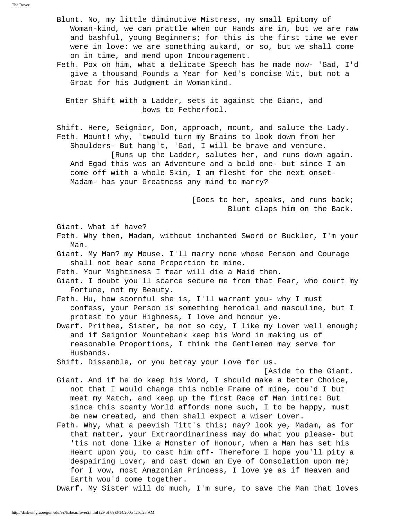Blunt. No, my little diminutive Mistress, my small Epitomy of Woman-kind, we can prattle when our Hands are in, but we are raw and bashful, young Beginners; for this is the first time we ever were in love: we are something aukard, or so, but we shall come on in time, and mend upon Incouragement. Feth. Pox on him, what a delicate Speech has he made now- 'Gad, I'd give a thousand Pounds a Year for Ned's concise Wit, but not a Groat for his Judgment in Womankind. Enter Shift with a Ladder, sets it against the Giant, and bows to Fetherfool. Shift. Here, Seignior, Don, approach, mount, and salute the Lady. Feth. Mount! why, 'twould turn my Brains to look down from her Shoulders- But hang't, 'Gad, I will be brave and venture. [Runs up the Ladder, salutes her, and runs down again. And Egad this was an Adventure and a bold one- but since I am come off with a whole Skin, I am flesht for the next onset- Madam- has your Greatness any mind to marry? [Goes to her, speaks, and runs back; Blunt claps him on the Back. Giant. What if have? Feth. Why then, Madam, without inchanted Sword or Buckler, I'm your Man. Giant. My Man? my Mouse. I'll marry none whose Person and Courage shall not bear some Proportion to mine. Feth. Your Mightiness I fear will die a Maid then. Giant. I doubt you'll scarce secure me from that Fear, who court my Fortune, not my Beauty. Feth. Hu, how scornful she is, I'll warrant you- why I must confess, your Person is something heroical and masculine, but I protest to your Highness, I love and honour ye. Dwarf. Prithee, Sister, be not so coy, I like my Lover well enough; and if Seignior Mountebank keep his Word in making us of reasonable Proportions, I think the Gentlemen may serve for Husbands. Shift. Dissemble, or you betray your Love for us. [Aside to the Giant. Giant. And if he do keep his Word, I should make a better Choice, not that I would change this noble Frame of mine, cou'd I but meet my Match, and keep up the first Race of Man intire: But since this scanty World affords none such, I to be happy, must be new created, and then shall expect a wiser Lover. Feth. Why, what a peevish Titt's this; nay? look ye, Madam, as for that matter, your Extraordinariness may do what you please- but 'tis not done like a Monster of Honour, when a Man has set his Heart upon you, to cast him off- Therefore I hope you'll pity a despairing Lover, and cast down an Eye of Consolation upon me; for I vow, most Amazonian Princess, I love ye as if Heaven and Earth wou'd come together.

Dwarf. My Sister will do much, I'm sure, to save the Man that loves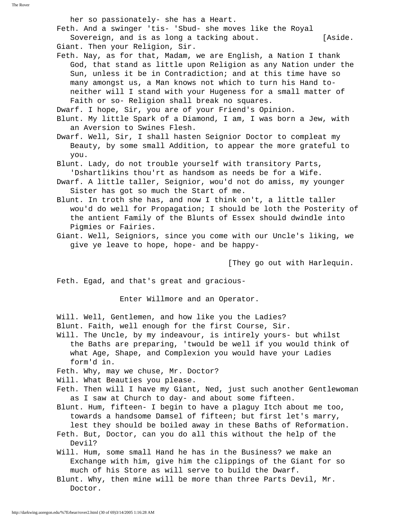The Rover

her so passionately- she has a Heart.

 Feth. And a swinger 'tis- 'Sbud- she moves like the Royal Sovereign, and is as long a tacking about. [Aside.

Giant. Then your Religion, Sir.

 Feth. Nay, as for that, Madam, we are English, a Nation I thank God, that stand as little upon Religion as any Nation under the Sun, unless it be in Contradiction; and at this time have so many amongst us, a Man knows not which to turn his Hand to neither will I stand with your Hugeness for a small matter of Faith or so- Religion shall break no squares.

Dwarf. I hope, Sir, you are of your Friend's Opinion.

 Blunt. My little Spark of a Diamond, I am, I was born a Jew, with an Aversion to Swines Flesh.

 Dwarf. Well, Sir, I shall hasten Seignior Doctor to compleat my Beauty, by some small Addition, to appear the more grateful to you.

 Blunt. Lady, do not trouble yourself with transitory Parts, 'Dshartlikins thou'rt as handsom as needs be for a Wife.

 Dwarf. A little taller, Seignior, wou'd not do amiss, my younger Sister has got so much the Start of me.

 Blunt. In troth she has, and now I think on't, a little taller wou'd do well for Propagation; I should be loth the Posterity of the antient Family of the Blunts of Essex should dwindle into Pigmies or Fairies.

 Giant. Well, Seigniors, since you come with our Uncle's liking, we give ye leave to hope, hope- and be happy-

[They go out with Harlequin.

Feth. Egad, and that's great and gracious-

Enter Willmore and an Operator.

 Will. Well, Gentlemen, and how like you the Ladies? Blunt. Faith, well enough for the first Course, Sir.

 Will. The Uncle, by my indeavour, is intirely yours- but whilst the Baths are preparing, 'twould be well if you would think of what Age, Shape, and Complexion you would have your Ladies form'd in.

Feth. Why, may we chuse, Mr. Doctor?

Will. What Beauties you please.

 Feth. Then will I have my Giant, Ned, just such another Gentlewoman as I saw at Church to day- and about some fifteen.

 Blunt. Hum, fifteen- I begin to have a plaguy Itch about me too, towards a handsome Damsel of fifteen; but first let's marry,

lest they should be boiled away in these Baths of Reformation.

 Feth. But, Doctor, can you do all this without the help of the Devil?

 Will. Hum, some small Hand he has in the Business? we make an Exchange with him, give him the clippings of the Giant for so much of his Store as will serve to build the Dwarf.

 Blunt. Why, then mine will be more than three Parts Devil, Mr. Doctor.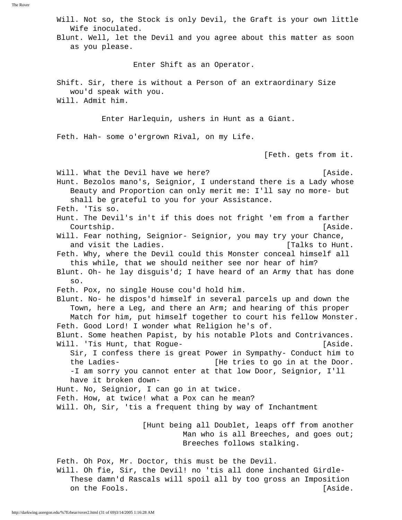Will. Not so, the Stock is only Devil, the Graft is your own little Wife inoculated.

 Blunt. Well, let the Devil and you agree about this matter as soon as you please.

Enter Shift as an Operator.

 Shift. Sir, there is without a Person of an extraordinary Size wou'd speak with you.

Will. Admit him.

Enter Harlequin, ushers in Hunt as a Giant.

Feth. Hah- some o'ergrown Rival, on my Life.

[Feth. gets from it.

Will. What the Devil have we here? The controller what is extended as ide. Hunt. Bezolos mano's, Seignior, I understand there is a Lady whose Beauty and Proportion can only merit me: I'll say no more- but shall be grateful to you for your Assistance. Feth. 'Tis so. Hunt. The Devil's in't if this does not fright 'em from a farther Courtship. [Aside. Will. Fear nothing, Seignior- Seignior, you may try your Chance, and visit the Ladies.  $[{\rm{Talks}}\space$  to Hunt. Feth. Why, where the Devil could this Monster conceal himself all this while, that we should neither see nor hear of him? Blunt. Oh- he lay disguis'd; I have heard of an Army that has done so. Feth. Pox, no single House cou'd hold him. Blunt. No- he dispos'd himself in several parcels up and down the Town, here a Leg, and there an Arm; and hearing of this proper Match for him, put himself together to court his fellow Monster. Feth. Good Lord! I wonder what Religion he's of. Blunt. Some heathen Papist, by his notable Plots and Contrivances. Will. 'Tis Hunt, that Rogue- The Communication's control (Aside. Sir, I confess there is great Power in Sympathy- Conduct him to the Ladies- [He tries to go in at the Door. -I am sorry you cannot enter at that low Door, Seignior, I'll have it broken down- Hunt. No, Seignior, I can go in at twice. Feth. How, at twice! what a Pox can he mean? Will. Oh, Sir, 'tis a frequent thing by way of Inchantment [Hunt being all Doublet, leaps off from another Man who is all Breeches, and goes out; Breeches follows stalking.

 Feth. Oh Pox, Mr. Doctor, this must be the Devil. Will. Oh fie, Sir, the Devil! no 'tis all done inchanted Girdle- These damn'd Rascals will spoil all by too gross an Imposition on the Fools. [Aside.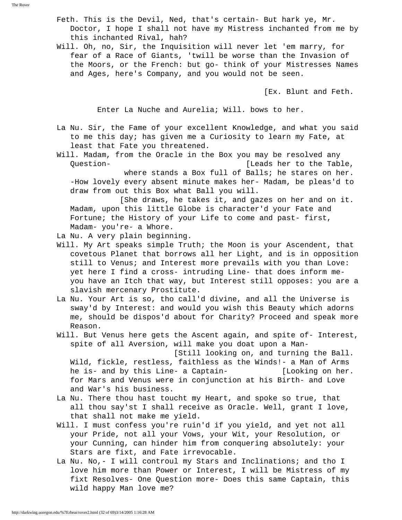The Rover

 Feth. This is the Devil, Ned, that's certain- But hark ye, Mr. Doctor, I hope I shall not have my Mistress inchanted from me by this inchanted Rival, hah?

 Will. Oh, no, Sir, the Inquisition will never let 'em marry, for fear of a Race of Giants, 'twill be worse than the Invasion of the Moors, or the French: but go- think of your Mistresses Names and Ages, here's Company, and you would not be seen.

[Ex. Blunt and Feth.

Enter La Nuche and Aurelia; Will. bows to her.

 La Nu. Sir, the Fame of your excellent Knowledge, and what you said to me this day; has given me a Curiosity to learn my Fate, at least that Fate you threatened.

 Will. Madam, from the Oracle in the Box you may be resolved any Question- [Leads her to the Table,

 where stands a Box full of Balls; he stares on her. -How lovely every absent minute makes her- Madam, be pleas'd to draw from out this Box what Ball you will.

 [She draws, he takes it, and gazes on her and on it. Madam, upon this little Globe is character'd your Fate and Fortune; the History of your Life to come and past- first, Madam- you're- a Whore.

La Nu. A very plain beginning.

- Will. My Art speaks simple Truth; the Moon is your Ascendent, that covetous Planet that borrows all her Light, and is in opposition still to Venus; and Interest more prevails with you than Love: yet here I find a cross- intruding Line- that does inform me you have an Itch that way, but Interest still opposes: you are a slavish mercenary Prostitute.
- La Nu. Your Art is so, tho call'd divine, and all the Universe is sway'd by Interest: and would you wish this Beauty which adorns me, should be dispos'd about for Charity? Proceed and speak more Reason.
- Will. But Venus here gets the Ascent again, and spite of- Interest, spite of all Aversion, will make you doat upon a Man-

 [Still looking on, and turning the Ball. Wild, fickle, restless, faithless as the Winds!- a Man of Arms he is- and by this Line- a Captain- [Looking on her. for Mars and Venus were in conjunction at his Birth- and Love and War's his business.

- La Nu. There thou hast toucht my Heart, and spoke so true, that all thou say'st I shall receive as Oracle. Well, grant I love, that shall not make me yield.
- Will. I must confess you're ruin'd if you yield, and yet not all your Pride, not all your Vows, your Wit, your Resolution, or your Cunning, can hinder him from conquering absolutely: your Stars are fixt, and Fate irrevocable.
- La Nu. No,- I will controul my Stars and Inclinations; and tho I love him more than Power or Interest, I will be Mistress of my fixt Resolves- One Question more- Does this same Captain, this wild happy Man love me?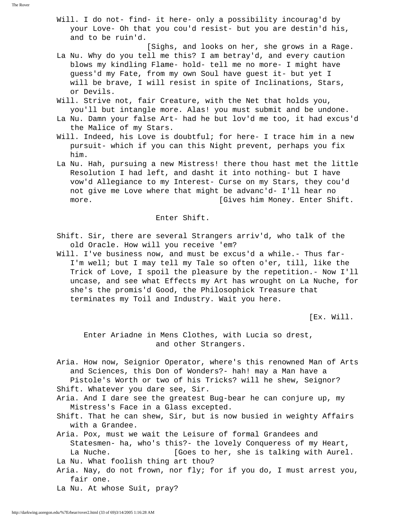- Will. I do not- find- it here- only a possibility incourag'd by your Love- Oh that you cou'd resist- but you are destin'd his, and to be ruin'd.
- [Sighs, and looks on her, she grows in a Rage. La Nu. Why do you tell me this? I am betray'd, and every caution blows my kindling Flame- hold- tell me no more- I might have guess'd my Fate, from my own Soul have guest it- but yet I will be brave, I will resist in spite of Inclinations, Stars, or Devils.
- Will. Strive not, fair Creature, with the Net that holds you, you'll but intangle more. Alas! you must submit and be undone.
- La Nu. Damn your false Art- had he but lov'd me too, it had excus'd the Malice of my Stars.
- Will. Indeed, his Love is doubtful; for here- I trace him in a new pursuit- which if you can this Night prevent, perhaps you fix him.
- La Nu. Hah, pursuing a new Mistress! there thou hast met the little Resolution I had left, and dasht it into nothing- but I have vow'd Allegiance to my Interest- Curse on my Stars, they cou'd not give me Love where that might be advanc'd- I'll hear no more. **Example 2** (Gives him Money. Enter Shift.

## Enter Shift.

- Shift. Sir, there are several Strangers arriv'd, who talk of the old Oracle. How will you receive 'em?
- Will. I've business now, and must be excus'd a while.- Thus far- I'm well; but I may tell my Tale so often o'er, till, like the Trick of Love, I spoil the pleasure by the repetition.- Now I'll uncase, and see what Effects my Art has wrought on La Nuche, for she's the promis'd Good, the Philosophick Treasure that terminates my Toil and Industry. Wait you here.

[Ex. Will.

 Enter Ariadne in Mens Clothes, with Lucia so drest, and other Strangers.

 Aria. How now, Seignior Operator, where's this renowned Man of Arts and Sciences, this Don of Wonders?- hah! may a Man have a Pistole's Worth or two of his Tricks? will he shew, Seignor?

Shift. Whatever you dare see, Sir.

 Aria. And I dare see the greatest Bug-bear he can conjure up, my Mistress's Face in a Glass excepted.

- Shift. That he can shew, Sir, but is now busied in weighty Affairs with a Grandee.
- Aria. Pox, must we wait the Leisure of formal Grandees and Statesmen- ha, who's this?- the lovely Conqueress of my Heart, La Nuche. **[Goes to her, she is talking with Aurel**. La Nu. What foolish thing art thou?
- Aria. Nay, do not frown, nor fly; for if you do, I must arrest you, fair one.
- La Nu. At whose Suit, pray?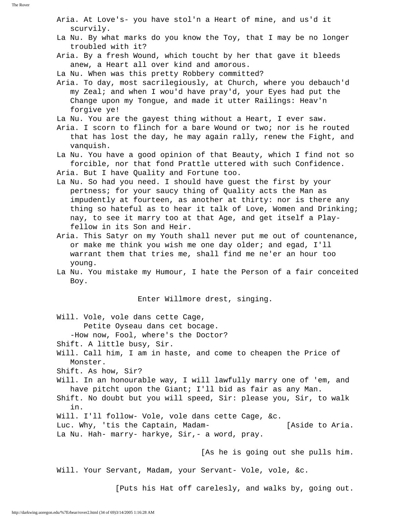Aria. At Love's- you have stol'n a Heart of mine, and us'd it scurvily.

- La Nu. By what marks do you know the Toy, that I may be no longer troubled with it?
- Aria. By a fresh Wound, which toucht by her that gave it bleeds anew, a Heart all over kind and amorous.

La Nu. When was this pretty Robbery committed?

- Aria. To day, most sacrilegiously, at Church, where you debauch'd my Zeal; and when I wou'd have pray'd, your Eyes had put the Change upon my Tongue, and made it utter Railings: Heav'n forgive ye!
- La Nu. You are the gayest thing without a Heart, I ever saw.
- Aria. I scorn to flinch for a bare Wound or two; nor is he routed that has lost the day, he may again rally, renew the Fight, and vanquish.
- La Nu. You have a good opinion of that Beauty, which I find not so forcible, nor that fond Prattle uttered with such Confidence.
- Aria. But I have Quality and Fortune too.
- La Nu. So had you need. I should have guest the first by your pertness; for your saucy thing of Quality acts the Man as impudently at fourteen, as another at thirty: nor is there any thing so hateful as to hear it talk of Love, Women and Drinking; nay, to see it marry too at that Age, and get itself a Play fellow in its Son and Heir.
- Aria. This Satyr on my Youth shall never put me out of countenance, or make me think you wish me one day older; and egad, I'll warrant them that tries me, shall find me ne'er an hour too young.
- La Nu. You mistake my Humour, I hate the Person of a fair conceited Boy.

Enter Willmore drest, singing.

Will. Vole, vole dans cette Cage,

Petite Oyseau dans cet bocage.

-How now, Fool, where's the Doctor?

- Shift. A little busy, Sir.
- Will. Call him, I am in haste, and come to cheapen the Price of Monster.
- Shift. As how, Sir?
- Will. In an honourable way, I will lawfully marry one of 'em, and have pitcht upon the Giant; I'll bid as fair as any Man.
- Shift. No doubt but you will speed, Sir: please you, Sir, to walk in.
- Will. I'll follow- Vole, vole dans cette Cage, &c.

 Luc. Why, 'tis the Captain, Madam- [Aside to Aria. La Nu. Hah- marry- harkye, Sir,- a word, pray.

[As he is going out she pulls him.

Will. Your Servant, Madam, your Servant- Vole, vole, &c.

[Puts his Hat off carelesly, and walks by, going out.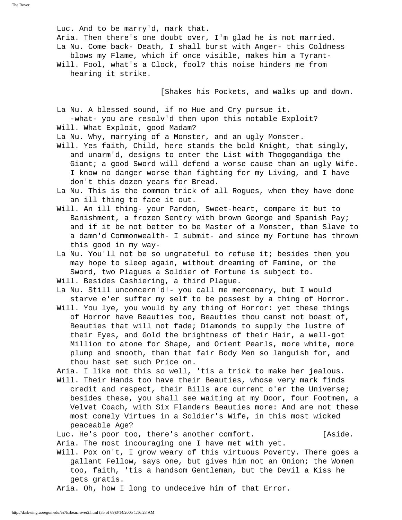Luc. And to be marry'd, mark that. Aria. Then there's one doubt over, I'm glad he is not married. La Nu. Come back- Death, I shall burst with Anger- this Coldness blows my Flame, which if once visible, makes him a Tyrant- Will. Fool, what's a Clock, fool? this noise hinders me from hearing it strike.

[Shakes his Pockets, and walks up and down.

 La Nu. A blessed sound, if no Hue and Cry pursue it. -what- you are resolv'd then upon this notable Exploit?

Will. What Exploit, good Madam?

La Nu. Why, marrying of a Monster, and an ugly Monster.

- Will. Yes faith, Child, here stands the bold Knight, that singly, and unarm'd, designs to enter the List with Thogogandiga the Giant; a good Sword will defend a worse cause than an ugly Wife. I know no danger worse than fighting for my Living, and I have don't this dozen years for Bread.
- La Nu. This is the common trick of all Rogues, when they have done an ill thing to face it out.
- Will. An ill thing- your Pardon, Sweet-heart, compare it but to Banishment, a frozen Sentry with brown George and Spanish Pay; and if it be not better to be Master of a Monster, than Slave to a damn'd Commonwealth- I submit- and since my Fortune has thrown this good in my way-
- La Nu. You'll not be so ungrateful to refuse it; besides then you may hope to sleep again, without dreaming of Famine, or the Sword, two Plagues a Soldier of Fortune is subject to.

Will. Besides Cashiering, a third Plague.

- La Nu. Still unconcern'd!- you call me mercenary, but I would starve e'er suffer my self to be possest by a thing of Horror.
- Will. You lye, you would by any thing of Horror: yet these things of Horror have Beauties too, Beauties thou canst not boast of, Beauties that will not fade; Diamonds to supply the lustre of their Eyes, and Gold the brightness of their Hair, a well-got Million to atone for Shape, and Orient Pearls, more white, more plump and smooth, than that fair Body Men so languish for, and thou hast set such Price on.

Aria. I like not this so well, 'tis a trick to make her jealous.

 Will. Their Hands too have their Beauties, whose very mark finds credit and respect, their Bills are current o'er the Universe; besides these, you shall see waiting at my Door, four Footmen, a Velvet Coach, with Six Flanders Beauties more: And are not these most comely Virtues in a Soldier's Wife, in this most wicked peaceable Age?

Luc. He's poor too, there's another comfort. [Aside.

Aria. The most incouraging one I have met with yet.

 Will. Pox on't, I grow weary of this virtuous Poverty. There goes a gallant Fellow, says one, but gives him not an Onion; the Women too, faith, 'tis a handsom Gentleman, but the Devil a Kiss he gets gratis.

Aria. Oh, how I long to undeceive him of that Error.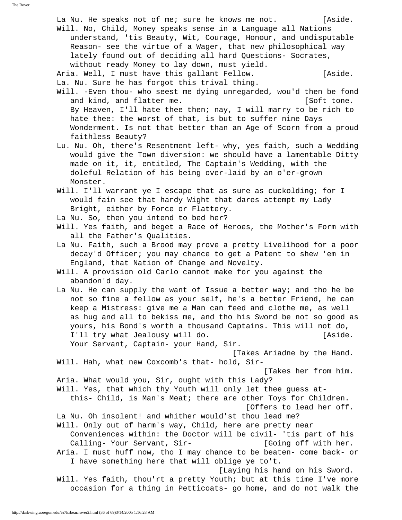La Nu. He speaks not of me; sure he knows me not. [Aside. Will. No, Child, Money speaks sense in a Language all Nations understand, 'tis Beauty, Wit, Courage, Honour, and undisputable Reason- see the virtue of a Wager, that new philosophical way lately found out of deciding all hard Questions- Socrates, without ready Money to lay down, must yield. Aria. Well, I must have this gallant Fellow. [Aside. La. Nu. Sure he has forgot this trival thing. Will. -Even thou- who seest me dying unregarded, wou'd then be fond and kind, and flatter me. [Soft tone.] By Heaven, I'll hate thee then; nay, I will marry to be rich to hate thee: the worst of that, is but to suffer nine Days Wonderment. Is not that better than an Age of Scorn from a proud faithless Beauty? Lu. Nu. Oh, there's Resentment left- why, yes faith, such a Wedding would give the Town diversion: we should have a lamentable Ditty made on it, it, entitled, The Captain's Wedding, with the doleful Relation of his being over-laid by an o'er-grown Monster. Will. I'll warrant ye I escape that as sure as cuckolding; for I would fain see that hardy Wight that dares attempt my Lady Bright, either by Force or Flattery. La Nu. So, then you intend to bed her? Will. Yes faith, and beget a Race of Heroes, the Mother's Form with all the Father's Qualities. La Nu. Faith, such a Brood may prove a pretty Livelihood for a poor decay'd Officer; you may chance to get a Patent to shew 'em in England, that Nation of Change and Novelty. Will. A provision old Carlo cannot make for you against the abandon'd day. La Nu. He can supply the want of Issue a better way; and tho he be not so fine a fellow as your self, he's a better Friend, he can keep a Mistress: give me a Man can feed and clothe me, as well as hug and all to bekiss me, and tho his Sword be not so good as yours, his Bond's worth a thousand Captains. This will not do, I'll try what Jealousy will do. [Aside. Your Servant, Captain- your Hand, Sir. [Takes Ariadne by the Hand. Will. Hah, what new Coxcomb's that- hold, Sir- [Takes her from him. Aria. What would you, Sir, ought with this Lady? Will. Yes, that which thy Youth will only let thee guess at this- Child, is Man's Meat; there are other Toys for Children. [Offers to lead her off. La Nu. Oh insolent! and whither would'st thou lead me? Will. Only out of harm's way, Child, here are pretty near Conveniences within: the Doctor will be civil- 'tis part of his Calling- Your Servant, Sir-<br>
[Going off with her. Aria. I must huff now, tho I may chance to be beaten- come back- or I have something here that will oblige ye to't. [Laying his hand on his Sword. Will. Yes faith, thou'rt a pretty Youth; but at this time I've more occasion for a thing in Petticoats- go home, and do not walk the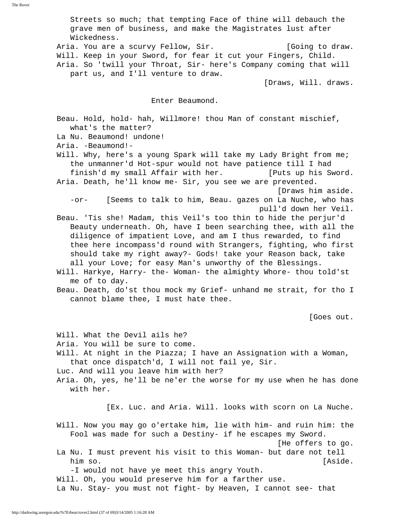Streets so much; that tempting Face of thine will debauch the grave men of business, and make the Magistrates lust after Wickedness.

Aria. You are a scurvy Fellow, Sir. (Going to draw. Will. Keep in your Sword, for fear it cut your Fingers, Child. Aria. So 'twill your Throat, Sir- here's Company coming that will part us, and I'll venture to draw.

[Draws, Will. draws.

Enter Beaumond.

 Beau. Hold, hold- hah, Willmore! thou Man of constant mischief, what's the matter?

La Nu. Beaumond! undone!

Aria. -Beaumond!-

 Will. Why, here's a young Spark will take my Lady Bright from me; the unmanner'd Hot-spur would not have patience till I had finish'd my small Affair with her. [Puts up his Sword.

- Aria. Death, he'll know me- Sir, you see we are prevented. [Draws him aside.
	- -or- [Seems to talk to him, Beau. gazes on La Nuche, who has pull'd down her Veil.
- Beau. 'Tis she! Madam, this Veil's too thin to hide the perjur'd Beauty underneath. Oh, have I been searching thee, with all the diligence of impatient Love, and am I thus rewarded, to find thee here incompass'd round with Strangers, fighting, who first should take my right away?- Gods! take your Reason back, take all your Love; for easy Man's unworthy of the Blessings.
- Will. Harkye, Harry- the- Woman- the almighty Whore- thou told'st me of to day.
- Beau. Death, do'st thou mock my Grief- unhand me strait, for tho I cannot blame thee, I must hate thee.

[Goes out.

 Will. What the Devil ails he? Aria. You will be sure to come. Will. At night in the Piazza; I have an Assignation with a Woman, that once dispatch'd, I will not fail ye, Sir. Luc. And will you leave him with her? Aria. Oh, yes, he'll be ne'er the worse for my use when he has done with her. [Ex. Luc. and Aria. Will. looks with scorn on La Nuche. Will. Now you may go o'ertake him, lie with him- and ruin him: the Fool was made for such a Destiny- if he escapes my Sword. [He offers to go. La Nu. I must prevent his visit to this Woman- but dare not tell him so. [Aside.] -I would not have ye meet this angry Youth. Will. Oh, you would preserve him for a farther use.

La Nu. Stay- you must not fight- by Heaven, I cannot see- that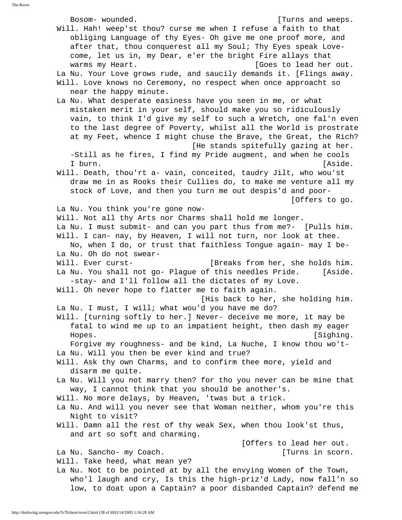Bosom- wounded. [Turns and weeps. Will. Hah! weep'st thou? curse me when I refuse a faith to that obliging Language of thy Eyes- Oh give me one proof more, and after that, thou conquerest all my Soul; Thy Eyes speak Love come, let us in, my Dear, e'er the bright Fire allays that warms my Heart.  $[Goes to lead her out.$  La Nu. Your Love grows rude, and saucily demands it. [Flings away. Will. Love knows no Ceremony, no respect when once approacht so near the happy minute. La Nu. What desperate easiness have you seen in me, or what mistaken merit in your self, should make you so ridiculously vain, to think I'd give my self to such a Wretch, one fal'n even to the last degree of Poverty, whilst all the World is prostrate at my Feet, whence I might chuse the Brave, the Great, the Rich? [He stands spitefully gazing at her. -Still as he fires, I find my Pride augment, and when he cools I burn. [Aside.] Will. Death, thou'rt a- vain, conceited, taudry Jilt, who wou'st draw me in as Rooks their Cullies do, to make me venture all my stock of Love, and then you turn me out despis'd and poor- [Offers to go. La Nu. You think you're gone now- Will. Not all thy Arts nor Charms shall hold me longer. La Nu. I must submit- and can you part thus from me?- [Pulls him. Will. I can- nay, by Heaven, I will not turn, nor look at thee. No, when I do, or trust that faithless Tongue again- may I be- La Nu. Oh do not swear- Will. Ever curst-<br> [Breaks from her, she holds him. La Nu. You shall not go- Plague of this needles Pride. [Aside. -stay- and I'll follow all the dictates of my Love. Will. Oh never hope to flatter me to faith again. [His back to her, she holding him. La Nu. I must, I will; what wou'd you have me do? Will. [turning softly to her.] Never- deceive me more, it may be fatal to wind me up to an impatient height, then dash my eager Hopes. [Sighing. Forgive my roughness- and be kind, La Nuche, I know thou wo't- La Nu. Will you then be ever kind and true? Will. Ask thy own Charms, and to confirm thee more, yield and disarm me quite. La Nu. Will you not marry then? for tho you never can be mine that way, I cannot think that you should be another's. Will. No more delays, by Heaven, 'twas but a trick. La Nu. And will you never see that Woman neither, whom you're this Night to visit? Will. Damn all the rest of thy weak Sex, when thou look'st thus, and art so soft and charming. [Offers to lead her out. La Nu. Sancho- my Coach. [Turns in scorn. Will. Take heed, what mean ye? La Nu. Not to be pointed at by all the envying Women of the Town, who'l laugh and cry, Is this the high-priz'd Lady, now fall'n so low, to doat upon a Captain? a poor disbanded Captain? defend me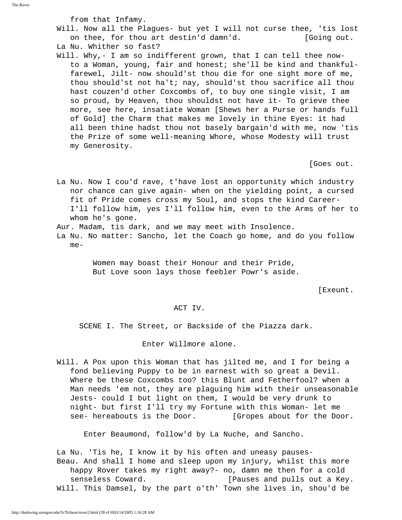from that Infamy.

- Will. Now all the Plagues- but yet I will not curse thee, 'tis lost on thee, for thou art destin'd damn'd. [Going out.
- La Nu. Whither so fast?
- Will. Why,- I am so indifferent grown, that I can tell thee now to a Woman, young, fair and honest; she'll be kind and thankful farewel, Jilt- now should'st thou die for one sight more of me, thou should'st not ha't; nay, should'st thou sacrifice all thou hast couzen'd other Coxcombs of, to buy one single visit, I am so proud, by Heaven, thou shouldst not have it- To grieve thee more, see here, insatiate Woman [Shews her a Purse or hands full of Gold] the Charm that makes me lovely in thine Eyes: it had all been thine hadst thou not basely bargain'd with me, now 'tis the Prize of some well-meaning Whore, whose Modesty will trust my Generosity.

[Goes out.

 La Nu. Now I cou'd rave, t'have lost an opportunity which industry nor chance can give again- when on the yielding point, a cursed fit of Pride comes cross my Soul, and stops the kind Career- I'll follow him, yes I'll follow him, even to the Arms of her to whom he's gone.

Aur. Madam, tis dark, and we may meet with Insolence.

 La Nu. No matter: Sancho, let the Coach go home, and do you follow me-

> Women may boast their Honour and their Pride, But Love soon lays those feebler Powr's aside.

[Exeunt.

### ACT IV.

SCENE I. The Street, or Backside of the Piazza dark.

Enter Willmore alone.

 Will. A Pox upon this Woman that has jilted me, and I for being a fond believing Puppy to be in earnest with so great a Devil. Where be these Coxcombs too? this Blunt and Fetherfool? when a Man needs 'em not, they are plaguing him with their unseasonable Jests- could I but light on them, I would be very drunk to night- but first I'll try my Fortune with this Woman- let me see- hereabouts is the Door. [Gropes about for the Door.

Enter Beaumond, follow'd by La Nuche, and Sancho.

 La Nu. 'Tis he, I know it by his often and uneasy pauses- Beau. And shall I home and sleep upon my injury, whilst this more happy Rover takes my right away?- no, damn me then for a cold senseless Coward. [Pauses and pulls out a Key. Will. This Damsel, by the part o'th' Town she lives in, shou'd be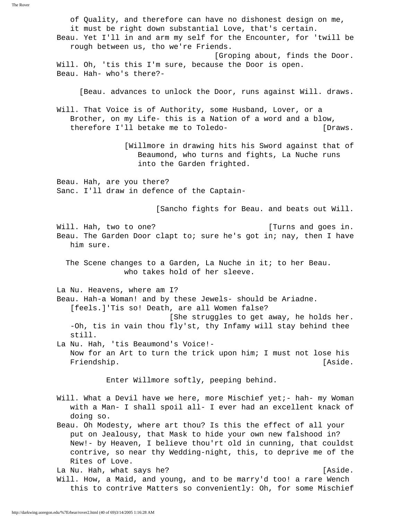of Quality, and therefore can have no dishonest design on me, it must be right down substantial Love, that's certain. Beau. Yet I'll in and arm my self for the Encounter, for 'twill be rough between us, tho we're Friends. [Groping about, finds the Door. Will. Oh, 'tis this I'm sure, because the Door is open. Beau. Hah- who's there?- [Beau. advances to unlock the Door, runs against Will. draws. Will. That Voice is of Authority, some Husband, Lover, or a Brother, on my Life- this is a Nation of a word and a blow, therefore I'll betake me to Toledo- [Draws. [Willmore in drawing hits his Sword against that of Beaumond, who turns and fights, La Nuche runs into the Garden frighted. Beau. Hah, are you there? Sanc. I'll draw in defence of the Captain- [Sancho fights for Beau. and beats out Will. Will. Hah, two to one?  $\blacksquare$  [Turns and goes in. Beau. The Garden Door clapt to; sure he's got in; nay, then I have him sure. The Scene changes to a Garden, La Nuche in it; to her Beau. who takes hold of her sleeve. La Nu. Heavens, where am I? Beau. Hah-a Woman! and by these Jewels- should be Ariadne. [feels.]'Tis so! Death, are all Women false? [She struggles to get away, he holds her. -Oh, tis in vain thou fly'st, thy Infamy will stay behind thee still. La Nu. Hah, 'tis Beaumond's Voice!- Now for an Art to turn the trick upon him; I must not lose his Friendship.  $[Aside.$  Enter Willmore softly, peeping behind. Will. What a Devil have we here, more Mischief yet;- hah- my Woman with a Man- I shall spoil all- I ever had an excellent knack of doing so. Beau. Oh Modesty, where art thou? Is this the effect of all your put on Jealousy, that Mask to hide your own new falshood in? New!- by Heaven, I believe thou'rt old in cunning, that couldst contrive, so near thy Wedding-night, this, to deprive me of the Rites of Love. La Nu. Hah, what says he? [Aside.] Will. How, a Maid, and young, and to be marry'd too! a rare Wench this to contrive Matters so conveniently: Oh, for some Mischief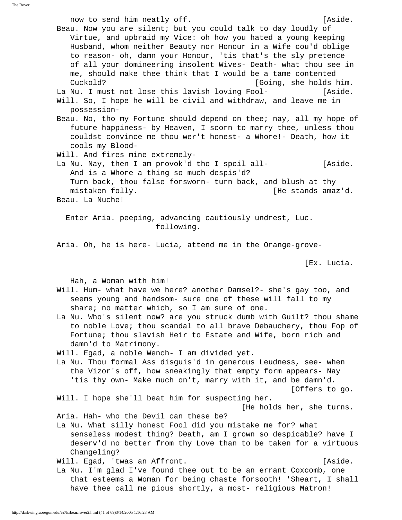now to send him neatly off. The contract of the sense of the sense of the sense of the sense of the sense of the sense of the sense of the sense of the sense of the sense of the sense of the sense of the sense of the sense Beau. Now you are silent; but you could talk to day loudly of Virtue, and upbraid my Vice: oh how you hated a young keeping Husband, whom neither Beauty nor Honour in a Wife cou'd oblige to reason- oh, damn your Honour, 'tis that's the sly pretence of all your domineering insolent Wives- Death- what thou see in me, should make thee think that I would be a tame contented Cuckold? [Going, she holds him. La Nu. I must not lose this lavish loving Fool- [Aside. Will. So, I hope he will be civil and withdraw, and leave me in possession- Beau. No, tho my Fortune should depend on thee; nay, all my hope of future happiness- by Heaven, I scorn to marry thee, unless thou couldst convince me thou wer't honest- a Whore!- Death, how it cools my Blood- Will. And fires mine extremely- La Nu. Nay, then I am provok'd tho I spoil all- [Aside. And is a Whore a thing so much despis'd? Turn back, thou false forsworn- turn back, and blush at thy mistaken folly.  $[He$  stands amaz'd. Beau. La Nuche! Enter Aria. peeping, advancing cautiously undrest, Luc. following. Aria. Oh, he is here- Lucia, attend me in the Orange-grove- [Ex. Lucia. Hah, a Woman with him! Will. Hum- what have we here? another Damsel?- she's gay too, and seems young and handsom- sure one of these will fall to my share; no matter which, so I am sure of one. La Nu. Who's silent now? are you struck dumb with Guilt? thou shame to noble Love; thou scandal to all brave Debauchery, thou Fop of Fortune; thou slavish Heir to Estate and Wife, born rich and damn'd to Matrimony. Will. Egad, a noble Wench- I am divided yet. La Nu. Thou formal Ass disguis'd in generous Leudness, see- when the Vizor's off, how sneakingly that empty form appears- Nay 'tis thy own- Make much on't, marry with it, and be damn'd. [Offers to go. Will. I hope she'll beat him for suspecting her. [He holds her, she turns. Aria. Hah- who the Devil can these be? La Nu. What silly honest Fool did you mistake me for? what senseless modest thing? Death, am I grown so despicable? have I deserv'd no better from thy Love than to be taken for a virtuous Changeling? Will. Egad, 'twas an Affront. The contract of the last of the last of the last of the last of the last of the l La Nu. I'm glad I've found thee out to be an errant Coxcomb, one that esteems a Woman for being chaste forsooth! 'Sheart, I shall have thee call me pious shortly, a most- religious Matron!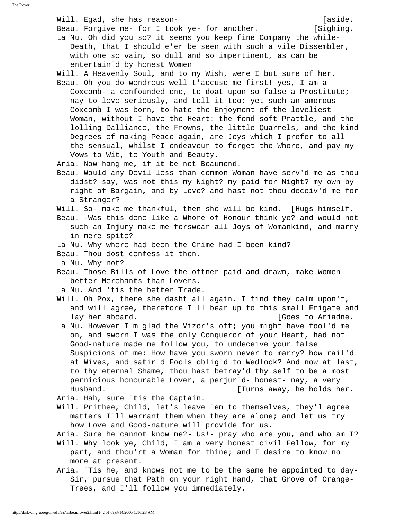Will. Egad, she has reason-<br>
aside.  $\begin{bmatrix} a \end{bmatrix}$ Beau. Forgive me- for I took ye- for another. [Sighing. La Nu. Oh did you so? it seems you keep fine Company the while- Death, that I should e'er be seen with such a vile Dissembler, with one so vain, so dull and so impertinent, as can be entertain'd by honest Women! Will. A Heavenly Soul, and to my Wish, were I but sure of her. Beau. Oh you do wondrous well t'accuse me first! yes, I am a Coxcomb- a confounded one, to doat upon so false a Prostitute; nay to love seriously, and tell it too: yet such an amorous Coxcomb I was born, to hate the Enjoyment of the loveliest Woman, without I have the Heart: the fond soft Prattle, and the lolling Dalliance, the Frowns, the little Quarrels, and the kind Degrees of making Peace again, are Joys which I prefer to all the sensual, whilst I endeavour to forget the Whore, and pay my Vows to Wit, to Youth and Beauty. Aria. Now hang me, if it be not Beaumond. Beau. Would any Devil less than common Woman have serv'd me as thou didst? say, was not this my Night? my paid for Night? my own by right of Bargain, and by Love? and hast not thou deceiv'd me for a Stranger? Will. So- make me thankful, then she will be kind. [Hugs himself. Beau. -Was this done like a Whore of Honour think ye? and would not such an Injury make me forswear all Joys of Womankind, and marry in mere spite? La Nu. Why where had been the Crime had I been kind? Beau. Thou dost confess it then. La Nu. Why not? Beau. Those Bills of Love the oftner paid and drawn, make Women better Merchants than Lovers. La Nu. And 'tis the better Trade. Will. Oh Pox, there she dasht all again. I find they calm upon't, and will agree, therefore I'll bear up to this small Frigate and lay her aboard. [Goes to Ariadne. La Nu. However I'm glad the Vizor's off; you might have fool'd me on, and sworn I was the only Conqueror of your Heart, had not Good-nature made me follow you, to undeceive your false Suspicions of me: How have you sworn never to marry? how rail'd at Wives, and satir'd Fools oblig'd to Wedlock? And now at last, to thy eternal Shame, thou hast betray'd thy self to be a most pernicious honourable Lover, a perjur'd- honest- nay, a very Husband. [Turns away, he holds her. Aria. Hah, sure 'tis the Captain. Will. Prithee, Child, let's leave 'em to themselves, they'l agree matters I'll warrant them when they are alone; and let us try how Love and Good-nature will provide for us. Aria. Sure he cannot know me?- Us!- pray who are you, and who am I? Will. Why look ye, Child, I am a very honest civil Fellow, for my part, and thou'rt a Woman for thine; and I desire to know no more at present. Aria. 'Tis he, and knows not me to be the same he appointed to day- Sir, pursue that Path on your right Hand, that Grove of Orange- Trees, and I'll follow you immediately.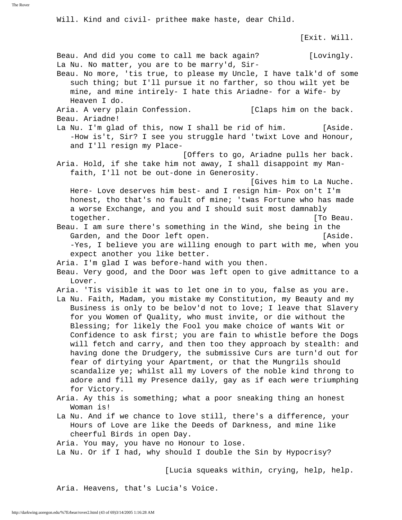Will. Kind and civil- prithee make haste, dear Child.

[Exit. Will.

 Beau. And did you come to call me back again? [Lovingly. La Nu. No matter, you are to be marry'd, Sir- Beau. No more, 'tis true, to please my Uncle, I have talk'd of some such thing; but I'll pursue it no farther, so thou wilt yet be mine, and mine intirely- I hate this Ariadne- for a Wife- by Heaven I do. Aria. A very plain Confession. [Claps him on the back. Beau. Ariadne! La Nu. I'm glad of this, now I shall be rid of him. [Aside. -How is't, Sir? I see you struggle hard 'twixt Love and Honour, and I'll resign my Place- [Offers to go, Ariadne pulls her back. Aria. Hold, if she take him not away, I shall disappoint my Man faith, I'll not be out-done in Generosity. [Gives him to La Nuche. Here- Love deserves him best- and I resign him- Pox on't I'm honest, tho that's no fault of mine; 'twas Fortune who has made a worse Exchange, and you and I should suit most damnably together. The set of the set of the set of the set of the set of the set of the set of the set of the set of the set of the set of the set of the set of the set of the set of the set of the set of the set of the set of the Beau. I am sure there's something in the Wind, she being in the Garden, and the Door left open. [Aside.] -Yes, I believe you are willing enough to part with me, when you expect another you like better. Aria. I'm glad I was before-hand with you then. Beau. Very good, and the Door was left open to give admittance to a Lover. Aria. 'Tis visible it was to let one in to you, false as you are. La Nu. Faith, Madam, you mistake my Constitution, my Beauty and my Business is only to be belov'd not to love; I leave that Slavery for you Women of Quality, who must invite, or die without the Blessing; for likely the Fool you make choice of wants Wit or Confidence to ask first; you are fain to whistle before the Dogs will fetch and carry, and then too they approach by stealth: and having done the Drudgery, the submissive Curs are turn'd out for fear of dirtying your Apartment, or that the Mungrils should scandalize ye; whilst all my Lovers of the noble kind throng to adore and fill my Presence daily, gay as if each were triumphing for Victory. Aria. Ay this is something; what a poor sneaking thing an honest Woman is! La Nu. And if we chance to love still, there's a difference, your Hours of Love are like the Deeds of Darkness, and mine like cheerful Birds in open Day. Aria. You may, you have no Honour to lose. La Nu. Or if I had, why should I double the Sin by Hypocrisy?

[Lucia squeaks within, crying, help, help.

Aria. Heavens, that's Lucia's Voice.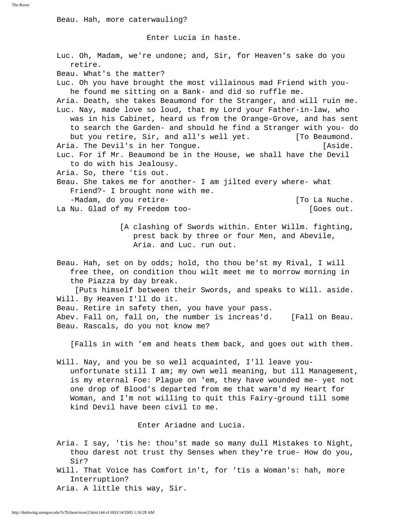Beau. Hah, more caterwauling?

Enter Lucia in haste.

 Luc. Oh, Madam, we're undone; and, Sir, for Heaven's sake do you retire. Beau. What's the matter? Luc. Oh you have brought the most villainous mad Friend with you he found me sitting on a Bank- and did so ruffle me. Aria. Death, she takes Beaumond for the Stranger, and will ruin me. Luc. Nay, made love so loud, that my Lord your Father-in-law, who was in his Cabinet, heard us from the Orange-Grove, and has sent to search the Garden- and should he find a Stranger with you- do but you retire, Sir, and all's well yet. [To Beaumond. Aria. The Devil's in her Tongue. The same state of the last of the last of the last  $[Aside.$  Luc. For if Mr. Beaumond be in the House, we shall have the Devil to do with his Jealousy. Aria. So, there 'tis out. Beau. She takes me for another- I am jilted every where- what Friend?- I brought none with me. -Madam, do you retire- The Controller and the control of To La Nuche. La Nu. Glad of my Freedom too- [Goes out. [A clashing of Swords within. Enter Willm. fighting, prest back by three or four Men, and Abevile, Aria. and Luc. run out. Beau. Hah, set on by odds; hold, tho thou be'st my Rival, I will free thee, on condition thou wilt meet me to morrow morning in the Piazza by day break. [Puts himself between their Swords, and speaks to Will. aside. Will. By Heaven I'll do it. Beau. Retire in safety then, you have your pass. Abev. Fall on, fall on, the number is increas'd. [Fall on Beau. Beau. Rascals, do you not know me? [Falls in with 'em and heats them back, and goes out with them. Will. Nay, and you be so well acquainted, I'll leave you unfortunate still I am; my own well meaning, but ill Management, is my eternal Foe: Plague on 'em, they have wounded me- yet not one drop of Blood's departed from me that warm'd my Heart for Woman, and I'm not willing to quit this Fairy-ground till some kind Devil have been civil to me.

Enter Ariadne and Lucia.

 Aria. I say, 'tis he: thou'st made so many dull Mistakes to Night, thou darest not trust thy Senses when they're true- How do you, Sir?

 Will. That Voice has Comfort in't, for 'tis a Woman's: hah, more Interruption?

Aria. A little this way, Sir.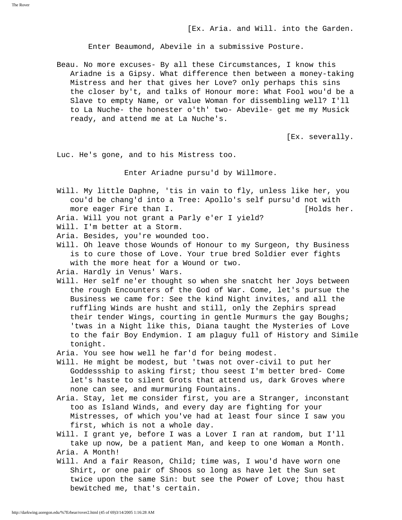Enter Beaumond, Abevile in a submissive Posture.

 Beau. No more excuses- By all these Circumstances, I know this Ariadne is a Gipsy. What difference then between a money-taking Mistress and her that gives her Love? only perhaps this sins the closer by't, and talks of Honour more: What Fool wou'd be a Slave to empty Name, or value Woman for dissembling well? I'll to La Nuche- the honester o'th' two- Abevile- get me my Musick ready, and attend me at La Nuche's.

[Ex. severally.

Luc. He's gone, and to his Mistress too.

Enter Ariadne pursu'd by Willmore.

- Will. My little Daphne, 'tis in vain to fly, unless like her, you cou'd be chang'd into a Tree: Apollo's self pursu'd not with more eager Fire than I. [Holds her.]
- Aria. Will you not grant a Parly e'er I yield?
- Will. I'm better at a Storm.
- Aria. Besides, you're wounded too.
- Will. Oh leave those Wounds of Honour to my Surgeon, thy Business is to cure those of Love. Your true bred Soldier ever fights with the more heat for a Wound or two.
- Aria. Hardly in Venus' Wars.
- Will. Her self ne'er thought so when she snatcht her Joys between the rough Encounters of the God of War. Come, let's pursue the Business we came for: See the kind Night invites, and all the ruffling Winds are husht and still, only the Zephirs spread their tender Wings, courting in gentle Murmurs the gay Boughs; 'twas in a Night like this, Diana taught the Mysteries of Love to the fair Boy Endymion. I am plaguy full of History and Simile tonight.
- Aria. You see how well he far'd for being modest.
- Will. He might be modest, but 'twas not over-civil to put her Goddessship to asking first; thou seest I'm better bred- Come let's haste to silent Grots that attend us, dark Groves where none can see, and murmuring Fountains.
- Aria. Stay, let me consider first, you are a Stranger, inconstant too as Island Winds, and every day are fighting for your Mistresses, of which you've had at least four since I saw you first, which is not a whole day.
- Will. I grant ye, before I was a Lover I ran at random, but I'll take up now, be a patient Man, and keep to one Woman a Month. Aria. A Month!
- Will. And a fair Reason, Child; time was, I wou'd have worn one Shirt, or one pair of Shoos so long as have let the Sun set twice upon the same Sin: but see the Power of Love; thou hast bewitched me, that's certain.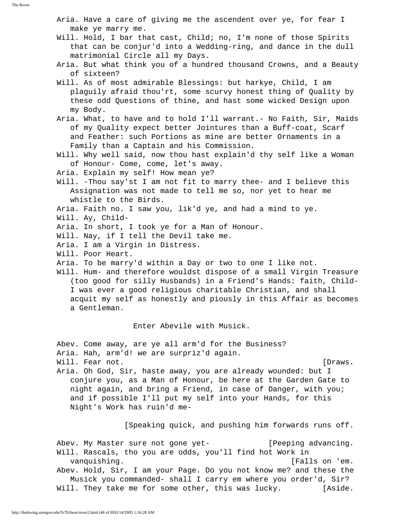Aria. Have a care of giving me the ascendent over ye, for fear I make ye marry me.

- Will. Hold, I bar that cast, Child; no, I'm none of those Spirits that can be conjur'd into a Wedding-ring, and dance in the dull matrimonial Circle all my Days.
- Aria. But what think you of a hundred thousand Crowns, and a Beauty of sixteen?
- Will. As of most admirable Blessings: but harkye, Child, I am plaguily afraid thou'rt, some scurvy honest thing of Quality by these odd Questions of thine, and hast some wicked Design upon my Body.
- Aria. What, to have and to hold I'll warrant.- No Faith, Sir, Maids of my Quality expect better Jointures than a Buff-coat, Scarf and Feather: such Portions as mine are better Ornaments in a Family than a Captain and his Commission.
- Will. Why well said, now thou hast explain'd thy self like a Woman of Honour- Come, come, let's away.
- Aria. Explain my self! How mean ye?
- Will. -Thou say'st I am not fit to marry thee- and I believe this Assignation was not made to tell me so, nor yet to hear me whistle to the Birds.
- Aria. Faith no. I saw you, lik'd ye, and had a mind to ye.
- Will. Ay, Child-
- Aria. In short, I took ye for a Man of Honour.
- Will. Nay, if I tell the Devil take me.
- Aria. I am a Virgin in Distress.
- Will. Poor Heart.
- Aria. To be marry'd within a Day or two to one I like not.
- Will. Hum- and therefore wouldst dispose of a small Virgin Treasure (too good for silly Husbands) in a Friend's Hands: faith, Child- I was ever a good religious charitable Christian, and shall acquit my self as honestly and piously in this Affair as becomes a Gentleman.

Enter Abevile with Musick.

Abev. Come away, are ye all arm'd for the Business?

Aria. Hah, arm'd! we are surpriz'd again.

Will. Fear not.  $\blacksquare$ 

 Aria. Oh God, Sir, haste away, you are already wounded: but I conjure you, as a Man of Honour, be here at the Garden Gate to night again, and bring a Friend, in case of Danger, with you; and if possible I'll put my self into your Hands, for this Night's Work has ruin'd me-

[Speaking quick, and pushing him forwards runs off.

 Abev. My Master sure not gone yet- [Peeping advancing. Will. Rascals, tho you are odds, you'll find hot Work in vanquishing. [Falls on 'em. Abev. Hold, Sir, I am your Page. Do you not know me? and these the Musick you commanded- shall I carry em where you order'd, Sir? Will. They take me for some other, this was lucky. [Aside.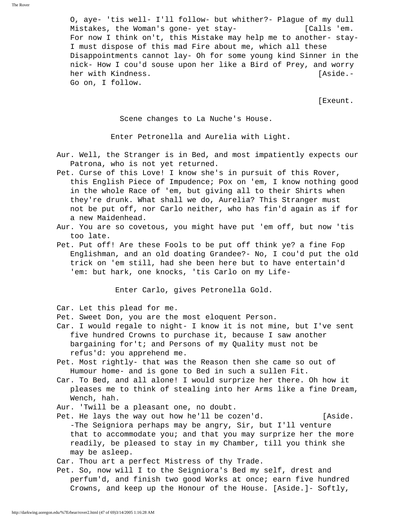O, aye- 'tis well- I'll follow- but whither?- Plague of my dull Mistakes, the Woman's gone- yet stay- [Calls 'em. For now I think on't, this Mistake may help me to another- stay- I must dispose of this mad Fire about me, which all these Disappointments cannot lay- Oh for some young kind Sinner in the nick- How I cou'd souse upon her like a Bird of Prey, and worry her with Kindness. [Aside.- Go on, I follow.

[Exeunt.

Scene changes to La Nuche's House.

Enter Petronella and Aurelia with Light.

- Aur. Well, the Stranger is in Bed, and most impatiently expects our Patrona, who is not yet returned.
- Pet. Curse of this Love! I know she's in pursuit of this Rover, this English Piece of Impudence; Pox on 'em, I know nothing good in the whole Race of 'em, but giving all to their Shirts when they're drunk. What shall we do, Aurelia? This Stranger must not be put off, nor Carlo neither, who has fin'd again as if for a new Maidenhead.
- Aur. You are so covetous, you might have put 'em off, but now 'tis too late.
- Pet. Put off! Are these Fools to be put off think ye? a fine Fop Englishman, and an old doating Grandee?- No, I cou'd put the old trick on 'em still, had she been here but to have entertain'd 'em: but hark, one knocks, 'tis Carlo on my Life-

Enter Carlo, gives Petronella Gold.

Car. Let this plead for me.

Pet. Sweet Don, you are the most eloquent Person.

- Car. I would regale to night- I know it is not mine, but I've sent five hundred Crowns to purchase it, because I saw another bargaining for't; and Persons of my Quality must not be refus'd: you apprehend me.
- Pet. Most rightly- that was the Reason then she came so out of Humour home- and is gone to Bed in such a sullen Fit.
- Car. To Bed, and all alone! I would surprize her there. Oh how it pleases me to think of stealing into her Arms like a fine Dream, Wench, hah.
- Aur. 'Twill be a pleasant one, no doubt.
- Pet. He lays the way out how he'll be cozen'd. [Aside. -The Seigniora perhaps may be angry, Sir, but I'll venture that to accommodate you; and that you may surprize her the more readily, be pleased to stay in my Chamber, till you think she may be asleep.

Car. Thou art a perfect Mistress of thy Trade.

 Pet. So, now will I to the Seigniora's Bed my self, drest and perfum'd, and finish two good Works at once; earn five hundred Crowns, and keep up the Honour of the House. [Aside.]- Softly,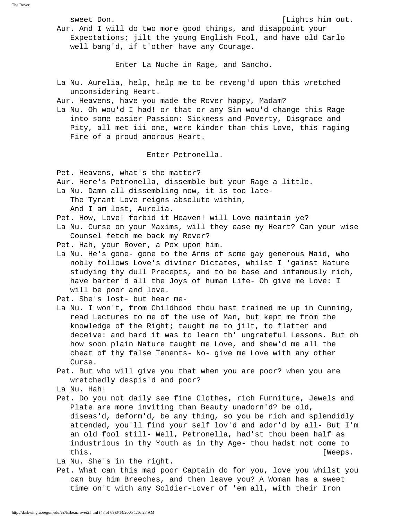sweet Don.  $[Lights]$  hights him out.

 Aur. And I will do two more good things, and disappoint your Expectations; jilt the young English Fool, and have old Carlo well bang'd, if t'other have any Courage.

Enter La Nuche in Rage, and Sancho.

 La Nu. Aurelia, help, help me to be reveng'd upon this wretched unconsidering Heart.

Aur. Heavens, have you made the Rover happy, Madam?

 La Nu. Oh wou'd I had! or that or any Sin wou'd change this Rage into some easier Passion: Sickness and Poverty, Disgrace and Pity, all met iii one, were kinder than this Love, this raging Fire of a proud amorous Heart.

Enter Petronella.

Pet. Heavens, what's the matter?

Aur. Here's Petronella, dissemble but your Rage a little.

La Nu. Damn all dissembling now, it is too late-

The Tyrant Love reigns absolute within,

And I am lost, Aurelia.

Pet. How, Love! forbid it Heaven! will Love maintain ye?

 La Nu. Curse on your Maxims, will they ease my Heart? Can your wise Counsel fetch me back my Rover?

Pet. Hah, your Rover, a Pox upon him.

 La Nu. He's gone- gone to the Arms of some gay generous Maid, who nobly follows Love's diviner Dictates, whilst I 'gainst Nature studying thy dull Precepts, and to be base and infamously rich, have barter'd all the Joys of human Life- Oh give me Love: I will be poor and love.

Pet. She's lost- but hear me-

- La Nu. I won't, from Childhood thou hast trained me up in Cunning, read Lectures to me of the use of Man, but kept me from the knowledge of the Right; taught me to jilt, to flatter and deceive: and hard it was to learn th' ungrateful Lessons. But oh how soon plain Nature taught me Love, and shew'd me all the cheat of thy false Tenents- No- give me Love with any other Curse.
- Pet. But who will give you that when you are poor? when you are wretchedly despis'd and poor?

La Nu. Hah!

 Pet. Do you not daily see fine Clothes, rich Furniture, Jewels and Plate are more inviting than Beauty unadorn'd? be old, diseas'd, deform'd, be any thing, so you be rich and splendidly attended, you'll find your self lov'd and ador'd by all- But I'm an old fool still- Well, Petronella, had'st thou been half as industrious in thy Youth as in thy Age- thou hadst not come to this.  $[Weeps.$ 

La Nu. She's in the right.

 Pet. What can this mad poor Captain do for you, love you whilst you can buy him Breeches, and then leave you? A Woman has a sweet time on't with any Soldier-Lover of 'em all, with their Iron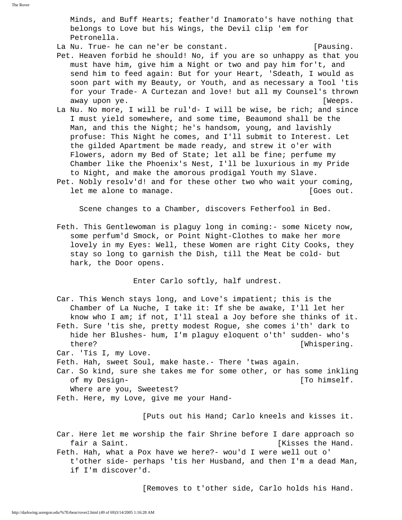Minds, and Buff Hearts; feather'd Inamorato's have nothing that belongs to Love but his Wings, the Devil clip 'em for Petronella.

La Nu. True- he can ne'er be constant. The sense of lawsing.

- Pet. Heaven forbid he should! No, if you are so unhappy as that you must have him, give him a Night or two and pay him for't, and send him to feed again: But for your Heart, 'Sdeath, I would as soon part with my Beauty, or Youth, and as necessary a Tool 'tis for your Trade- A Curtezan and love! but all my Counsel's thrown away upon ye.  $[Weeps.$
- La Nu. No more, I will be rul'd- I will be wise, be rich; and since I must yield somewhere, and some time, Beaumond shall be the Man, and this the Night; he's handsom, young, and lavishly profuse: This Night he comes, and I'll submit to Interest. Let the gilded Apartment be made ready, and strew it o'er with Flowers, adorn my Bed of State; let all be fine; perfume my Chamber like the Phoenix's Nest, I'll be luxurious in my Pride to Night, and make the amorous prodigal Youth my Slave.
- Pet. Nobly resolv'd! and for these other two who wait your coming, let me alone to manage.  $[Goes out.$

Scene changes to a Chamber, discovers Fetherfool in Bed.

 Feth. This Gentlewoman is plaguy long in coming:- some Nicety now, some perfum'd Smock, or Point Night-Clothes to make her more lovely in my Eyes: Well, these Women are right City Cooks, they stay so long to garnish the Dish, till the Meat be cold- but hark, the Door opens.

Enter Carlo softly, half undrest.

 Car. This Wench stays long, and Love's impatient; this is the Chamber of La Nuche, I take it: If she be awake, I'll let her know who I am; if not, I'll steal a Joy before she thinks of it. Feth. Sure 'tis she, pretty modest Rogue, she comes i'th' dark to hide her Blushes- hum, I'm plaguy eloquent o'th' sudden- who's there? [Whispering.

Car. 'Tis I, my Love.

Feth. Hah, sweet Soul, make haste.- There 'twas again.

 Car. So kind, sure she takes me for some other, or has some inkling of my Design- [To himself.]

Where are you, Sweetest?

Feth. Here, my Love, give me your Hand-

[Puts out his Hand; Carlo kneels and kisses it.

- Car. Here let me worship the fair Shrine before I dare approach so fair a Saint. **Example 2** and the Hand state of  $\alpha$  and  $\beta$  and  $\beta$  and  $\beta$  and  $\alpha$
- Feth. Hah, what a Pox have we here?- wou'd I were well out o' t'other side- perhaps 'tis her Husband, and then I'm a dead Man, if I'm discover'd.

[Removes to t'other side, Carlo holds his Hand.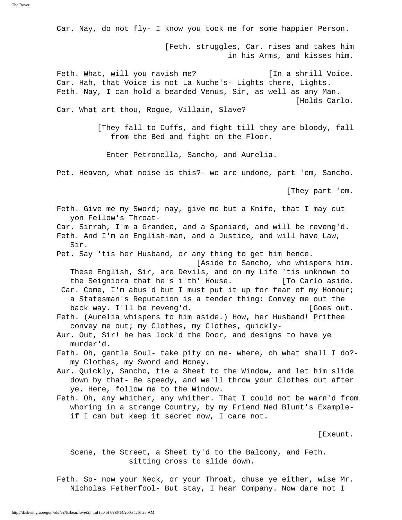Car. Nay, do not fly- I know you took me for some happier Person.

 [Feth. struggles, Car. rises and takes him in his Arms, and kisses him.

Feth. What, will you ravish me? [In a shrill Voice. Car. Hah, that Voice is not La Nuche's- Lights there, Lights. Feth. Nay, I can hold a bearded Venus, Sir, as well as any Man. [Holds Carlo.

Car. What art thou, Rogue, Villain, Slave?

 [They fall to Cuffs, and fight till they are bloody, fall from the Bed and fight on the Floor.

Enter Petronella, Sancho, and Aurelia.

Pet. Heaven, what noise is this?- we are undone, part 'em, Sancho.

[They part 'em.

 Feth. Give me my Sword; nay, give me but a Knife, that I may cut yon Fellow's Throat-

 Car. Sirrah, I'm a Grandee, and a Spaniard, and will be reveng'd. Feth. And I'm an English-man, and a Justice, and will have Law, Sir.

Pet. Say 'tis her Husband, or any thing to get him hence.

[Aside to Sancho, who whispers him.

 These English, Sir, are Devils, and on my Life 'tis unknown to the Seigniora that he's i'th' House. [To Carlo aside.

 Car. Come, I'm abus'd but I must put it up for fear of my Honour; a Statesman's Reputation is a tender thing: Convey me out the back way. I'll be reveng'd. [Goes out.

 Feth. (Aurelia whispers to him aside.) How, her Husband! Prithee convey me out; my Clothes, my Clothes, quickly-

 Aur. Out, Sir! he has lock'd the Door, and designs to have ye murder'd.

 Feth. Oh, gentle Soul- take pity on me- where, oh what shall I do? my Clothes, my Sword and Money.

 Aur. Quickly, Sancho, tie a Sheet to the Window, and let him slide down by that- Be speedy, and we'll throw your Clothes out after ye. Here, follow me to the Window.

 Feth. Oh, any whither, any whither. That I could not be warn'd from whoring in a strange Country, by my Friend Ned Blunt's Example if I can but keep it secret now, I care not.

[Exeunt.

 Scene, the Street, a Sheet ty'd to the Balcony, and Feth. sitting cross to slide down.

 Feth. So- now your Neck, or your Throat, chuse ye either, wise Mr. Nicholas Fetherfool- But stay, I hear Company. Now dare not I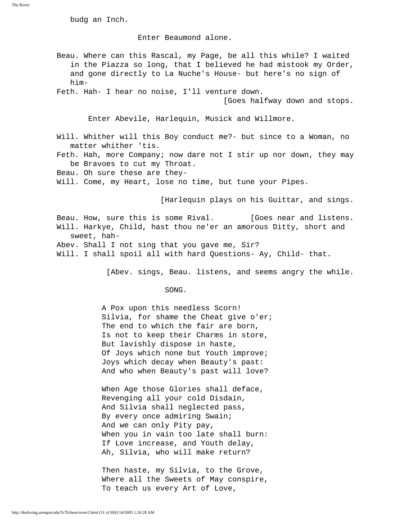budg an Inch.

Enter Beaumond alone.

 Beau. Where can this Rascal, my Page, be all this while? I waited in the Piazza so long, that I believed he had mistook my Order, and gone directly to La Nuche's House- but here's no sign of him-

Feth. Hah- I hear no noise, I'll venture down.

[Goes halfway down and stops.

Enter Abevile, Harlequin, Musick and Willmore.

- Will. Whither will this Boy conduct me?- but since to a Woman, no matter whither 'tis.
- Feth. Hah, more Company; now dare not I stir up nor down, they may be Bravoes to cut my Throat.
- Beau. Oh sure these are they-
- Will. Come, my Heart, lose no time, but tune your Pipes.

[Harlequin plays on his Guittar, and sings.

Beau. How, sure this is some Rival. [Goes near and listens. Will. Harkye, Child, hast thou ne'er an amorous Ditty, short and sweet, hah-

- Abev. Shall I not sing that you gave me, Sir?
- Will. I shall spoil all with hard Questions- Ay, Child- that.

[Abev. sings, Beau. listens, and seems angry the while.

## SONG.

 A Pox upon this needless Scorn! Silvia, for shame the Cheat give o'er; The end to which the fair are born, Is not to keep their Charms in store, But lavishly dispose in haste, Of Joys which none but Youth improve; Joys which decay when Beauty's past: And who when Beauty's past will love?

 When Age those Glories shall deface, Revenging all your cold Disdain, And Silvia shall neglected pass, By every once admiring Swain; And we can only Pity pay, When you in vain too late shall burn: If Love increase, and Youth delay, Ah, Silvia, who will make return?

 Then haste, my Silvia, to the Grove, Where all the Sweets of May conspire, To teach us every Art of Love,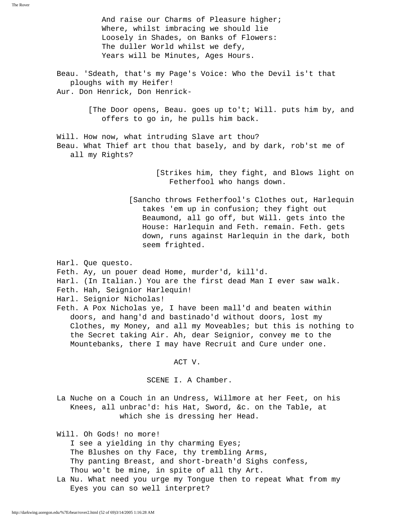And raise our Charms of Pleasure higher; Where, whilst imbracing we should lie Loosely in Shades, on Banks of Flowers: The duller World whilst we defy, Years will be Minutes, Ages Hours.

 Beau. 'Sdeath, that's my Page's Voice: Who the Devil is't that ploughs with my Heifer! Aur. Don Henrick, Don Henrick-

> [The Door opens, Beau. goes up to't; Will. puts him by, and offers to go in, he pulls him back.

 Will. How now, what intruding Slave art thou? Beau. What Thief art thou that basely, and by dark, rob'st me of all my Rights?

> [Strikes him, they fight, and Blows light on Fetherfool who hangs down.

 [Sancho throws Fetherfool's Clothes out, Harlequin takes 'em up in confusion; they fight out Beaumond, all go off, but Will. gets into the House: Harlequin and Feth. remain. Feth. gets down, runs against Harlequin in the dark, both seem frighted.

Harl. Que questo.

Feth. Ay, un pouer dead Home, murder'd, kill'd.

- Harl. (In Italian.) You are the first dead Man I ever saw walk.
- Feth. Hah, Seignior Harlequin!
- Harl. Seignior Nicholas!

 Feth. A Pox Nicholas ye, I have been mall'd and beaten within doors, and hang'd and bastinado'd without doors, lost my Clothes, my Money, and all my Moveables; but this is nothing to the Secret taking Air. Ah, dear Seignior, convey me to the Mountebanks, there I may have Recruit and Cure under one.

ACT V.

SCENE I. A Chamber.

 La Nuche on a Couch in an Undress, Willmore at her Feet, on his Knees, all unbrac'd: his Hat, Sword, &c. on the Table, at which she is dressing her Head.

Will. Oh Gods! no more!

 I see a yielding in thy charming Eyes; The Blushes on thy Face, thy trembling Arms, Thy panting Breast, and short-breath'd Sighs confess, Thou wo't be mine, in spite of all thy Art.

 La Nu. What need you urge my Tongue then to repeat What from my Eyes you can so well interpret?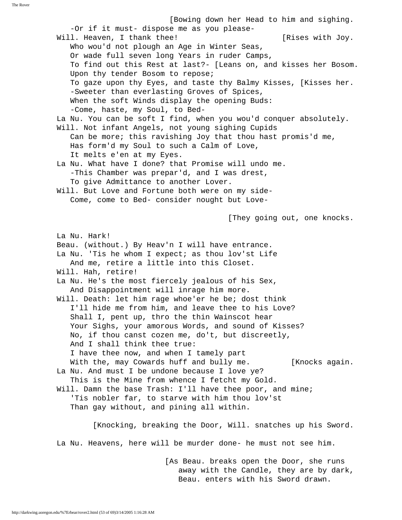[Bowing down her Head to him and sighing. -Or if it must- dispose me as you please- Will. Heaven, I thank thee! [Rises with Joy. Who wou'd not plough an Age in Winter Seas, Or wade full seven long Years in ruder Camps, To find out this Rest at last?- [Leans on, and kisses her Bosom. Upon thy tender Bosom to repose; To gaze upon thy Eyes, and taste thy Balmy Kisses, [Kisses her. -Sweeter than everlasting Groves of Spices, When the soft Winds display the opening Buds: -Come, haste, my Soul, to Bed- La Nu. You can be soft I find, when you wou'd conquer absolutely. Will. Not infant Angels, not young sighing Cupids Can be more; this ravishing Joy that thou hast promis'd me, Has form'd my Soul to such a Calm of Love, It melts e'en at my Eyes. La Nu. What have I done? that Promise will undo me. -This Chamber was prepar'd, and I was drest, To give Admittance to another Lover. Will. But Love and Fortune both were on my side- Come, come to Bed- consider nought but Love- [They going out, one knocks. La Nu. Hark! Beau. (without.) By Heav'n I will have entrance. La Nu. 'Tis he whom I expect; as thou lov'st Life And me, retire a little into this Closet. Will. Hah, retire! La Nu. He's the most fiercely jealous of his Sex, And Disappointment will inrage him more. Will. Death: let him rage whoe'er he be; dost think I'll hide me from him, and leave thee to his Love? Shall I, pent up, thro the thin Wainscot hear Your Sighs, your amorous Words, and sound of Kisses? No, if thou canst cozen me, do't, but discreetly, And I shall think thee true: I have thee now, and when I tamely part With the, may Cowards huff and bully me. [Knocks again. La Nu. And must I be undone because I love ye? This is the Mine from whence I fetcht my Gold. Will. Damn the base Trash: I'll have thee poor, and mine; 'Tis nobler far, to starve with him thou lov'st Than gay without, and pining all within. [Knocking, breaking the Door, Will. snatches up his Sword. La Nu. Heavens, here will be murder done- he must not see him.

> [As Beau. breaks open the Door, she runs away with the Candle, they are by dark, Beau. enters with his Sword drawn.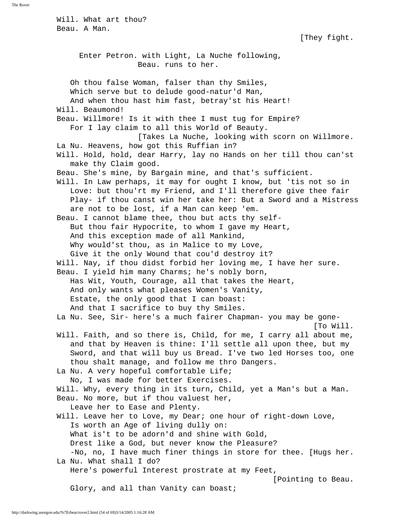Will. What art thou? Beau. A Man. [They fight. Enter Petron. with Light, La Nuche following, Beau. runs to her. Oh thou false Woman, falser than thy Smiles, Which serve but to delude good-natur'd Man, And when thou hast him fast, betray'st his Heart! Will. Beaumond! Beau. Willmore! Is it with thee I must tug for Empire? For I lay claim to all this World of Beauty. [Takes La Nuche, looking with scorn on Willmore. La Nu. Heavens, how got this Ruffian in? Will. Hold, hold, dear Harry, lay no Hands on her till thou can'st make thy Claim good. Beau. She's mine, by Bargain mine, and that's sufficient. Will. In Law perhaps, it may for ought I know, but 'tis not so in Love: but thou'rt my Friend, and I'll therefore give thee fair Play- if thou canst win her take her: But a Sword and a Mistress are not to be lost, if a Man can keep 'em. Beau. I cannot blame thee, thou but acts thy self- But thou fair Hypocrite, to whom I gave my Heart, And this exception made of all Mankind, Why would'st thou, as in Malice to my Love, Give it the only Wound that cou'd destroy it? Will. Nay, if thou didst forbid her loving me, I have her sure. Beau. I yield him many Charms; he's nobly born, Has Wit, Youth, Courage, all that takes the Heart, And only wants what pleases Women's Vanity, Estate, the only good that I can boast: And that I sacrifice to buy thy Smiles. La Nu. See, Sir- here's a much fairer Chapman- you may be gone- [To Will. Will. Faith, and so there is, Child, for me, I carry all about me, and that by Heaven is thine: I'll settle all upon thee, but my Sword, and that will buy us Bread. I've two led Horses too, one thou shalt manage, and follow me thro Dangers. La Nu. A very hopeful comfortable Life; No, I was made for better Exercises. Will. Why, every thing in its turn, Child, yet a Man's but a Man. Beau. No more, but if thou valuest her, Leave her to Ease and Plenty. Will. Leave her to Love, my Dear; one hour of right-down Love, Is worth an Age of living dully on: What is't to be adorn'd and shine with Gold, Drest like a God, but never know the Pleasure? -No, no, I have much finer things in store for thee. [Hugs her. La Nu. What shall I do? Here's powerful Interest prostrate at my Feet, [Pointing to Beau. Glory, and all than Vanity can boast;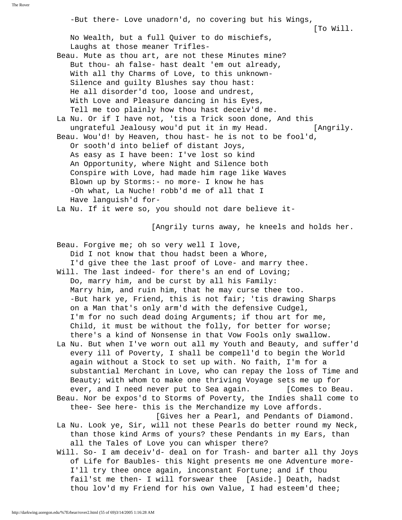-But there- Love unadorn'd, no covering but his Wings, [To Will. No Wealth, but a full Quiver to do mischiefs, Laughs at those meaner Trifles- Beau. Mute as thou art, are not these Minutes mine? But thou- ah false- hast dealt 'em out already, With all thy Charms of Love, to this unknown- Silence and guilty Blushes say thou hast: He all disorder'd too, loose and undrest, With Love and Pleasure dancing in his Eyes, Tell me too plainly how thou hast deceiv'd me. La Nu. Or if I have not, 'tis a Trick soon done, And this ungrateful Jealousy wou'd put it in my Head. [Angrily. Beau. Wou'd! by Heaven, thou hast- he is not to be fool'd, Or sooth'd into belief of distant Joys, As easy as I have been: I've lost so kind An Opportunity, where Night and Silence both Conspire with Love, had made him rage like Waves Blown up by Storms:- no more- I know he has -Oh what, La Nuche! robb'd me of all that I Have languish'd for- La Nu. If it were so, you should not dare believe it- [Angrily turns away, he kneels and holds her. Beau. Forgive me; oh so very well I love, Did I not know that thou hadst been a Whore, I'd give thee the last proof of Love- and marry thee. Will. The last indeed- for there's an end of Loving; Do, marry him, and be curst by all his Family: Marry him, and ruin him, that he may curse thee too. -But hark ye, Friend, this is not fair; 'tis drawing Sharps on a Man that's only arm'd with the defensive Cudgel, I'm for no such dead doing Arguments; if thou art for me, Child, it must be without the folly, for better for worse; there's a kind of Nonsense in that Vow Fools only swallow. La Nu. But when I've worn out all my Youth and Beauty, and suffer'd every ill of Poverty, I shall be compell'd to begin the World again without a Stock to set up with. No faith, I'm for a substantial Merchant in Love, who can repay the loss of Time and Beauty; with whom to make one thriving Voyage sets me up for ever, and I need never put to Sea again. [Comes to Beau. Beau. Nor be expos'd to Storms of Poverty, the Indies shall come to thee- See here- this is the Merchandize my Love affords. [Gives her a Pearl, and Pendants of Diamond. La Nu. Look ye, Sir, will not these Pearls do better round my Neck, than those kind Arms of yours? these Pendants in my Ears, than all the Tales of Love you can whisper there?

 Will. So- I am deceiv'd- deal on for Trash- and barter all thy Joys of Life for Baubles- this Night presents me one Adventure more- I'll try thee once again, inconstant Fortune; and if thou fail'st me then- I will forswear thee [Aside.] Death, hadst thou lov'd my Friend for his own Value, I had esteem'd thee;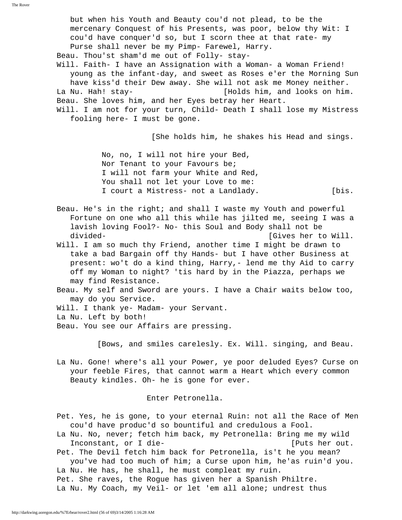but when his Youth and Beauty cou'd not plead, to be the mercenary Conquest of his Presents, was poor, below thy Wit: I cou'd have conquer'd so, but I scorn thee at that rate- my Purse shall never be my Pimp- Farewel, Harry. Beau. Thou'st sham'd me out of Folly- stay- Will. Faith- I have an Assignation with a Woman- a Woman Friend! young as the infant-day, and sweet as Roses e'er the Morning Sun have kiss'd their Dew away. She will not ask me Money neither. La Nu. Hah! stay- [Holds him, and looks on him. Beau. She loves him, and her Eyes betray her Heart. Will. I am not for your turn, Child- Death I shall lose my Mistress fooling here- I must be gone. [She holds him, he shakes his Head and sings. No, no, I will not hire your Bed, Nor Tenant to your Favours be; I will not farm your White and Red, You shall not let your Love to me: I court a Mistress- not a Landlady. [bis. Beau. He's in the right; and shall I waste my Youth and powerful Fortune on one who all this while has jilted me, seeing I was a lavish loving Fool?- No- this Soul and Body shall not be divided- [Gives her to Will. Will. I am so much thy Friend, another time I might be drawn to take a bad Bargain off thy Hands- but I have other Business at present: wo't do a kind thing, Harry,- lend me thy Aid to carry off my Woman to night? 'tis hard by in the Piazza, perhaps we may find Resistance. Beau. My self and Sword are yours. I have a Chair waits below too, may do you Service. Will. I thank ye- Madam- your Servant. La Nu. Left by both! Beau. You see our Affairs are pressing.

[Bows, and smiles carelesly. Ex. Will. singing, and Beau.

 La Nu. Gone! where's all your Power, ye poor deluded Eyes? Curse on your feeble Fires, that cannot warm a Heart which every common Beauty kindles. Oh- he is gone for ever.

Enter Petronella.

 Pet. Yes, he is gone, to your eternal Ruin: not all the Race of Men cou'd have produc'd so bountiful and credulous a Fool.

 La Nu. No, never; fetch him back, my Petronella: Bring me my wild Inconstant, or I die- [Puts her out.

 Pet. The Devil fetch him back for Petronella, is't he you mean? you've had too much of him; a Curse upon him, he'as ruin'd you. La Nu. He has, he shall, he must compleat my ruin. Pet. She raves, the Rogue has given her a Spanish Philtre. La Nu. My Coach, my Veil- or let 'em all alone; undrest thus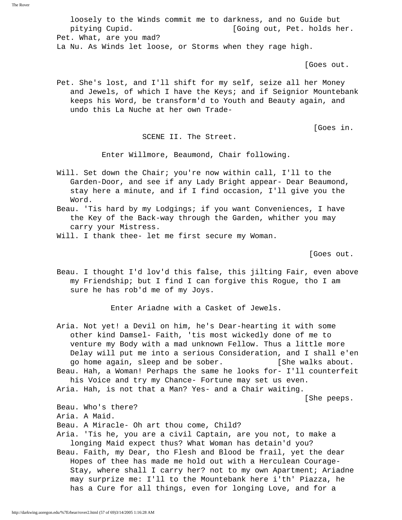loosely to the Winds commit me to darkness, and no Guide but pitying Cupid. [Going out, Pet. holds her. Pet. What, are you mad? La Nu. As Winds let loose, or Storms when they rage high.

[Goes out.

 Pet. She's lost, and I'll shift for my self, seize all her Money and Jewels, of which I have the Keys; and if Seignior Mountebank keeps his Word, be transform'd to Youth and Beauty again, and undo this La Nuche at her own Trade-

[Goes in.

SCENE II. The Street.

Enter Willmore, Beaumond, Chair following.

 Will. Set down the Chair; you're now within call, I'll to the Garden-Door, and see if any Lady Bright appear- Dear Beaumond, stay here a minute, and if I find occasion, I'll give you the Word.

 Beau. 'Tis hard by my Lodgings; if you want Conveniences, I have the Key of the Back-way through the Garden, whither you may carry your Mistress.

Will. I thank thee- let me first secure my Woman.

[Goes out.

 Beau. I thought I'd lov'd this false, this jilting Fair, even above my Friendship; but I find I can forgive this Rogue, tho I am sure he has rob'd me of my Joys.

Enter Ariadne with a Casket of Jewels.

 Aria. Not yet! a Devil on him, he's Dear-hearting it with some other kind Damsel- Faith, 'tis most wickedly done of me to venture my Body with a mad unknown Fellow. Thus a little more Delay will put me into a serious Consideration, and I shall e'en go home again, sleep and be sober. [She walks about. Beau. Hah, a Woman! Perhaps the same he looks for- I'll counterfeit his Voice and try my Chance- Fortune may set us even. Aria. Hah, is not that a Man? Yes- and a Chair waiting. [She peeps. Beau. Who's there? Aria. A Maid. Beau. A Miracle- Oh art thou come, Child? Aria. 'Tis he, you are a civil Captain, are you not, to make a longing Maid expect thus? What Woman has detain'd you? Beau. Faith, my Dear, tho Flesh and Blood be frail, yet the dear Hopes of thee has made me hold out with a Herculean Courage- Stay, where shall I carry her? not to my own Apartment; Ariadne may surprize me: I'll to the Mountebank here i'th' Piazza, he

has a Cure for all things, even for longing Love, and for a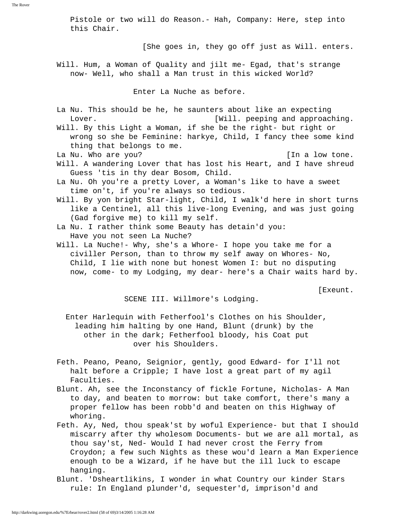Pistole or two will do Reason.- Hah, Company: Here, step into this Chair. [She goes in, they go off just as Will. enters. Will. Hum, a Woman of Quality and jilt me- Egad, that's strange now- Well, who shall a Man trust in this wicked World? Enter La Nuche as before. La Nu. This should be he, he saunters about like an expecting Lover.  $[Will.$  peeping and approaching. Will. By this Light a Woman, if she be the right- but right or wrong so she be Feminine: harkye, Child, I fancy thee some kind thing that belongs to me. La Nu. Who are you? **Example 20** is the last set of the latter of  $\left[ \text{In a low tone.} \right]$  Will. A wandering Lover that has lost his Heart, and I have shreud Guess 'tis in thy dear Bosom, Child. La Nu. Oh you're a pretty Lover, a Woman's like to have a sweet time on't, if you're always so tedious. Will. By yon bright Star-light, Child, I walk'd here in short turns like a Centinel, all this live-long Evening, and was just going (Gad forgive me) to kill my self. La Nu. I rather think some Beauty has detain'd you: Have you not seen La Nuche? Will. La Nuche!- Why, she's a Whore- I hope you take me for a civiller Person, than to throw my self away on Whores- No, Child, I lie with none but honest Women I: but no disputing now, come- to my Lodging, my dear- here's a Chair waits hard by.

[Exeunt.

SCENE III. Willmore's Lodging.

 Enter Harlequin with Fetherfool's Clothes on his Shoulder, leading him halting by one Hand, Blunt (drunk) by the other in the dark; Fetherfool bloody, his Coat put over his Shoulders.

- Feth. Peano, Peano, Seignior, gently, good Edward- for I'll not halt before a Cripple; I have lost a great part of my agil Faculties.
- Blunt. Ah, see the Inconstancy of fickle Fortune, Nicholas- A Man to day, and beaten to morrow: but take comfort, there's many a proper fellow has been robb'd and beaten on this Highway of whoring.
- Feth. Ay, Ned, thou speak'st by woful Experience- but that I should miscarry after thy wholesom Documents- but we are all mortal, as thou say'st, Ned- Would I had never crost the Ferry from Croydon; a few such Nights as these wou'd learn a Man Experience enough to be a Wizard, if he have but the ill luck to escape hanging.
- Blunt. 'Dsheartlikins, I wonder in what Country our kinder Stars rule: In England plunder'd, sequester'd, imprison'd and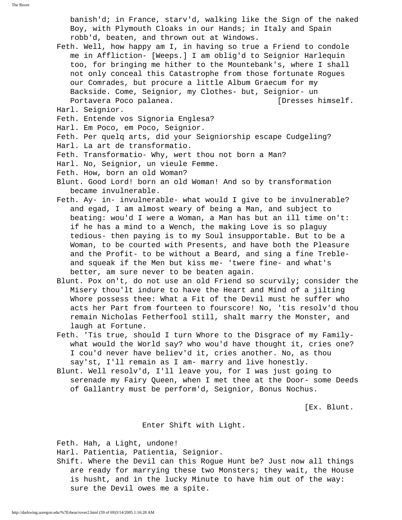banish'd; in France, starv'd, walking like the Sign of the naked Boy, with Plymouth Cloaks in our Hands; in Italy and Spain robb'd, beaten, and thrown out at Windows.

- Feth. Well, how happy am I, in having so true a Friend to condole me in Affliction- [Weeps.] I am oblig'd to Seignior Harlequin too, for bringing me hither to the Mountebank's, where I shall not only conceal this Catastrophe from those fortunate Rogues our Comrades, but procure a little Album Graecum for my Backside. Come, Seignior, my Clothes- but, Seignior- un Portavera Poco palanea. [Dresses himself.
- Harl. Seignior.
- Feth. Entende vos Signoria Englesa?
- Harl. Em Poco, em Poco, Seignior.
- Feth. Per quelq arts, did your Seigniorship escape Cudgeling?
- Harl. La art de transformatio.
- Feth. Transformatio- Why, wert thou not born a Man?
- Harl. No, Seignior, un vieule Femme.
- Feth. How, born an old Woman?
- Blunt. Good Lord! born an old Woman! And so by transformation became invulnerable.
- Feth. Ay- in- invulnerable- what would I give to be invulnerable? and egad, I am almost weary of being a Man, and subject to beating: wou'd I were a Woman, a Man has but an ill time on't: if he has a mind to a Wench, the making Love is so plaguy tedious- then paying is to my Soul insupportable. But to be a Woman, to be courted with Presents, and have both the Pleasure and the Profit- to be without a Beard, and sing a fine Treble and squeak if the Men but kiss me- 'twere fine- and what's better, am sure never to be beaten again.
- Blunt. Pox on't, do not use an old Friend so scurvily; consider the Misery thou'lt indure to have the Heart and Mind of a jilting Whore possess thee: What a Fit of the Devil must he suffer who acts her Part from fourteen to fourscore! No, 'tis resolv'd thou remain Nicholas Fetherfool still, shalt marry the Monster, and laugh at Fortune.
- Feth. 'Tis true, should I turn Whore to the Disgrace of my Family what would the World say? who wou'd have thought it, cries one? I cou'd never have believ'd it, cries another. No, as thou say'st, I'll remain as I am- marry and live honestly.
- Blunt. Well resolv'd, I'll leave you, for I was just going to serenade my Fairy Queen, when I met thee at the Door- some Deeds of Gallantry must be perform'd, Seignior, Bonus Nochus.

[Ex. Blunt.

## Enter Shift with Light.

Feth. Hah, a Light, undone!

Harl. Patientia, Patientia, Seignior.

 Shift. Where the Devil can this Rogue Hunt be? Just now all things are ready for marrying these two Monsters; they wait, the House is husht, and in the lucky Minute to have him out of the way: sure the Devil owes me a spite.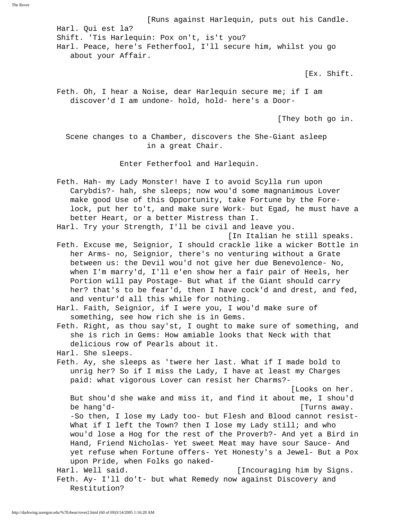[Runs against Harlequin, puts out his Candle.

 Harl. Qui est la? Shift. 'Tis Harlequin: Pox on't, is't you? Harl. Peace, here's Fetherfool, I'll secure him, whilst you go about your Affair.

[Ex. Shift.

 Feth. Oh, I hear a Noise, dear Harlequin secure me; if I am discover'd I am undone- hold, hold- here's a Door-

[They both go in.

 Scene changes to a Chamber, discovers the She-Giant asleep in a great Chair.

Enter Fetherfool and Harlequin.

 Feth. Hah- my Lady Monster! have I to avoid Scylla run upon Carybdis?- hah, she sleeps; now wou'd some magnanimous Lover make good Use of this Opportunity, take Fortune by the Fore lock, put her to't, and make sure Work- but Egad, he must have a better Heart, or a better Mistress than I.

Harl. Try your Strength, I'll be civil and leave you.

[In Italian he still speaks.

 Feth. Excuse me, Seignior, I should crackle like a wicker Bottle in her Arms- no, Seignior, there's no venturing without a Grate between us: the Devil wou'd not give her due Benevolence- No, when I'm marry'd, I'll e'en show her a fair pair of Heels, her Portion will pay Postage- But what if the Giant should carry her? that's to be fear'd, then I have cock'd and drest, and fed, and ventur'd all this while for nothing.

 Harl. Faith, Seignior, if I were you, I wou'd make sure of something, see how rich she is in Gems.

 Feth. Right, as thou say'st, I ought to make sure of something, and she is rich in Gems: How amiable looks that Neck with that delicious row of Pearls about it.

Harl. She sleeps.

 Feth. Ay, she sleeps as 'twere her last. What if I made bold to unrig her? So if I miss the Lady, I have at least my Charges paid: what vigorous Lover can resist her Charms?-

 [Looks on her. But shou'd she wake and miss it, and find it about me, I shou'd be hang'd- [Turns away. -So then, I lose my Lady too- but Flesh and Blood cannot resist- What if I left the Town? then I lose my Lady still; and who wou'd lose a Hog for the rest of the Proverb?- And yet a Bird in Hand, Friend Nicholas- Yet sweet Meat may have sour Sauce- And yet refuse when Fortune offers- Yet Honesty's a Jewel- But a Pox upon Pride, when Folks go naked- Harl. Well said.  $[Incouraging him by Signs.$ 

 Feth. Ay- I'll do't- but what Remedy now against Discovery and Restitution?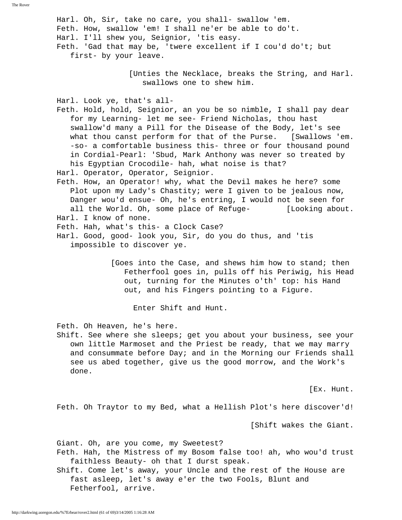Harl. Oh, Sir, take no care, you shall- swallow 'em. Feth. How, swallow 'em! I shall ne'er be able to do't. Harl. I'll shew you, Seignior, 'tis easy. Feth. 'Gad that may be, 'twere excellent if I cou'd do't; but first- by your leave. [Unties the Necklace, breaks the String, and Harl. swallows one to shew him. Harl. Look ye, that's all- Feth. Hold, hold, Seignior, an you be so nimble, I shall pay dear for my Learning- let me see- Friend Nicholas, thou hast swallow'd many a Pill for the Disease of the Body, let's see what thou canst perform for that of the Purse. [Swallows 'em. -so- a comfortable business this- three or four thousand pound in Cordial-Pearl: 'Sbud, Mark Anthony was never so treated by his Egyptian Crocodile- hah, what noise is that? Harl. Operator, Operator, Seignior. Feth. How, an Operator! why, what the Devil makes he here? some Plot upon my Lady's Chastity; were I given to be jealous now, Danger wou'd ensue- Oh, he's entring, I would not be seen for all the World. Oh, some place of Refuge- [Looking about. Harl. I know of none. Feth. Hah, what's this- a Clock Case? Harl. Good, good- look you, Sir, do you do thus, and 'tis impossible to discover ye. [Goes into the Case, and shews him how to stand; then Fetherfool goes in, pulls off his Periwig, his Head out, turning for the Minutes o'th' top: his Hand out, and his Fingers pointing to a Figure. Enter Shift and Hunt. Feth. Oh Heaven, he's here. Shift. See where she sleeps; get you about your business, see your own little Marmoset and the Priest be ready, that we may marry

and consummate before Day; and in the Morning our Friends shall see us abed together, give us the good morrow, and the Work's done.

[Ex. Hunt.

Feth. Oh Traytor to my Bed, what a Hellish Plot's here discover'd!

[Shift wakes the Giant.

Giant. Oh, are you come, my Sweetest?

 Feth. Hah, the Mistress of my Bosom false too! ah, who wou'd trust faithless Beauty- oh that I durst speak.

 Shift. Come let's away, your Uncle and the rest of the House are fast asleep, let's away e'er the two Fools, Blunt and Fetherfool, arrive.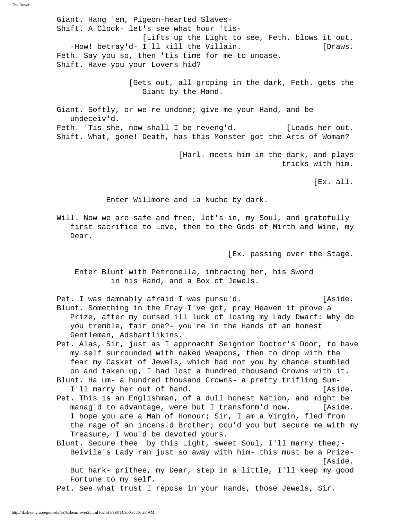Giant. Hang 'em, Pigeon-hearted Slaves- Shift. A Clock- let's see what hour 'tis- [Lifts up the Light to see, Feth. blows it out. -How! betray'd- I'll kill the Villain. [Draws. Feth. Say you so, then 'tis time for me to uncase. Shift. Have you your Lovers hid? [Gets out, all groping in the dark, Feth. gets the Giant by the Hand. Giant. Softly, or we're undone; give me your Hand, and be undeceiv'd.

Feth. 'Tis she, now shall I be reveng'd. [Leads her out. Shift. What, gone! Death, has this Monster got the Arts of Woman?

> [Harl. meets him in the dark, and plays tricks with him.

> > [Ex. all.

Enter Willmore and La Nuche by dark.

 Will. Now we are safe and free, let's in, my Soul, and gratefully first sacrifice to Love, then to the Gods of Mirth and Wine, my Dear.

[Ex. passing over the Stage.

 Enter Blunt with Petronella, imbracing her, his Sword in his Hand, and a Box of Jewels.

Pet. I was damnably afraid I was pursu'd. [Aside. Blunt. Something in the Fray I've got, pray Heaven it prove a Prize, after my cursed ill luck of losing my Lady Dwarf: Why do you tremble, fair one?- you're in the Hands of an honest Gentleman, Adshartlikins.

 Pet. Alas, Sir, just as I approacht Seignior Doctor's Door, to have my self surrounded with naked Weapons, then to drop with the fear my Casket of Jewels, which had not you by chance stumbled on and taken up, I had lost a hundred thousand Crowns with it.

 Blunt. Ha um- a hundred thousand Crowns- a pretty trifling Sum- I'll marry her out of hand. The same state of the same state.

 Pet. This is an Englishman, of a dull honest Nation, and might be manag'd to advantage, were but I transform'd now. [Aside. I hope you are a Man of Honour; Sir, I am a Virgin, fled from the rage of an incens'd Brother; cou'd you but secure me with my Treasure, I wou'd be devoted yours.

 Blunt. Secure thee! by this Light, sweet Soul, I'll marry thee;- Beivile's Lady ran just so away with him- this must be a Prize- [Aside. But hark- prithee, my Dear, step in a little, I'll keep my good Fortune to my self.

Pet. See what trust I repose in your Hands, those Jewels, Sir.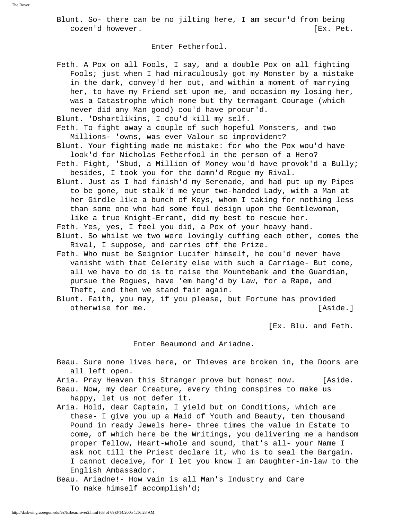Blunt. So- there can be no jilting here, I am secur'd from being cozen'd however. [Ex. Pet.

## Enter Fetherfool.

 Feth. A Pox on all Fools, I say, and a double Pox on all fighting Fools; just when I had miraculously got my Monster by a mistake in the dark, convey'd her out, and within a moment of marrying her, to have my Friend set upon me, and occasion my losing her, was a Catastrophe which none but thy termagant Courage (which never did any Man good) cou'd have procur'd.

Blunt. 'Dshartlikins, I cou'd kill my self.

 Feth. To fight away a couple of such hopeful Monsters, and two Millions- 'owns, was ever Valour so improvident?

- Blunt. Your fighting made me mistake: for who the Pox wou'd have look'd for Nicholas Fetherfool in the person of a Hero?
- Feth. Fight, 'Sbud, a Million of Money wou'd have provok'd a Bully; besides, I took you for the damn'd Rogue my Rival.
- Blunt. Just as I had finish'd my Serenade, and had put up my Pipes to be gone, out stalk'd me your two-handed Lady, with a Man at her Girdle like a bunch of Keys, whom I taking for nothing less than some one who had some foul design upon the Gentlewoman, like a true Knight-Errant, did my best to rescue her.

Feth. Yes, yes, I feel you did, a Pox of your heavy hand.

 Blunt. So whilst we two were lovingly cuffing each other, comes the Rival, I suppose, and carries off the Prize.

- Feth. Who must be Seignior Lucifer himself, he cou'd never have vanisht with that Celerity else with such a Carriage- But come, all we have to do is to raise the Mountebank and the Guardian, pursue the Rogues, have 'em hang'd by Law, for a Rape, and Theft, and then we stand fair again.
- Blunt. Faith, you may, if you please, but Fortune has provided otherwise for me. [Aside.]

[Ex. Blu. and Feth.

Enter Beaumond and Ariadne.

 Beau. Sure none lives here, or Thieves are broken in, the Doors are all left open.

 Aria. Pray Heaven this Stranger prove but honest now. [Aside. Beau. Now, my dear Creature, every thing conspires to make us happy, let us not defer it.

- Aria. Hold, dear Captain, I yield but on Conditions, which are these- I give you up a Maid of Youth and Beauty, ten thousand Pound in ready Jewels here- three times the value in Estate to come, of which here be the Writings, you delivering me a handsom proper fellow, Heart-whole and sound, that's all- your Name I ask not till the Priest declare it, who is to seal the Bargain. I cannot deceive, for I let you know I am Daughter-in-law to the English Ambassador.
- Beau. Ariadne!- How vain is all Man's Industry and Care To make himself accomplish'd;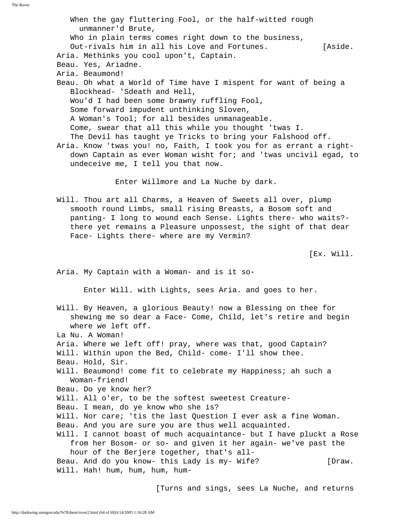When the gay fluttering Fool, or the half-witted rough unmanner'd Brute, Who in plain terms comes right down to the business, Out-rivals him in all his Love and Fortunes. [Aside. Aria. Methinks you cool upon't, Captain. Beau. Yes, Ariadne. Aria. Beaumond! Beau. Oh what a World of Time have I mispent for want of being a Blockhead- 'Sdeath and Hell, Wou'd I had been some brawny ruffling Fool, Some forward impudent unthinking Sloven, A Woman's Tool; for all besides unmanageable. Come, swear that all this while you thought 'twas I. The Devil has taught ye Tricks to bring your Falshood off. Aria. Know 'twas you! no, Faith, I took you for as errant a right down Captain as ever Woman wisht for; and 'twas uncivil egad, to undeceive me, I tell you that now. Enter Willmore and La Nuche by dark. Will. Thou art all Charms, a Heaven of Sweets all over, plump smooth round Limbs, small rising Breasts, a Bosom soft and panting- I long to wound each Sense. Lights there- who waits? there yet remains a Pleasure unpossest, the sight of that dear Face- Lights there- where are my Vermin? [Ex. Will. Aria. My Captain with a Woman- and is it so- Enter Will. with Lights, sees Aria. and goes to her. Will. By Heaven, a glorious Beauty! now a Blessing on thee for shewing me so dear a Face- Come, Child, let's retire and begin where we left off. La Nu. A Woman! Aria. Where we left off! pray, where was that, good Captain? Will. Within upon the Bed, Child- come- I'll show thee. Beau. Hold, Sir. Will. Beaumond! come fit to celebrate my Happiness; ah such a Woman-friend! Beau. Do ye know her? Will. All o'er, to be the softest sweetest Creature- Beau. I mean, do ye know who she is? Will. Nor care; 'tis the last Question I ever ask a fine Woman. Beau. And you are sure you are thus well acquainted. Will. I cannot boast of much acquaintance- but I have pluckt a Rose from her Bosom- or so- and given it her again- we've past the hour of the Berjere together, that's all- Beau. And do you know- this Lady is my- Wife? [Draw. Will. Hah! hum, hum, hum, hum-

[Turns and sings, sees La Nuche, and returns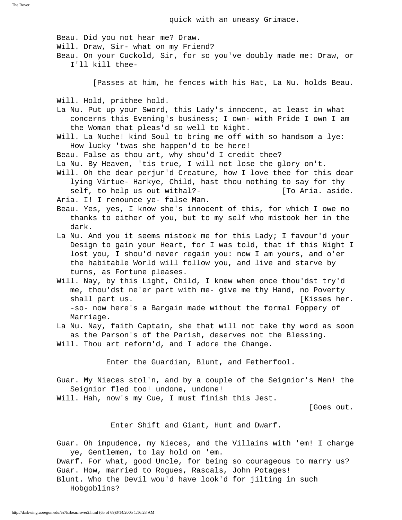quick with an uneasy Grimace.

Beau. Did you not hear me? Draw.

 Will. Draw, Sir- what on my Friend? Beau. On your Cuckold, Sir, for so you've doubly made me: Draw, or I'll kill thee- [Passes at him, he fences with his Hat, La Nu. holds Beau. Will. Hold, prithee hold. La Nu. Put up your Sword, this Lady's innocent, at least in what concerns this Evening's business; I own- with Pride I own I am the Woman that pleas'd so well to Night. Will. La Nuche! kind Soul to bring me off with so handsom a lye: How lucky 'twas she happen'd to be here! Beau. False as thou art, why shou'd I credit thee? La Nu. By Heaven, 'tis true, I will not lose the glory on't. Will. Oh the dear perjur'd Creature, how I love thee for this dear lying Virtue- Harkye, Child, hast thou nothing to say for thy self, to help us out withal?- [To Aria. aside. Aria. I! I renounce ye- false Man. Beau. Yes, yes, I know she's innocent of this, for which I owe no thanks to either of you, but to my self who mistook her in the dark. La Nu. And you it seems mistook me for this Lady; I favour'd your Design to gain your Heart, for I was told, that if this Night I lost you, I shou'd never regain you: now I am yours, and o'er the habitable World will follow you, and live and starve by turns, as Fortune pleases. Will. Nay, by this Light, Child, I knew when once thou'dst try'd me, thou'dst ne'er part with me- give me thy Hand, no Poverty shall part us.  $[K]$  isses her. -so- now here's a Bargain made without the formal Foppery of Marriage. La Nu. Nay, faith Captain, she that will not take thy word as soon as the Parson's of the Parish, deserves not the Blessing. Will. Thou art reform'd, and I adore the Change. Enter the Guardian, Blunt, and Fetherfool. Guar. My Nieces stol'n, and by a couple of the Seignior's Men! the Seignior fled too! undone, undone! Will. Hah, now's my Cue, I must finish this Jest. [Goes out. Enter Shift and Giant, Hunt and Dwarf. Guar. Oh impudence, my Nieces, and the Villains with 'em! I charge ye, Gentlemen, to lay hold on 'em. Dwarf. For what, good Uncle, for being so courageous to marry us? Guar. How, married to Rogues, Rascals, John Potages! Blunt. Who the Devil wou'd have look'd for jilting in such Hobgoblins?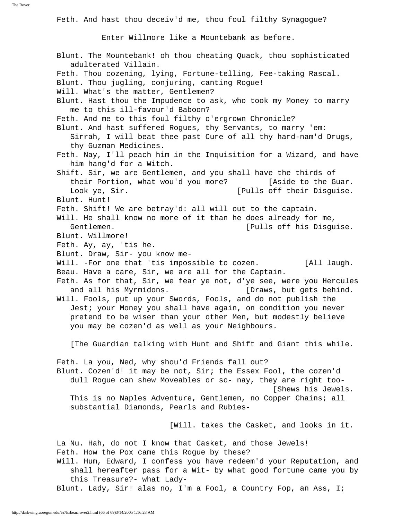Feth. And hast thou deceiv'd me, thou foul filthy Synagogue?

Enter Willmore like a Mountebank as before.

 Blunt. The Mountebank! oh thou cheating Quack, thou sophisticated adulterated Villain. Feth. Thou cozening, lying, Fortune-telling, Fee-taking Rascal. Blunt. Thou jugling, conjuring, canting Rogue! Will. What's the matter, Gentlemen? Blunt. Hast thou the Impudence to ask, who took my Money to marry me to this ill-favour'd Baboon? Feth. And me to this foul filthy o'ergrown Chronicle? Blunt. And hast suffered Rogues, thy Servants, to marry 'em: Sirrah, I will beat thee past Cure of all thy hard-nam'd Drugs, thy Guzman Medicines. Feth. Nay, I'll peach him in the Inquisition for a Wizard, and have him hang'd for a Witch. Shift. Sir, we are Gentlemen, and you shall have the thirds of their Portion, what wou'd you more? [Aside to the Guar. Look ye, Sir. [Pulls off their Disguise. Blunt. Hunt! Feth. Shift! We are betray'd: all will out to the captain. Will. He shall know no more of it than he does already for me, Gentlemen. [Pulls off his Disguise. Blunt. Willmore! Feth. Ay, ay, 'tis he. Blunt. Draw, Sir- you know me- Will. -For one that 'tis impossible to cozen. [All laugh. Beau. Have a care, Sir, we are all for the Captain. Feth. As for that, Sir, we fear ye not, d'ye see, were you Hercules and all his Myrmidons. [Draws, but gets behind. Will. Fools, put up your Swords, Fools, and do not publish the Jest; your Money you shall have again, on condition you never pretend to be wiser than your other Men, but modestly believe you may be cozen'd as well as your Neighbours. [The Guardian talking with Hunt and Shift and Giant this while. Feth. La you, Ned, why shou'd Friends fall out? Blunt. Cozen'd! it may be not, Sir; the Essex Fool, the cozen'd dull Rogue can shew Moveables or so- nay, they are right too- [Shews his Jewels. This is no Naples Adventure, Gentlemen, no Copper Chains; all substantial Diamonds, Pearls and Rubies- [Will. takes the Casket, and looks in it. La Nu. Hah, do not I know that Casket, and those Jewels! Feth. How the Pox came this Rogue by these? Will. Hum, Edward, I confess you have redeem'd your Reputation, and shall hereafter pass for a Wit- by what good fortune came you by this Treasure?- what Lady- Blunt. Lady, Sir! alas no, I'm a Fool, a Country Fop, an Ass, I;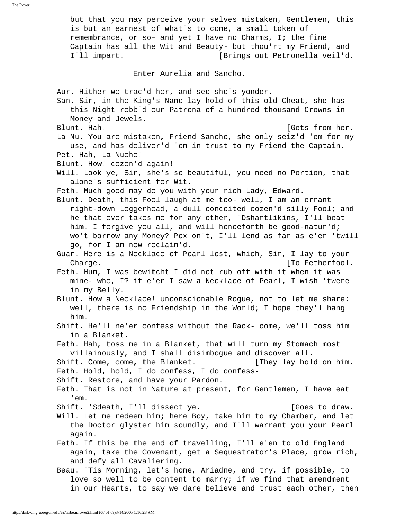but that you may perceive your selves mistaken, Gentlemen, this is but an earnest of what's to come, a small token of remembrance, or so- and yet I have no Charms, I; the fine Captain has all the Wit and Beauty- but thou'rt my Friend, and I'll impart. [Brings out Petronella veil'd. Enter Aurelia and Sancho. Aur. Hither we trac'd her, and see she's yonder. San. Sir, in the King's Name lay hold of this old Cheat, she has this Night robb'd our Patrona of a hundred thousand Crowns in Money and Jewels. Blunt. Hah! [Gets from her. La Nu. You are mistaken, Friend Sancho, she only seiz'd 'em for my use, and has deliver'd 'em in trust to my Friend the Captain. Pet. Hah, La Nuche! Blunt. How! cozen'd again! Will. Look ye, Sir, she's so beautiful, you need no Portion, that alone's sufficient for Wit. Feth. Much good may do you with your rich Lady, Edward. Blunt. Death, this Fool laugh at me too- well, I am an errant right-down Loggerhead, a dull conceited cozen'd silly Fool; and he that ever takes me for any other, 'Dshartlikins, I'll beat him. I forgive you all, and will henceforth be good-natur'd; wo't borrow any Money? Pox on't, I'll lend as far as e'er 'twill go, for I am now reclaim'd. Guar. Here is a Necklace of Pearl lost, which, Sir, I lay to your Charge. **Charge**  $\begin{bmatrix} T_0 & T_1 \\ T_2 & T_2 \end{bmatrix}$  Feth. Hum, I was bewitcht I did not rub off with it when it was mine- who, I? if e'er I saw a Necklace of Pearl, I wish 'twere in my Belly. Blunt. How a Necklace! unconscionable Rogue, not to let me share: well, there is no Friendship in the World; I hope they'l hang him. Shift. He'll ne'er confess without the Rack- come, we'll toss him in a Blanket. Feth. Hah, toss me in a Blanket, that will turn my Stomach most villainously, and I shall disimbogue and discover all. Shift. Come, come, the Blanket. [They lay hold on him. Feth. Hold, hold, I do confess, I do confess- Shift. Restore, and have your Pardon. Feth. That is not in Nature at present, for Gentlemen, I have eat 'em. Shift. 'Sdeath, I'll dissect ye. [Goes to draw. Will. Let me redeem him; here Boy, take him to my Chamber, and let the Doctor glyster him soundly, and I'll warrant you your Pearl again. Feth. If this be the end of travelling, I'll e'en to old England again, take the Covenant, get a Sequestrator's Place, grow rich, and defy all Cavaliering. Beau. 'Tis Morning, let's home, Ariadne, and try, if possible, to love so well to be content to marry; if we find that amendment in our Hearts, to say we dare believe and trust each other, then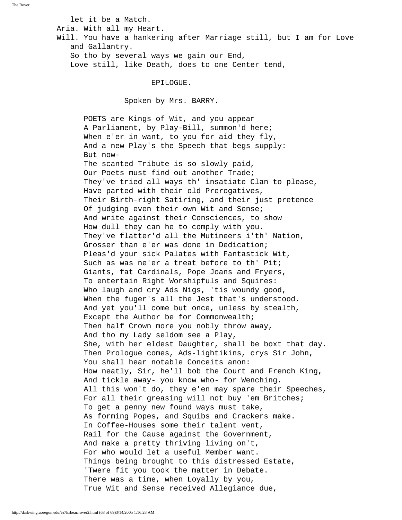let it be a Match.

Aria. With all my Heart.

 Will. You have a hankering after Marriage still, but I am for Love and Gallantry.

 So tho by several ways we gain our End, Love still, like Death, does to one Center tend,

## EPILOGUE.

Spoken by Mrs. BARRY.

 POETS are Kings of Wit, and you appear A Parliament, by Play-Bill, summon'd here; When e'er in want, to you for aid they fly, And a new Play's the Speech that begs supply: But now- The scanted Tribute is so slowly paid, Our Poets must find out another Trade; They've tried all ways th' insatiate Clan to please, Have parted with their old Prerogatives, Their Birth-right Satiring, and their just pretence Of judging even their own Wit and Sense; And write against their Consciences, to show How dull they can he to comply with you. They've flatter'd all the Mutineers i'th' Nation, Grosser than e'er was done in Dedication; Pleas'd your sick Palates with Fantastick Wit, Such as was ne'er a treat before to th' Pit; Giants, fat Cardinals, Pope Joans and Fryers, To entertain Right Worshipfuls and Squires: Who laugh and cry Ads Nigs, 'tis woundy good, When the fuger's all the Jest that's understood. And yet you'll come but once, unless by stealth, Except the Author be for Commonwealth; Then half Crown more you nobly throw away, And tho my Lady seldom see a Play, She, with her eldest Daughter, shall be boxt that day. Then Prologue comes, Ads-lightikins, crys Sir John, You shall hear notable Conceits anon: How neatly, Sir, he'll bob the Court and French King, And tickle away- you know who- for Wenching. All this won't do, they e'en may spare their Speeches, For all their greasing will not buy 'em Britches; To get a penny new found ways must take, As forming Popes, and Squibs and Crackers make. In Coffee-Houses some their talent vent, Rail for the Cause against the Government, And make a pretty thriving living on't, For who would let a useful Member want. Things being brought to this distressed Estate, 'Twere fit you took the matter in Debate. There was a time, when Loyally by you, True Wit and Sense received Allegiance due,